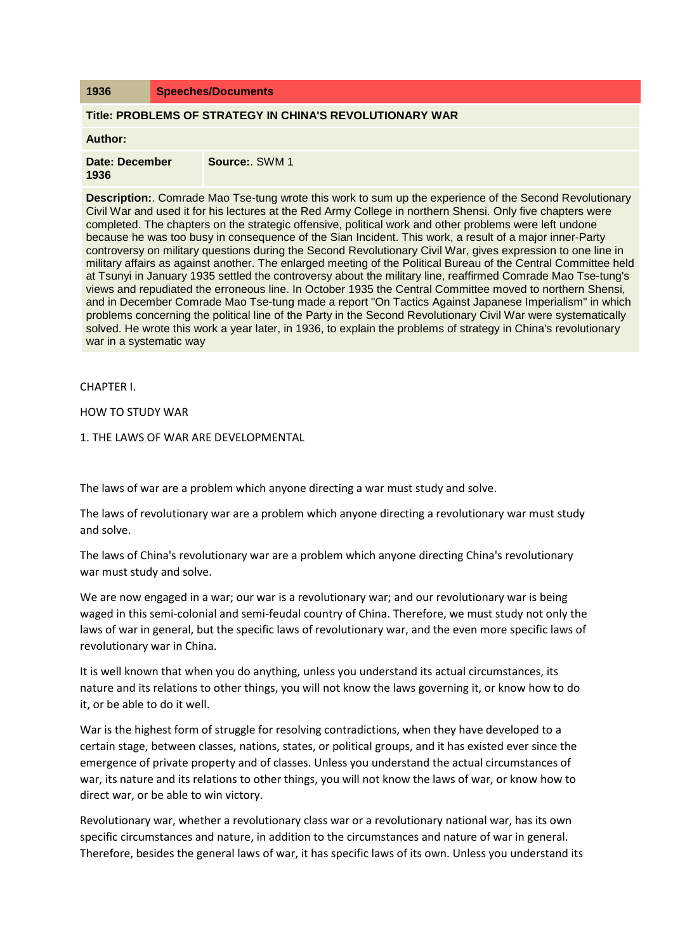| 1936                                                                                                                                                                                                                                                                                                                                                                                                                                                                                                                                                              |  | <b>Speeches/Documents</b> |
|-------------------------------------------------------------------------------------------------------------------------------------------------------------------------------------------------------------------------------------------------------------------------------------------------------------------------------------------------------------------------------------------------------------------------------------------------------------------------------------------------------------------------------------------------------------------|--|---------------------------|
| Title: PROBLEMS OF STRATEGY IN CHINA'S REVOLUTIONARY WAR                                                                                                                                                                                                                                                                                                                                                                                                                                                                                                          |  |                           |
| Author:                                                                                                                                                                                                                                                                                                                                                                                                                                                                                                                                                           |  |                           |
| Date: December<br>1936                                                                                                                                                                                                                                                                                                                                                                                                                                                                                                                                            |  | Source: SWM 1             |
| <b>Description:.</b> Comrade Mao Tse-tung wrote this work to sum up the experience of the Second Revolutionary<br>Civil War and used it for his lectures at the Red Army College in northern Shensi. Only five chapters were<br>completed. The chapters on the strategic offensive, political work and other problems were left undone<br>because he was too busy in consequence of the Sian Incident. This work, a result of a major inner-Party<br>controversy on military questions during the Second Revolutionary Civil War, gives expression to one line in |  |                           |

military affairs as against another. The enlarged meeting of the Political Bureau of the Central Committee held at Tsunyi in January 1935 settled the controversy about the military line, reaffirmed Comrade Mao Tse-tung's views and repudiated the erroneous line. In October 1935 the Central Committee moved to northern Shensi, and in December Comrade Mao Tse-tung made a report "On Tactics Against Japanese Imperialism" in which problems concerning the political line of the Party in the Second Revolutionary Civil War were systematically solved. He wrote this work a year later, in 1936, to explain the problems of strategy in China's revolutionary war in a systematic way

CHAPTER I.

HOW TO STUDY WAR

1. THE LAWS OF WAR ARE DEVELOPMENTAL

The laws of war are a problem which anyone directing a war must study and solve.

The laws of revolutionary war are a problem which anyone directing a revolutionary war must study and solve.

The laws of China's revolutionary war are a problem which anyone directing China's revolutionary war must study and solve.

We are now engaged in a war; our war is a revolutionary war; and our revolutionary war is being waged in this semi-colonial and semi-feudal country of China. Therefore, we must study not only the laws of war in general, but the specific laws of revolutionary war, and the even more specific laws of revolutionary war in China.

It is well known that when you do anything, unless you understand its actual circumstances, its nature and its relations to other things, you will not know the laws governing it, or know how to do it, or be able to do it well.

War is the highest form of struggle for resolving contradictions, when they have developed to a certain stage, between classes, nations, states, or political groups, and it has existed ever since the emergence of private property and of classes. Unless you understand the actual circumstances of war, its nature and its relations to other things, you will not know the laws of war, or know how to direct war, or be able to win victory.

Revolutionary war, whether a revolutionary class war or a revolutionary national war, has its own specific circumstances and nature, in addition to the circumstances and nature of war in general. Therefore, besides the general laws of war, it has specific laws of its own. Unless you understand its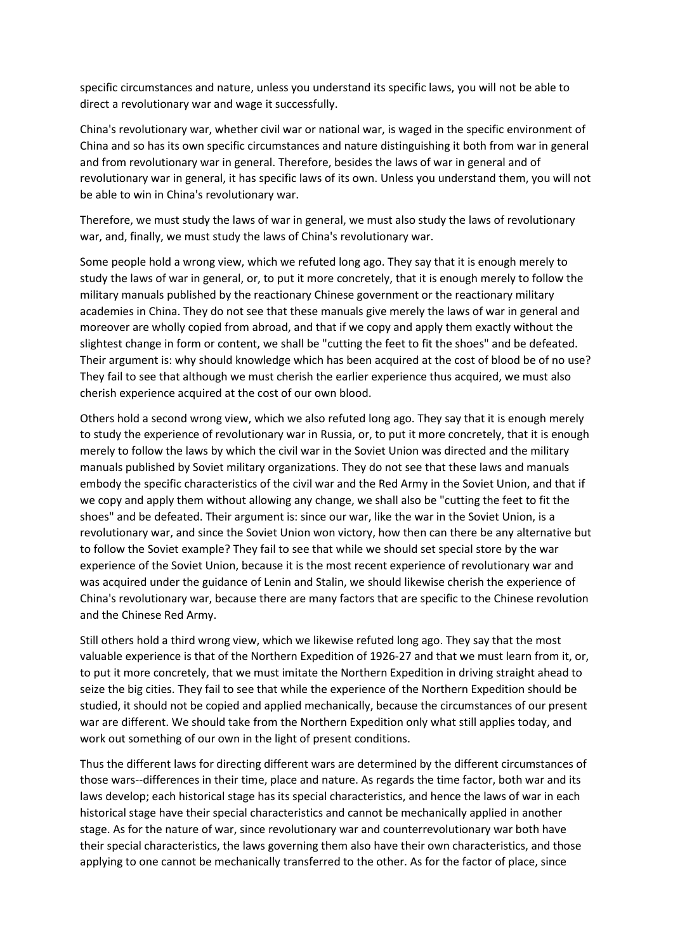specific circumstances and nature, unless you understand its specific laws, you will not be able to direct a revolutionary war and wage it successfully.

China's revolutionary war, whether civil war or national war, is waged in the specific environment of China and so has its own specific circumstances and nature distinguishing it both from war in general and from revolutionary war in general. Therefore, besides the laws of war in general and of revolutionary war in general, it has specific laws of its own. Unless you understand them, you will not be able to win in China's revolutionary war.

Therefore, we must study the laws of war in general, we must also study the laws of revolutionary war, and, finally, we must study the laws of China's revolutionary war.

Some people hold a wrong view, which we refuted long ago. They say that it is enough merely to study the laws of war in general, or, to put it more concretely, that it is enough merely to follow the military manuals published by the reactionary Chinese government or the reactionary military academies in China. They do not see that these manuals give merely the laws of war in general and moreover are wholly copied from abroad, and that if we copy and apply them exactly without the slightest change in form or content, we shall be "cutting the feet to fit the shoes" and be defeated. Their argument is: why should knowledge which has been acquired at the cost of blood be of no use? They fail to see that although we must cherish the earlier experience thus acquired, we must also cherish experience acquired at the cost of our own blood.

Others hold a second wrong view, which we also refuted long ago. They say that it is enough merely to study the experience of revolutionary war in Russia, or, to put it more concretely, that it is enough merely to follow the laws by which the civil war in the Soviet Union was directed and the military manuals published by Soviet military organizations. They do not see that these laws and manuals embody the specific characteristics of the civil war and the Red Army in the Soviet Union, and that if we copy and apply them without allowing any change, we shall also be "cutting the feet to fit the shoes" and be defeated. Their argument is: since our war, like the war in the Soviet Union, is a revolutionary war, and since the Soviet Union won victory, how then can there be any alternative but to follow the Soviet example? They fail to see that while we should set special store by the war experience of the Soviet Union, because it is the most recent experience of revolutionary war and was acquired under the guidance of Lenin and Stalin, we should likewise cherish the experience of China's revolutionary war, because there are many factors that are specific to the Chinese revolution and the Chinese Red Army.

Still others hold a third wrong view, which we likewise refuted long ago. They say that the most valuable experience is that of the Northern Expedition of 1926-27 and that we must learn from it, or, to put it more concretely, that we must imitate the Northern Expedition in driving straight ahead to seize the big cities. They fail to see that while the experience of the Northern Expedition should be studied, it should not be copied and applied mechanically, because the circumstances of our present war are different. We should take from the Northern Expedition only what still applies today, and work out something of our own in the light of present conditions.

Thus the different laws for directing different wars are determined by the different circumstances of those wars--differences in their time, place and nature. As regards the time factor, both war and its laws develop; each historical stage has its special characteristics, and hence the laws of war in each historical stage have their special characteristics and cannot be mechanically applied in another stage. As for the nature of war, since revolutionary war and counterrevolutionary war both have their special characteristics, the laws governing them also have their own characteristics, and those applying to one cannot be mechanically transferred to the other. As for the factor of place, since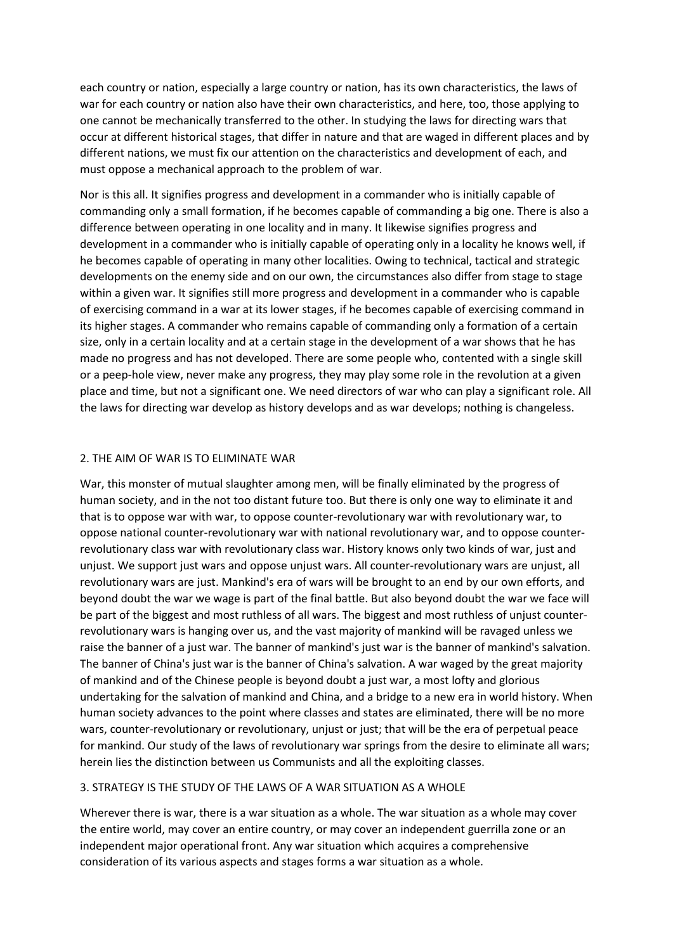each country or nation, especially a large country or nation, has its own characteristics, the laws of war for each country or nation also have their own characteristics, and here, too, those applying to one cannot be mechanically transferred to the other. In studying the laws for directing wars that occur at different historical stages, that differ in nature and that are waged in different places and by different nations, we must fix our attention on the characteristics and development of each, and must oppose a mechanical approach to the problem of war.

Nor is this all. It signifies progress and development in a commander who is initially capable of commanding only a small formation, if he becomes capable of commanding a big one. There is also a difference between operating in one locality and in many. It likewise signifies progress and development in a commander who is initially capable of operating only in a locality he knows well, if he becomes capable of operating in many other localities. Owing to technical, tactical and strategic developments on the enemy side and on our own, the circumstances also differ from stage to stage within a given war. It signifies still more progress and development in a commander who is capable of exercising command in a war at its lower stages, if he becomes capable of exercising command in its higher stages. A commander who remains capable of commanding only a formation of a certain size, only in a certain locality and at a certain stage in the development of a war shows that he has made no progress and has not developed. There are some people who, contented with a single skill or a peep-hole view, never make any progress, they may play some role in the revolution at a given place and time, but not a significant one. We need directors of war who can play a significant role. All the laws for directing war develop as history develops and as war develops; nothing is changeless.

# 2. THE AIM OF WAR IS TO ELIMINATE WAR

War, this monster of mutual slaughter among men, will be finally eliminated by the progress of human society, and in the not too distant future too. But there is only one way to eliminate it and that is to oppose war with war, to oppose counter-revolutionary war with revolutionary war, to oppose national counter-revolutionary war with national revolutionary war, and to oppose counterrevolutionary class war with revolutionary class war. History knows only two kinds of war, just and unjust. We support just wars and oppose unjust wars. All counter-revolutionary wars are unjust, all revolutionary wars are just. Mankind's era of wars will be brought to an end by our own efforts, and beyond doubt the war we wage is part of the final battle. But also beyond doubt the war we face will be part of the biggest and most ruthless of all wars. The biggest and most ruthless of unjust counterrevolutionary wars is hanging over us, and the vast majority of mankind will be ravaged unless we raise the banner of a just war. The banner of mankind's just war is the banner of mankind's salvation. The banner of China's just war is the banner of China's salvation. A war waged by the great majority of mankind and of the Chinese people is beyond doubt a just war, a most lofty and glorious undertaking for the salvation of mankind and China, and a bridge to a new era in world history. When human society advances to the point where classes and states are eliminated, there will be no more wars, counter-revolutionary or revolutionary, unjust or just; that will be the era of perpetual peace for mankind. Our study of the laws of revolutionary war springs from the desire to eliminate all wars; herein lies the distinction between us Communists and all the exploiting classes.

### 3. STRATEGY IS THE STUDY OF THE LAWS OF A WAR SITUATION AS A WHOLE

Wherever there is war, there is a war situation as a whole. The war situation as a whole may cover the entire world, may cover an entire country, or may cover an independent guerrilla zone or an independent major operational front. Any war situation which acquires a comprehensive consideration of its various aspects and stages forms a war situation as a whole.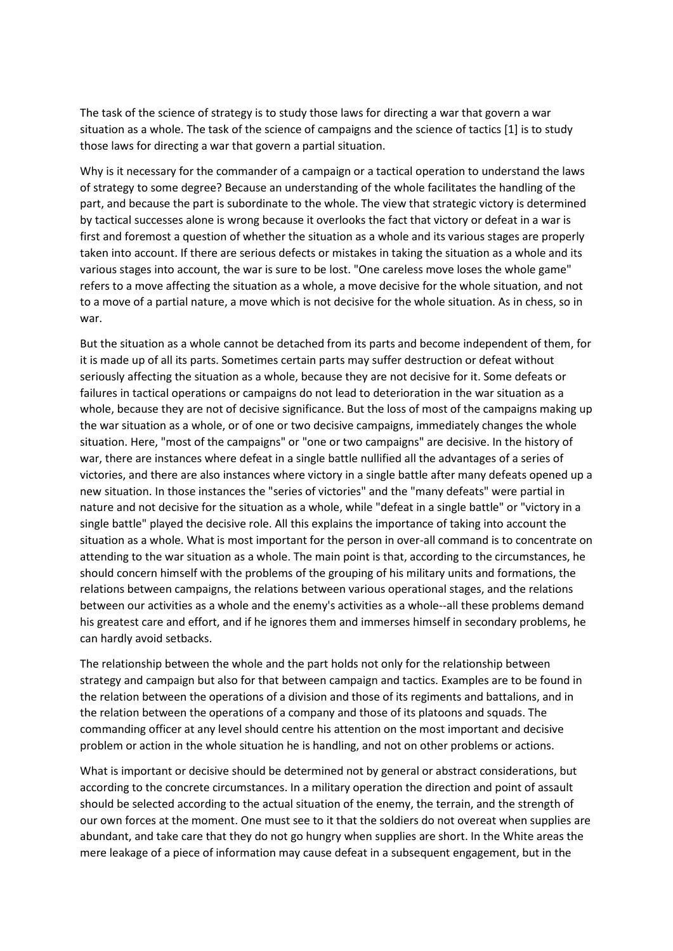The task of the science of strategy is to study those laws for directing a war that govern a war situation as a whole. The task of the science of campaigns and the science of tactics [1] is to study those laws for directing a war that govern a partial situation.

Why is it necessary for the commander of a campaign or a tactical operation to understand the laws of strategy to some degree? Because an understanding of the whole facilitates the handling of the part, and because the part is subordinate to the whole. The view that strategic victory is determined by tactical successes alone is wrong because it overlooks the fact that victory or defeat in a war is first and foremost a question of whether the situation as a whole and its various stages are properly taken into account. If there are serious defects or mistakes in taking the situation as a whole and its various stages into account, the war is sure to be lost. "One careless move loses the whole game" refers to a move affecting the situation as a whole, a move decisive for the whole situation, and not to a move of a partial nature, a move which is not decisive for the whole situation. As in chess, so in war.

But the situation as a whole cannot be detached from its parts and become independent of them, for it is made up of all its parts. Sometimes certain parts may suffer destruction or defeat without seriously affecting the situation as a whole, because they are not decisive for it. Some defeats or failures in tactical operations or campaigns do not lead to deterioration in the war situation as a whole, because they are not of decisive significance. But the loss of most of the campaigns making up the war situation as a whole, or of one or two decisive campaigns, immediately changes the whole situation. Here, "most of the campaigns" or "one or two campaigns" are decisive. In the history of war, there are instances where defeat in a single battle nullified all the advantages of a series of victories, and there are also instances where victory in a single battle after many defeats opened up a new situation. In those instances the "series of victories" and the "many defeats" were partial in nature and not decisive for the situation as a whole, while "defeat in a single battle" or "victory in a single battle" played the decisive role. All this explains the importance of taking into account the situation as a whole. What is most important for the person in over-all command is to concentrate on attending to the war situation as a whole. The main point is that, according to the circumstances, he should concern himself with the problems of the grouping of his military units and formations, the relations between campaigns, the relations between various operational stages, and the relations between our activities as a whole and the enemy's activities as a whole--all these problems demand his greatest care and effort, and if he ignores them and immerses himself in secondary problems, he can hardly avoid setbacks.

The relationship between the whole and the part holds not only for the relationship between strategy and campaign but also for that between campaign and tactics. Examples are to be found in the relation between the operations of a division and those of its regiments and battalions, and in the relation between the operations of a company and those of its platoons and squads. The commanding officer at any level should centre his attention on the most important and decisive problem or action in the whole situation he is handling, and not on other problems or actions.

What is important or decisive should be determined not by general or abstract considerations, but according to the concrete circumstances. In a military operation the direction and point of assault should be selected according to the actual situation of the enemy, the terrain, and the strength of our own forces at the moment. One must see to it that the soldiers do not overeat when supplies are abundant, and take care that they do not go hungry when supplies are short. In the White areas the mere leakage of a piece of information may cause defeat in a subsequent engagement, but in the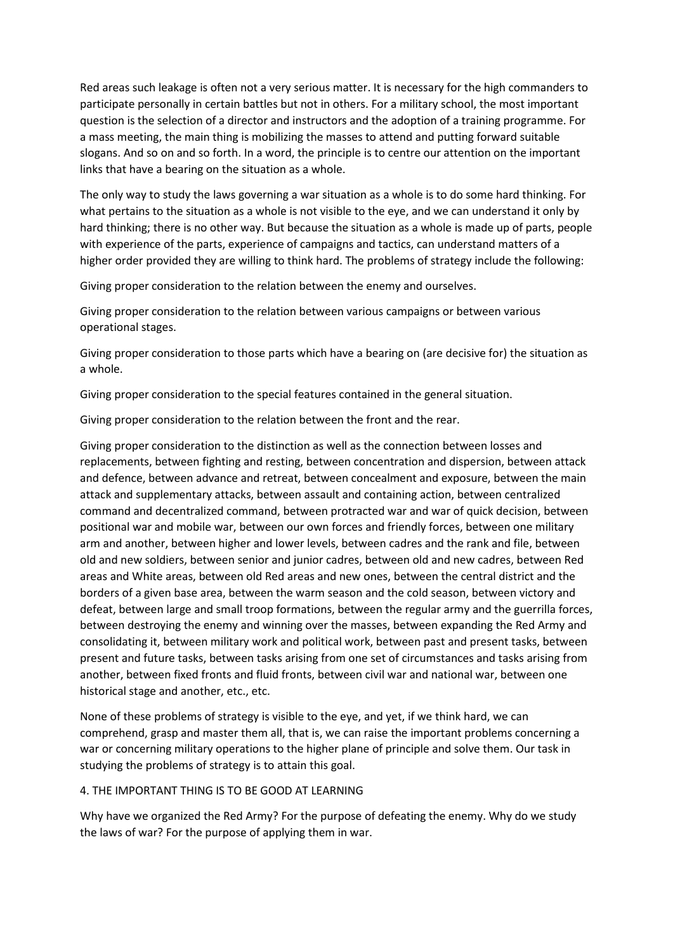Red areas such leakage is often not a very serious matter. It is necessary for the high commanders to participate personally in certain battles but not in others. For a military school, the most important question is the selection of a director and instructors and the adoption of a training programme. For a mass meeting, the main thing is mobilizing the masses to attend and putting forward suitable slogans. And so on and so forth. In a word, the principle is to centre our attention on the important links that have a bearing on the situation as a whole.

The only way to study the laws governing a war situation as a whole is to do some hard thinking. For what pertains to the situation as a whole is not visible to the eye, and we can understand it only by hard thinking; there is no other way. But because the situation as a whole is made up of parts, people with experience of the parts, experience of campaigns and tactics, can understand matters of a higher order provided they are willing to think hard. The problems of strategy include the following:

Giving proper consideration to the relation between the enemy and ourselves.

Giving proper consideration to the relation between various campaigns or between various operational stages.

Giving proper consideration to those parts which have a bearing on (are decisive for) the situation as a whole.

Giving proper consideration to the special features contained in the general situation.

Giving proper consideration to the relation between the front and the rear.

Giving proper consideration to the distinction as well as the connection between losses and replacements, between fighting and resting, between concentration and dispersion, between attack and defence, between advance and retreat, between concealment and exposure, between the main attack and supplementary attacks, between assault and containing action, between centralized command and decentralized command, between protracted war and war of quick decision, between positional war and mobile war, between our own forces and friendly forces, between one military arm and another, between higher and lower levels, between cadres and the rank and file, between old and new soldiers, between senior and junior cadres, between old and new cadres, between Red areas and White areas, between old Red areas and new ones, between the central district and the borders of a given base area, between the warm season and the cold season, between victory and defeat, between large and small troop formations, between the regular army and the guerrilla forces, between destroying the enemy and winning over the masses, between expanding the Red Army and consolidating it, between military work and political work, between past and present tasks, between present and future tasks, between tasks arising from one set of circumstances and tasks arising from another, between fixed fronts and fluid fronts, between civil war and national war, between one historical stage and another, etc., etc.

None of these problems of strategy is visible to the eye, and yet, if we think hard, we can comprehend, grasp and master them all, that is, we can raise the important problems concerning a war or concerning military operations to the higher plane of principle and solve them. Our task in studying the problems of strategy is to attain this goal.

### 4. THE IMPORTANT THING IS TO BE GOOD AT LEARNING

Why have we organized the Red Army? For the purpose of defeating the enemy. Why do we study the laws of war? For the purpose of applying them in war.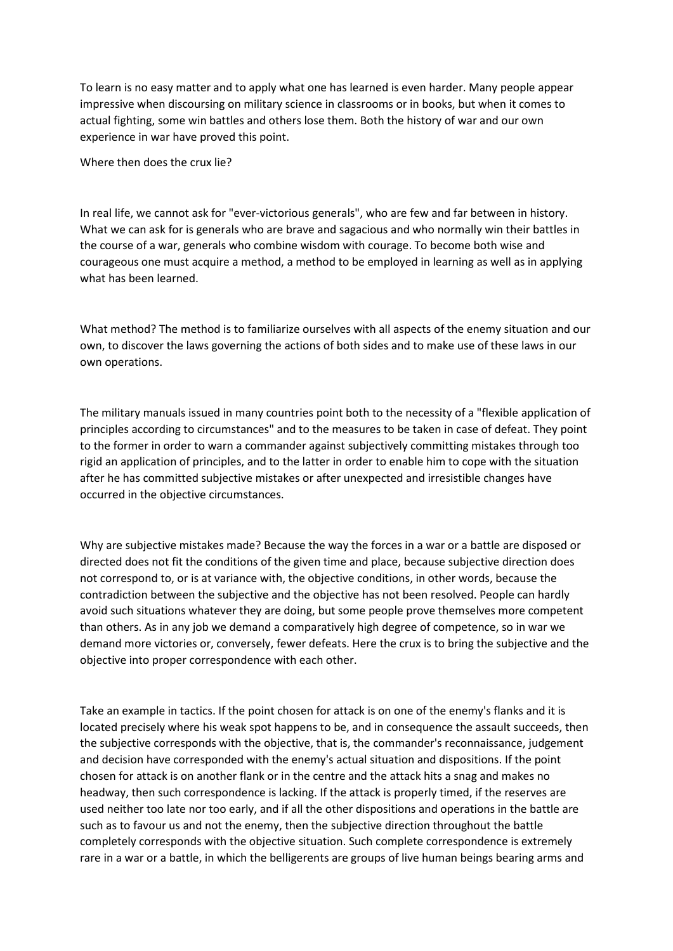To learn is no easy matter and to apply what one has learned is even harder. Many people appear impressive when discoursing on military science in classrooms or in books, but when it comes to actual fighting, some win battles and others lose them. Both the history of war and our own experience in war have proved this point.

Where then does the crux lie?

In real life, we cannot ask for "ever-victorious generals", who are few and far between in history. What we can ask for is generals who are brave and sagacious and who normally win their battles in the course of a war, generals who combine wisdom with courage. To become both wise and courageous one must acquire a method, a method to be employed in learning as well as in applying what has been learned.

What method? The method is to familiarize ourselves with all aspects of the enemy situation and our own, to discover the laws governing the actions of both sides and to make use of these laws in our own operations.

The military manuals issued in many countries point both to the necessity of a "flexible application of principles according to circumstances" and to the measures to be taken in case of defeat. They point to the former in order to warn a commander against subjectively committing mistakes through too rigid an application of principles, and to the latter in order to enable him to cope with the situation after he has committed subjective mistakes or after unexpected and irresistible changes have occurred in the objective circumstances.

Why are subjective mistakes made? Because the way the forces in a war or a battle are disposed or directed does not fit the conditions of the given time and place, because subjective direction does not correspond to, or is at variance with, the objective conditions, in other words, because the contradiction between the subjective and the objective has not been resolved. People can hardly avoid such situations whatever they are doing, but some people prove themselves more competent than others. As in any job we demand a comparatively high degree of competence, so in war we demand more victories or, conversely, fewer defeats. Here the crux is to bring the subjective and the objective into proper correspondence with each other.

Take an example in tactics. If the point chosen for attack is on one of the enemy's flanks and it is located precisely where his weak spot happens to be, and in consequence the assault succeeds, then the subjective corresponds with the objective, that is, the commander's reconnaissance, judgement and decision have corresponded with the enemy's actual situation and dispositions. If the point chosen for attack is on another flank or in the centre and the attack hits a snag and makes no headway, then such correspondence is lacking. If the attack is properly timed, if the reserves are used neither too late nor too early, and if all the other dispositions and operations in the battle are such as to favour us and not the enemy, then the subjective direction throughout the battle completely corresponds with the objective situation. Such complete correspondence is extremely rare in a war or a battle, in which the belligerents are groups of live human beings bearing arms and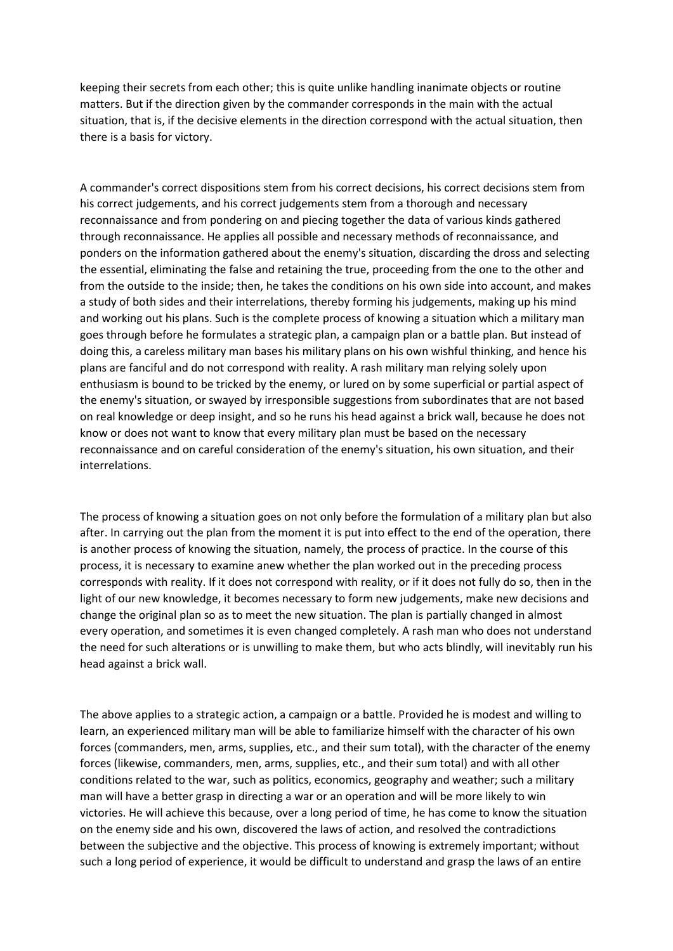keeping their secrets from each other; this is quite unlike handling inanimate objects or routine matters. But if the direction given by the commander corresponds in the main with the actual situation, that is, if the decisive elements in the direction correspond with the actual situation, then there is a basis for victory.

A commander's correct dispositions stem from his correct decisions, his correct decisions stem from his correct judgements, and his correct judgements stem from a thorough and necessary reconnaissance and from pondering on and piecing together the data of various kinds gathered through reconnaissance. He applies all possible and necessary methods of reconnaissance, and ponders on the information gathered about the enemy's situation, discarding the dross and selecting the essential, eliminating the false and retaining the true, proceeding from the one to the other and from the outside to the inside; then, he takes the conditions on his own side into account, and makes a study of both sides and their interrelations, thereby forming his judgements, making up his mind and working out his plans. Such is the complete process of knowing a situation which a military man goes through before he formulates a strategic plan, a campaign plan or a battle plan. But instead of doing this, a careless military man bases his military plans on his own wishful thinking, and hence his plans are fanciful and do not correspond with reality. A rash military man relying solely upon enthusiasm is bound to be tricked by the enemy, or lured on by some superficial or partial aspect of the enemy's situation, or swayed by irresponsible suggestions from subordinates that are not based on real knowledge or deep insight, and so he runs his head against a brick wall, because he does not know or does not want to know that every military plan must be based on the necessary reconnaissance and on careful consideration of the enemy's situation, his own situation, and their interrelations.

The process of knowing a situation goes on not only before the formulation of a military plan but also after. In carrying out the plan from the moment it is put into effect to the end of the operation, there is another process of knowing the situation, namely, the process of practice. In the course of this process, it is necessary to examine anew whether the plan worked out in the preceding process corresponds with reality. If it does not correspond with reality, or if it does not fully do so, then in the light of our new knowledge, it becomes necessary to form new judgements, make new decisions and change the original plan so as to meet the new situation. The plan is partially changed in almost every operation, and sometimes it is even changed completely. A rash man who does not understand the need for such alterations or is unwilling to make them, but who acts blindly, will inevitably run his head against a brick wall.

The above applies to a strategic action, a campaign or a battle. Provided he is modest and willing to learn, an experienced military man will be able to familiarize himself with the character of his own forces (commanders, men, arms, supplies, etc., and their sum total), with the character of the enemy forces (likewise, commanders, men, arms, supplies, etc., and their sum total) and with all other conditions related to the war, such as politics, economics, geography and weather; such a military man will have a better grasp in directing a war or an operation and will be more likely to win victories. He will achieve this because, over a long period of time, he has come to know the situation on the enemy side and his own, discovered the laws of action, and resolved the contradictions between the subjective and the objective. This process of knowing is extremely important; without such a long period of experience, it would be difficult to understand and grasp the laws of an entire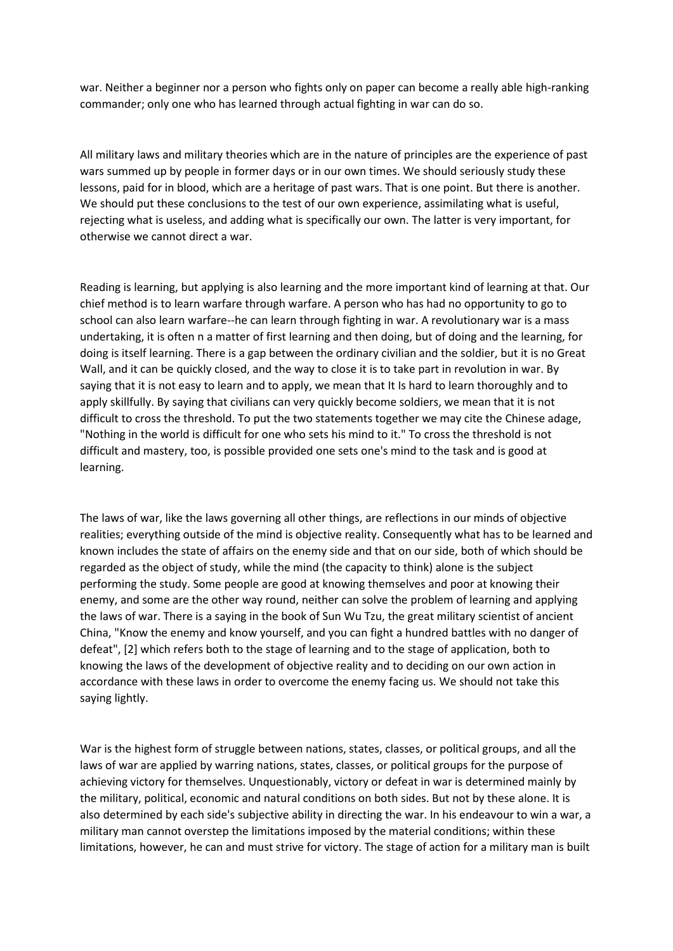war. Neither a beginner nor a person who fights only on paper can become a really able high-ranking commander; only one who has learned through actual fighting in war can do so.

All military laws and military theories which are in the nature of principles are the experience of past wars summed up by people in former days or in our own times. We should seriously study these lessons, paid for in blood, which are a heritage of past wars. That is one point. But there is another. We should put these conclusions to the test of our own experience, assimilating what is useful, rejecting what is useless, and adding what is specifically our own. The latter is very important, for otherwise we cannot direct a war.

Reading is learning, but applying is also learning and the more important kind of learning at that. Our chief method is to learn warfare through warfare. A person who has had no opportunity to go to school can also learn warfare--he can learn through fighting in war. A revolutionary war is a mass undertaking, it is often n a matter of first learning and then doing, but of doing and the learning, for doing is itself learning. There is a gap between the ordinary civilian and the soldier, but it is no Great Wall, and it can be quickly closed, and the way to close it is to take part in revolution in war. By saying that it is not easy to learn and to apply, we mean that It Is hard to learn thoroughly and to apply skillfully. By saying that civilians can very quickly become soldiers, we mean that it is not difficult to cross the threshold. To put the two statements together we may cite the Chinese adage, "Nothing in the world is difficult for one who sets his mind to it." To cross the threshold is not difficult and mastery, too, is possible provided one sets one's mind to the task and is good at learning.

The laws of war, like the laws governing all other things, are reflections in our minds of objective realities; everything outside of the mind is objective reality. Consequently what has to be learned and known includes the state of affairs on the enemy side and that on our side, both of which should be regarded as the object of study, while the mind (the capacity to think) alone is the subject performing the study. Some people are good at knowing themselves and poor at knowing their enemy, and some are the other way round, neither can solve the problem of learning and applying the laws of war. There is a saying in the book of Sun Wu Tzu, the great military scientist of ancient China, "Know the enemy and know yourself, and you can fight a hundred battles with no danger of defeat", [2] which refers both to the stage of learning and to the stage of application, both to knowing the laws of the development of objective reality and to deciding on our own action in accordance with these laws in order to overcome the enemy facing us. We should not take this saying lightly.

War is the highest form of struggle between nations, states, classes, or political groups, and all the laws of war are applied by warring nations, states, classes, or political groups for the purpose of achieving victory for themselves. Unquestionably, victory or defeat in war is determined mainly by the military, political, economic and natural conditions on both sides. But not by these alone. It is also determined by each side's subjective ability in directing the war. In his endeavour to win a war, a military man cannot overstep the limitations imposed by the material conditions; within these limitations, however, he can and must strive for victory. The stage of action for a military man is built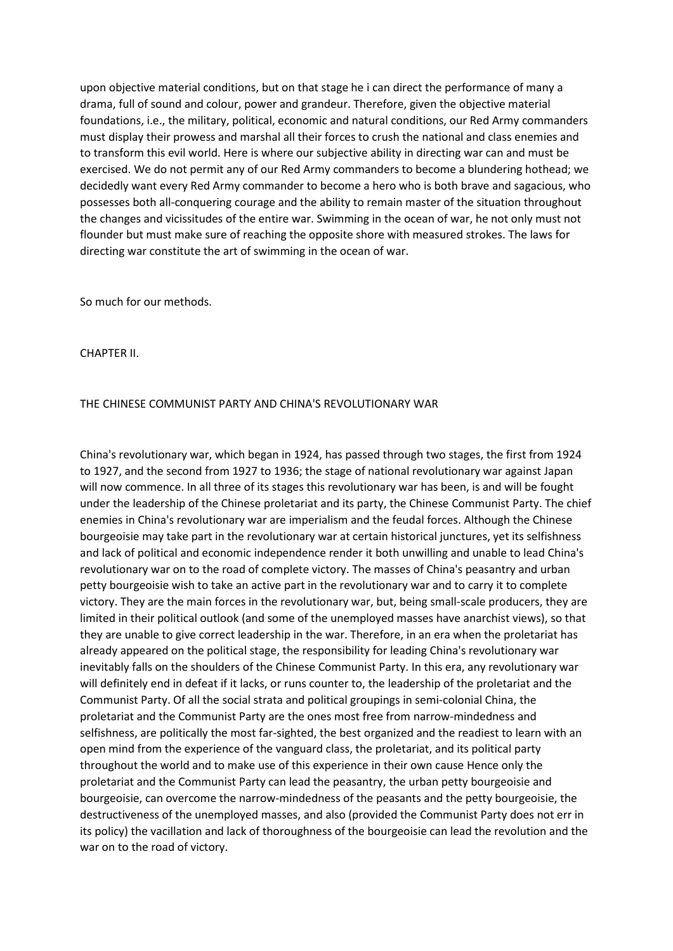upon objective material conditions, but on that stage he i can direct the performance of many a drama, full of sound and colour, power and grandeur. Therefore, given the objective material foundations, i.e., the military, political, economic and natural conditions, our Red Army commanders must display their prowess and marshal all their forces to crush the national and class enemies and to transform this evil world. Here is where our subjective ability in directing war can and must be exercised. We do not permit any of our Red Army commanders to become a blundering hothead; we decidedly want every Red Army commander to become a hero who is both brave and sagacious, who possesses both all-conquering courage and the ability to remain master of the situation throughout the changes and vicissitudes of the entire war. Swimming in the ocean of war, he not only must not flounder but must make sure of reaching the opposite shore with measured strokes. The laws for directing war constitute the art of swimming in the ocean of war.

So much for our methods.

CHAPTER II.

#### THE CHINESE COMMUNIST PARTY AND CHINA'S REVOLUTIONARY WAR

China's revolutionary war, which began in 1924, has passed through two stages, the first from 1924 to 1927, and the second from 1927 to 1936; the stage of national revolutionary war against Japan will now commence. In all three of its stages this revolutionary war has been, is and will be fought under the leadership of the Chinese proletariat and its party, the Chinese Communist Party. The chief enemies in China's revolutionary war are imperialism and the feudal forces. Although the Chinese bourgeoisie may take part in the revolutionary war at certain historical junctures, yet its selfishness and lack of political and economic independence render it both unwilling and unable to lead China's revolutionary war on to the road of complete victory. The masses of China's peasantry and urban petty bourgeoisie wish to take an active part in the revolutionary war and to carry it to complete victory. They are the main forces in the revolutionary war, but, being small-scale producers, they are limited in their political outlook (and some of the unemployed masses have anarchist views), so that they are unable to give correct leadership in the war. Therefore, in an era when the proletariat has already appeared on the political stage, the responsibility for leading China's revolutionary war inevitably falls on the shoulders of the Chinese Communist Party. In this era, any revolutionary war will definitely end in defeat if it lacks, or runs counter to, the leadership of the proletariat and the Communist Party. Of all the social strata and political groupings in semi-colonial China, the proletariat and the Communist Party are the ones most free from narrow-mindedness and selfishness, are politically the most far-sighted, the best organized and the readiest to learn with an open mind from the experience of the vanguard class, the proletariat, and its political party throughout the world and to make use of this experience in their own cause Hence only the proletariat and the Communist Party can lead the peasantry, the urban petty bourgeoisie and bourgeoisie, can overcome the narrow-mindedness of the peasants and the petty bourgeoisie, the destructiveness of the unemployed masses, and also (provided the Communist Party does not err in its policy) the vacillation and lack of thoroughness of the bourgeoisie can lead the revolution and the war on to the road of victory.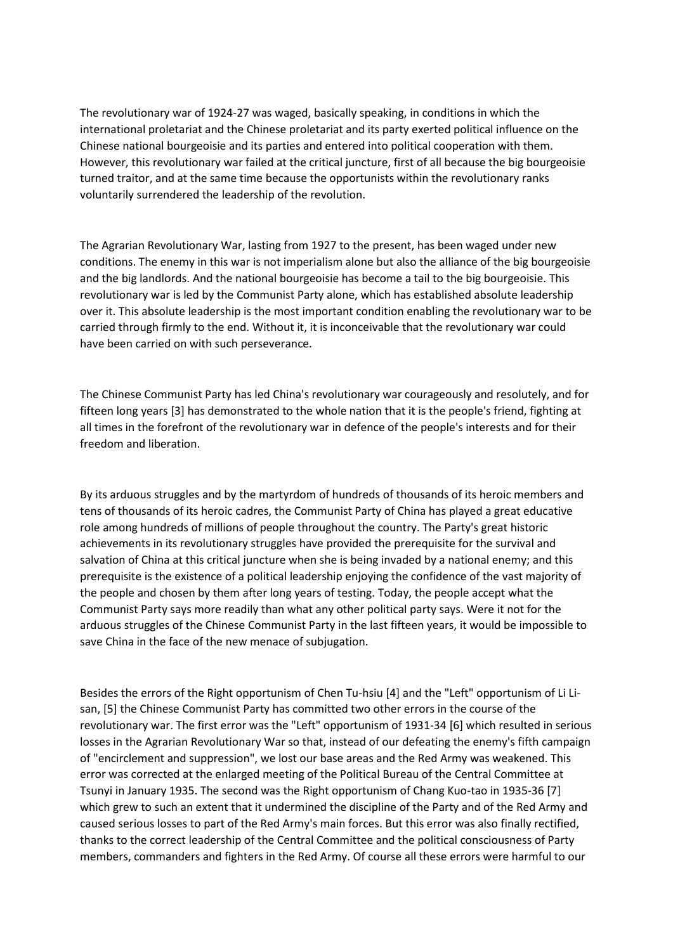The revolutionary war of 1924-27 was waged, basically speaking, in conditions in which the international proletariat and the Chinese proletariat and its party exerted political influence on the Chinese national bourgeoisie and its parties and entered into political cooperation with them. However, this revolutionary war failed at the critical juncture, first of all because the big bourgeoisie turned traitor, and at the same time because the opportunists within the revolutionary ranks voluntarily surrendered the leadership of the revolution.

The Agrarian Revolutionary War, lasting from 1927 to the present, has been waged under new conditions. The enemy in this war is not imperialism alone but also the alliance of the big bourgeoisie and the big landlords. And the national bourgeoisie has become a tail to the big bourgeoisie. This revolutionary war is led by the Communist Party alone, which has established absolute leadership over it. This absolute leadership is the most important condition enabling the revolutionary war to be carried through firmly to the end. Without it, it is inconceivable that the revolutionary war could have been carried on with such perseverance.

The Chinese Communist Party has led China's revolutionary war courageously and resolutely, and for fifteen long years [3] has demonstrated to the whole nation that it is the people's friend, fighting at all times in the forefront of the revolutionary war in defence of the people's interests and for their freedom and liberation.

By its arduous struggles and by the martyrdom of hundreds of thousands of its heroic members and tens of thousands of its heroic cadres, the Communist Party of China has played a great educative role among hundreds of millions of people throughout the country. The Party's great historic achievements in its revolutionary struggles have provided the prerequisite for the survival and salvation of China at this critical juncture when she is being invaded by a national enemy; and this prerequisite is the existence of a political leadership enjoying the confidence of the vast majority of the people and chosen by them after long years of testing. Today, the people accept what the Communist Party says more readily than what any other political party says. Were it not for the arduous struggles of the Chinese Communist Party in the last fifteen years, it would be impossible to save China in the face of the new menace of subjugation.

Besides the errors of the Right opportunism of Chen Tu-hsiu [4] and the "Left" opportunism of Li Lisan, [5] the Chinese Communist Party has committed two other errors in the course of the revolutionary war. The first error was the "Left" opportunism of 1931-34 [6] which resulted in serious losses in the Agrarian Revolutionary War so that, instead of our defeating the enemy's fifth campaign of "encirclement and suppression", we lost our base areas and the Red Army was weakened. This error was corrected at the enlarged meeting of the Political Bureau of the Central Committee at Tsunyi in January 1935. The second was the Right opportunism of Chang Kuo-tao in 1935-36 [7] which grew to such an extent that it undermined the discipline of the Party and of the Red Army and caused serious losses to part of the Red Army's main forces. But this error was also finally rectified, thanks to the correct leadership of the Central Committee and the political consciousness of Party members, commanders and fighters in the Red Army. Of course all these errors were harmful to our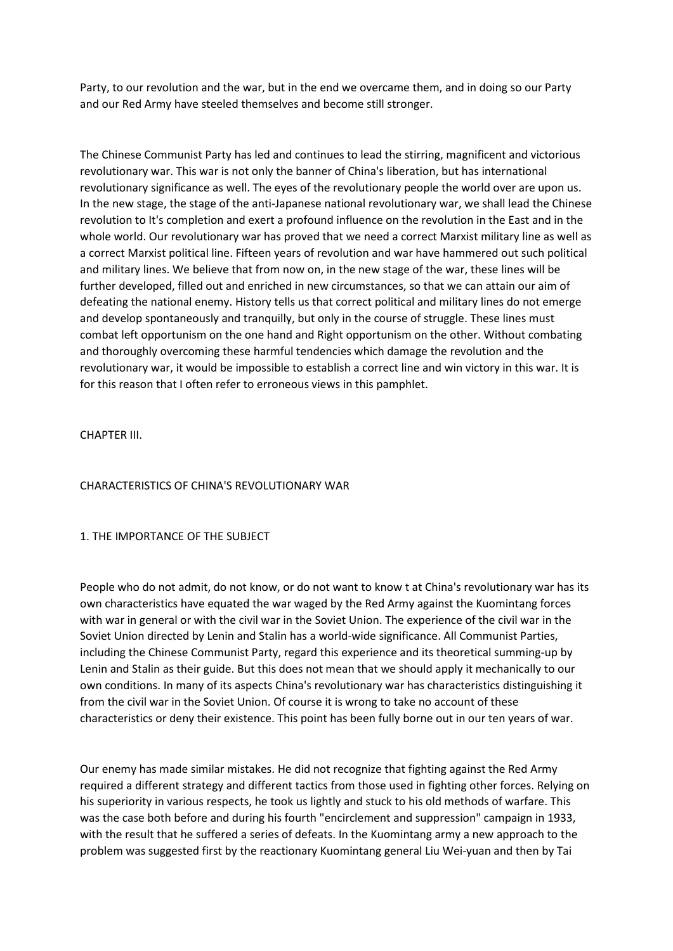Party, to our revolution and the war, but in the end we overcame them, and in doing so our Party and our Red Army have steeled themselves and become still stronger.

The Chinese Communist Party has led and continues to lead the stirring, magnificent and victorious revolutionary war. This war is not only the banner of China's liberation, but has international revolutionary significance as well. The eyes of the revolutionary people the world over are upon us. In the new stage, the stage of the anti-Japanese national revolutionary war, we shall lead the Chinese revolution to It's completion and exert a profound influence on the revolution in the East and in the whole world. Our revolutionary war has proved that we need a correct Marxist military line as well as a correct Marxist political line. Fifteen years of revolution and war have hammered out such political and military lines. We believe that from now on, in the new stage of the war, these lines will be further developed, filled out and enriched in new circumstances, so that we can attain our aim of defeating the national enemy. History tells us that correct political and military lines do not emerge and develop spontaneously and tranquilly, but only in the course of struggle. These lines must combat left opportunism on the one hand and Right opportunism on the other. Without combating and thoroughly overcoming these harmful tendencies which damage the revolution and the revolutionary war, it would be impossible to establish a correct line and win victory in this war. It is for this reason that I often refer to erroneous views in this pamphlet.

CHAPTER III.

### CHARACTERISTICS OF CHINA'S REVOLUTIONARY WAR

### 1. THE IMPORTANCE OF THE SUBJECT

People who do not admit, do not know, or do not want to know t at China's revolutionary war has its own characteristics have equated the war waged by the Red Army against the Kuomintang forces with war in general or with the civil war in the Soviet Union. The experience of the civil war in the Soviet Union directed by Lenin and Stalin has a world-wide significance. All Communist Parties, including the Chinese Communist Party, regard this experience and its theoretical summing-up by Lenin and Stalin as their guide. But this does not mean that we should apply it mechanically to our own conditions. In many of its aspects China's revolutionary war has characteristics distinguishing it from the civil war in the Soviet Union. Of course it is wrong to take no account of these characteristics or deny their existence. This point has been fully borne out in our ten years of war.

Our enemy has made similar mistakes. He did not recognize that fighting against the Red Army required a different strategy and different tactics from those used in fighting other forces. Relying on his superiority in various respects, he took us lightly and stuck to his old methods of warfare. This was the case both before and during his fourth "encirclement and suppression" campaign in 1933, with the result that he suffered a series of defeats. In the Kuomintang army a new approach to the problem was suggested first by the reactionary Kuomintang general Liu Wei-yuan and then by Tai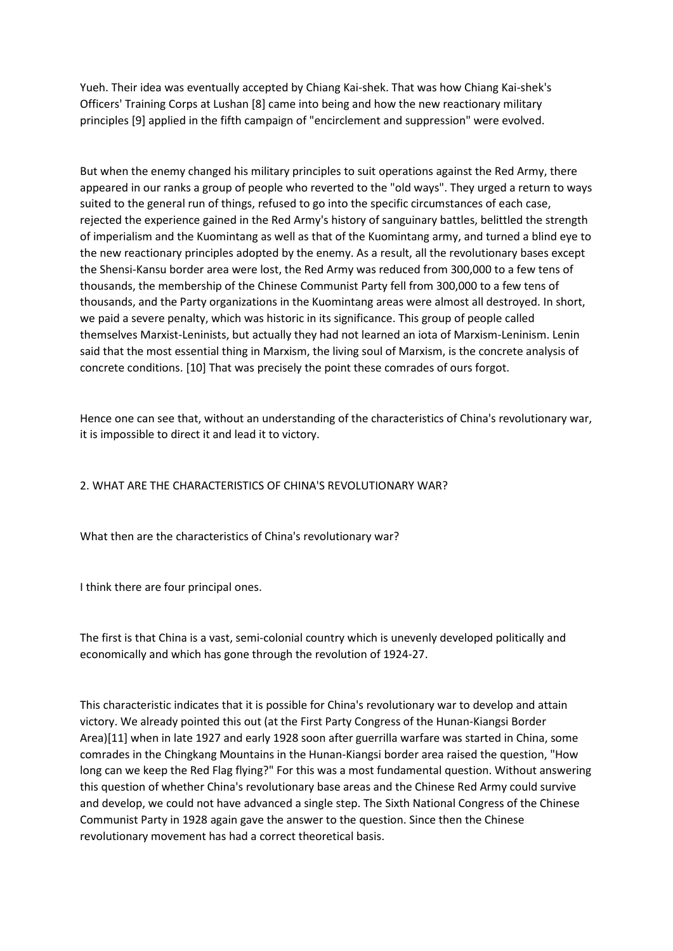Yueh. Their idea was eventually accepted by Chiang Kai-shek. That was how Chiang Kai-shek's Officers' Training Corps at Lushan [8] came into being and how the new reactionary military principles [9] applied in the fifth campaign of "encirclement and suppression" were evolved.

But when the enemy changed his military principles to suit operations against the Red Army, there appeared in our ranks a group of people who reverted to the "old ways". They urged a return to ways suited to the general run of things, refused to go into the specific circumstances of each case, rejected the experience gained in the Red Army's history of sanguinary battles, belittled the strength of imperialism and the Kuomintang as well as that of the Kuomintang army, and turned a blind eye to the new reactionary principles adopted by the enemy. As a result, all the revolutionary bases except the Shensi-Kansu border area were lost, the Red Army was reduced from 300,000 to a few tens of thousands, the membership of the Chinese Communist Party fell from 300,000 to a few tens of thousands, and the Party organizations in the Kuomintang areas were almost all destroyed. In short, we paid a severe penalty, which was historic in its significance. This group of people called themselves Marxist-Leninists, but actually they had not learned an iota of Marxism-Leninism. Lenin said that the most essential thing in Marxism, the living soul of Marxism, is the concrete analysis of concrete conditions. [10] That was precisely the point these comrades of ours forgot.

Hence one can see that, without an understanding of the characteristics of China's revolutionary war, it is impossible to direct it and lead it to victory.

# 2. WHAT ARE THE CHARACTERISTICS OF CHINA'S REVOLUTIONARY WAR?

What then are the characteristics of China's revolutionary war?

I think there are four principal ones.

The first is that China is a vast, semi-colonial country which is unevenly developed politically and economically and which has gone through the revolution of 1924-27.

This characteristic indicates that it is possible for China's revolutionary war to develop and attain victory. We already pointed this out (at the First Party Congress of the Hunan-Kiangsi Border Area)[11] when in late 1927 and early 1928 soon after guerrilla warfare was started in China, some comrades in the Chingkang Mountains in the Hunan-Kiangsi border area raised the question, "How long can we keep the Red Flag flying?" For this was a most fundamental question. Without answering this question of whether China's revolutionary base areas and the Chinese Red Army could survive and develop, we could not have advanced a single step. The Sixth National Congress of the Chinese Communist Party in 1928 again gave the answer to the question. Since then the Chinese revolutionary movement has had a correct theoretical basis.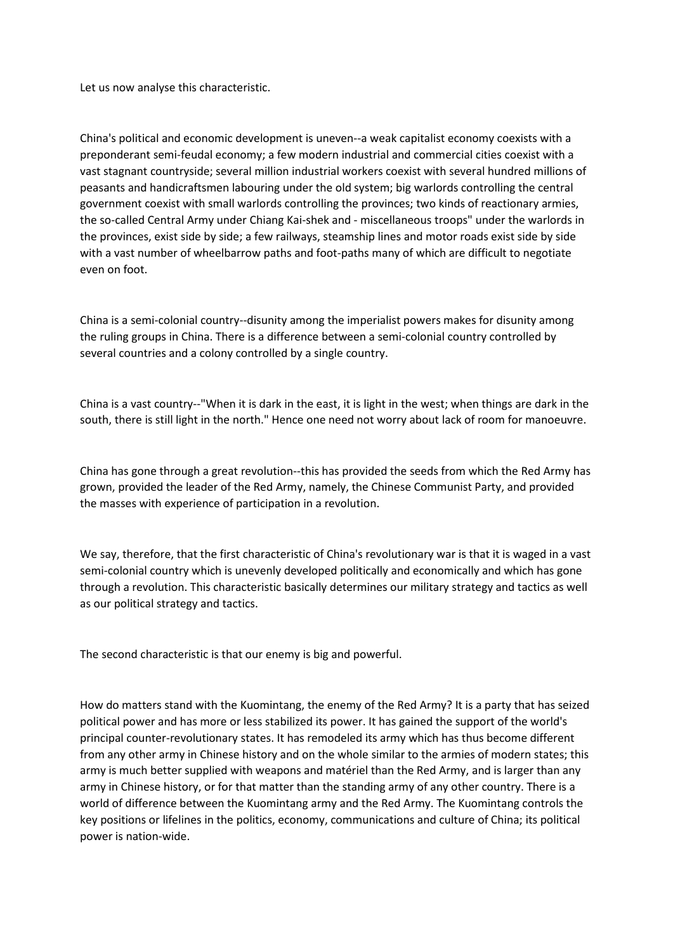Let us now analyse this characteristic.

China's political and economic development is uneven--a weak capitalist economy coexists with a preponderant semi-feudal economy; a few modern industrial and commercial cities coexist with a vast stagnant countryside; several million industrial workers coexist with several hundred millions of peasants and handicraftsmen labouring under the old system; big warlords controlling the central government coexist with small warlords controlling the provinces; two kinds of reactionary armies, the so-called Central Army under Chiang Kai-shek and - miscellaneous troops" under the warlords in the provinces, exist side by side; a few railways, steamship lines and motor roads exist side by side with a vast number of wheelbarrow paths and foot-paths many of which are difficult to negotiate even on foot.

China is a semi-colonial country--disunity among the imperialist powers makes for disunity among the ruling groups in China. There is a difference between a semi-colonial country controlled by several countries and a colony controlled by a single country.

China is a vast country--"When it is dark in the east, it is light in the west; when things are dark in the south, there is still light in the north." Hence one need not worry about lack of room for manoeuvre.

China has gone through a great revolution--this has provided the seeds from which the Red Army has grown, provided the leader of the Red Army, namely, the Chinese Communist Party, and provided the masses with experience of participation in a revolution.

We say, therefore, that the first characteristic of China's revolutionary war is that it is waged in a vast semi-colonial country which is unevenly developed politically and economically and which has gone through a revolution. This characteristic basically determines our military strategy and tactics as well as our political strategy and tactics.

The second characteristic is that our enemy is big and powerful.

How do matters stand with the Kuomintang, the enemy of the Red Army? It is a party that has seized political power and has more or less stabilized its power. It has gained the support of the world's principal counter-revolutionary states. It has remodeled its army which has thus become different from any other army in Chinese history and on the whole similar to the armies of modern states; this army is much better supplied with weapons and matériel than the Red Army, and is larger than any army in Chinese history, or for that matter than the standing army of any other country. There is a world of difference between the Kuomintang army and the Red Army. The Kuomintang controls the key positions or lifelines in the politics, economy, communications and culture of China; its political power is nation-wide.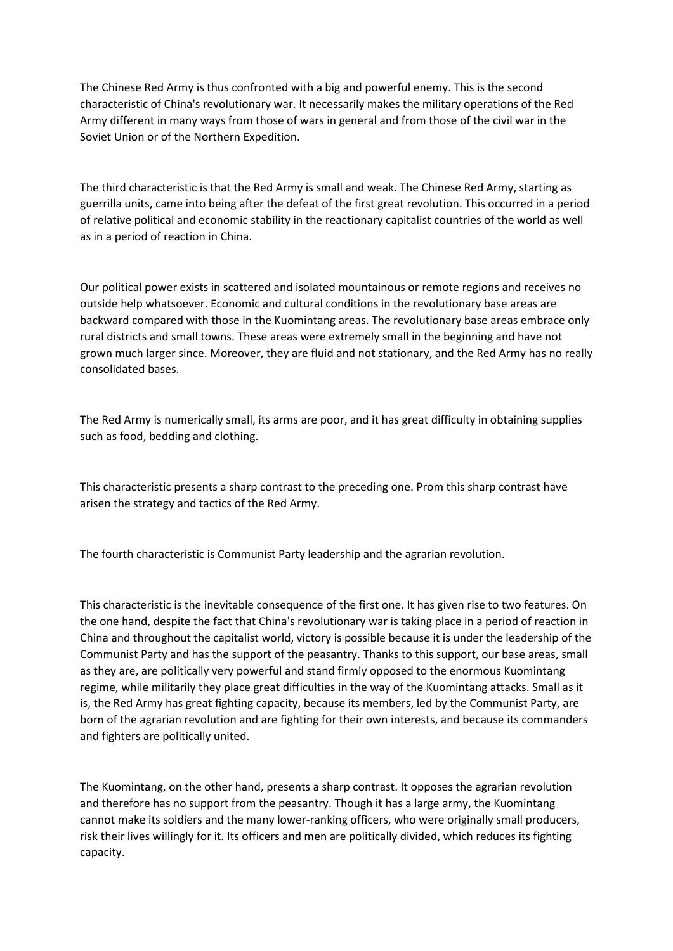The Chinese Red Army is thus confronted with a big and powerful enemy. This is the second characteristic of China's revolutionary war. It necessarily makes the military operations of the Red Army different in many ways from those of wars in general and from those of the civil war in the Soviet Union or of the Northern Expedition.

The third characteristic is that the Red Army is small and weak. The Chinese Red Army, starting as guerrilla units, came into being after the defeat of the first great revolution. This occurred in a period of relative political and economic stability in the reactionary capitalist countries of the world as well as in a period of reaction in China.

Our political power exists in scattered and isolated mountainous or remote regions and receives no outside help whatsoever. Economic and cultural conditions in the revolutionary base areas are backward compared with those in the Kuomintang areas. The revolutionary base areas embrace only rural districts and small towns. These areas were extremely small in the beginning and have not grown much larger since. Moreover, they are fluid and not stationary, and the Red Army has no really consolidated bases.

The Red Army is numerically small, its arms are poor, and it has great difficulty in obtaining supplies such as food, bedding and clothing.

This characteristic presents a sharp contrast to the preceding one. Prom this sharp contrast have arisen the strategy and tactics of the Red Army.

The fourth characteristic is Communist Party leadership and the agrarian revolution.

This characteristic is the inevitable consequence of the first one. It has given rise to two features. On the one hand, despite the fact that China's revolutionary war is taking place in a period of reaction in China and throughout the capitalist world, victory is possible because it is under the leadership of the Communist Party and has the support of the peasantry. Thanks to this support, our base areas, small as they are, are politically very powerful and stand firmly opposed to the enormous Kuomintang regime, while militarily they place great difficulties in the way of the Kuomintang attacks. Small as it is, the Red Army has great fighting capacity, because its members, led by the Communist Party, are born of the agrarian revolution and are fighting for their own interests, and because its commanders and fighters are politically united.

The Kuomintang, on the other hand, presents a sharp contrast. It opposes the agrarian revolution and therefore has no support from the peasantry. Though it has a large army, the Kuomintang cannot make its soldiers and the many lower-ranking officers, who were originally small producers, risk their lives willingly for it. Its officers and men are politically divided, which reduces its fighting capacity.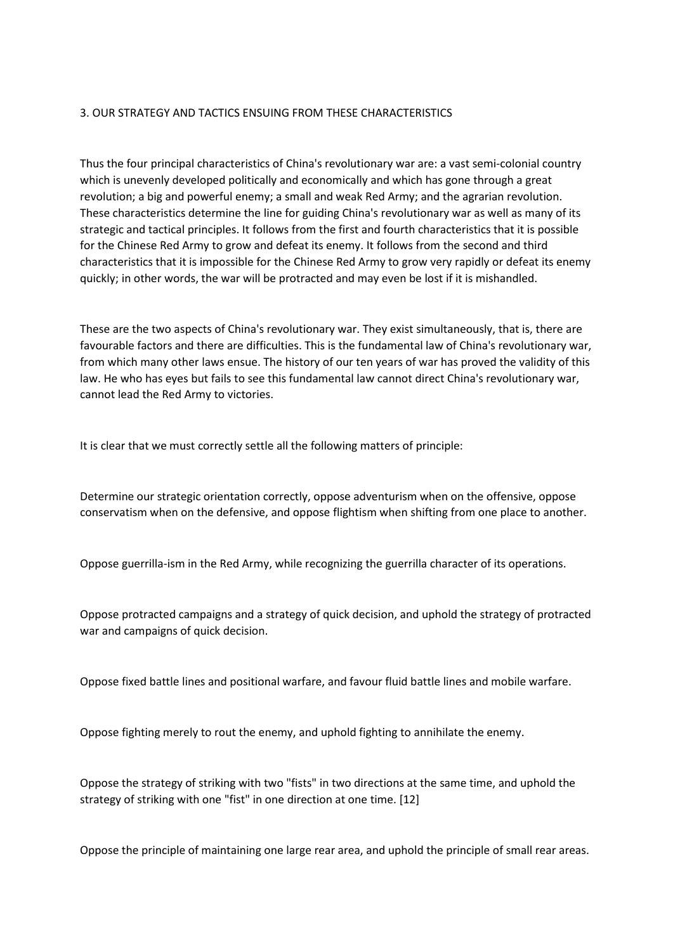# 3. OUR STRATEGY AND TACTICS ENSUING FROM THESE CHARACTERISTICS

Thus the four principal characteristics of China's revolutionary war are: a vast semi-colonial country which is unevenly developed politically and economically and which has gone through a great revolution; a big and powerful enemy; a small and weak Red Army; and the agrarian revolution. These characteristics determine the line for guiding China's revolutionary war as well as many of its strategic and tactical principles. It follows from the first and fourth characteristics that it is possible for the Chinese Red Army to grow and defeat its enemy. It follows from the second and third characteristics that it is impossible for the Chinese Red Army to grow very rapidly or defeat its enemy quickly; in other words, the war will be protracted and may even be lost if it is mishandled.

These are the two aspects of China's revolutionary war. They exist simultaneously, that is, there are favourable factors and there are difficulties. This is the fundamental law of China's revolutionary war, from which many other laws ensue. The history of our ten years of war has proved the validity of this law. He who has eyes but fails to see this fundamental law cannot direct China's revolutionary war, cannot lead the Red Army to victories.

It is clear that we must correctly settle all the following matters of principle:

Determine our strategic orientation correctly, oppose adventurism when on the offensive, oppose conservatism when on the defensive, and oppose flightism when shifting from one place to another.

Oppose guerrilla-ism in the Red Army, while recognizing the guerrilla character of its operations.

Oppose protracted campaigns and a strategy of quick decision, and uphold the strategy of protracted war and campaigns of quick decision.

Oppose fixed battle lines and positional warfare, and favour fluid battle lines and mobile warfare.

Oppose fighting merely to rout the enemy, and uphold fighting to annihilate the enemy.

Oppose the strategy of striking with two "fists" in two directions at the same time, and uphold the strategy of striking with one "fist" in one direction at one time. [12]

Oppose the principle of maintaining one large rear area, and uphold the principle of small rear areas.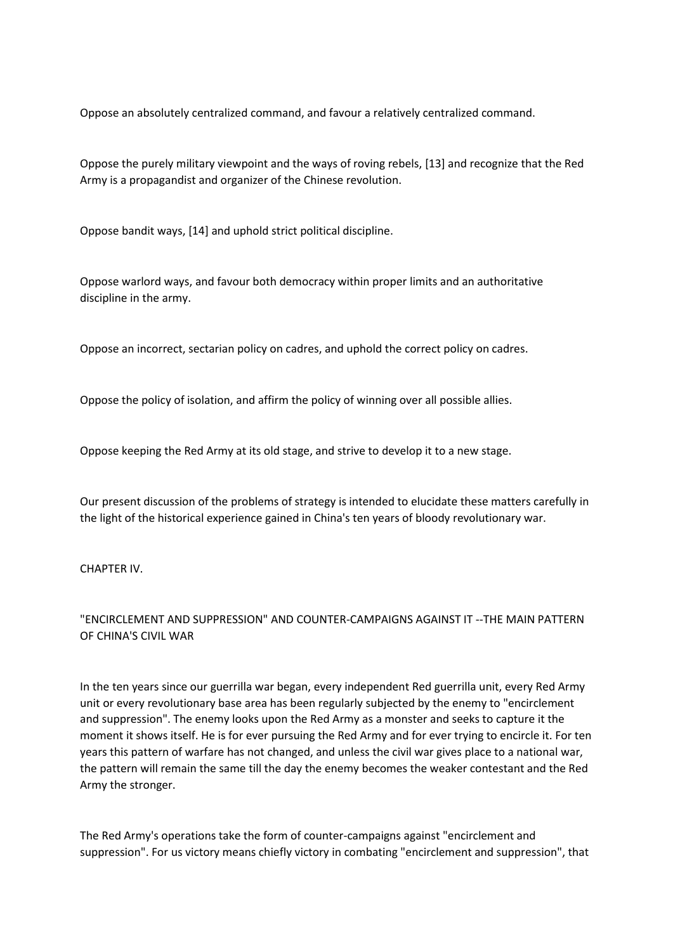Oppose an absolutely centralized command, and favour a relatively centralized command.

Oppose the purely military viewpoint and the ways of roving rebels, [13] and recognize that the Red Army is a propagandist and organizer of the Chinese revolution.

Oppose bandit ways, [14] and uphold strict political discipline.

Oppose warlord ways, and favour both democracy within proper limits and an authoritative discipline in the army.

Oppose an incorrect, sectarian policy on cadres, and uphold the correct policy on cadres.

Oppose the policy of isolation, and affirm the policy of winning over all possible allies.

Oppose keeping the Red Army at its old stage, and strive to develop it to a new stage.

Our present discussion of the problems of strategy is intended to elucidate these matters carefully in the light of the historical experience gained in China's ten years of bloody revolutionary war.

CHAPTER IV.

# "ENCIRCLEMENT AND SUPPRESSION" AND COUNTER-CAMPAIGNS AGAINST IT --THE MAIN PATTERN OF CHINA'S CIVIL WAR

In the ten years since our guerrilla war began, every independent Red guerrilla unit, every Red Army unit or every revolutionary base area has been regularly subjected by the enemy to "encirclement and suppression". The enemy looks upon the Red Army as a monster and seeks to capture it the moment it shows itself. He is for ever pursuing the Red Army and for ever trying to encircle it. For ten years this pattern of warfare has not changed, and unless the civil war gives place to a national war, the pattern will remain the same till the day the enemy becomes the weaker contestant and the Red Army the stronger.

The Red Army's operations take the form of counter-campaigns against "encirclement and suppression". For us victory means chiefly victory in combating "encirclement and suppression", that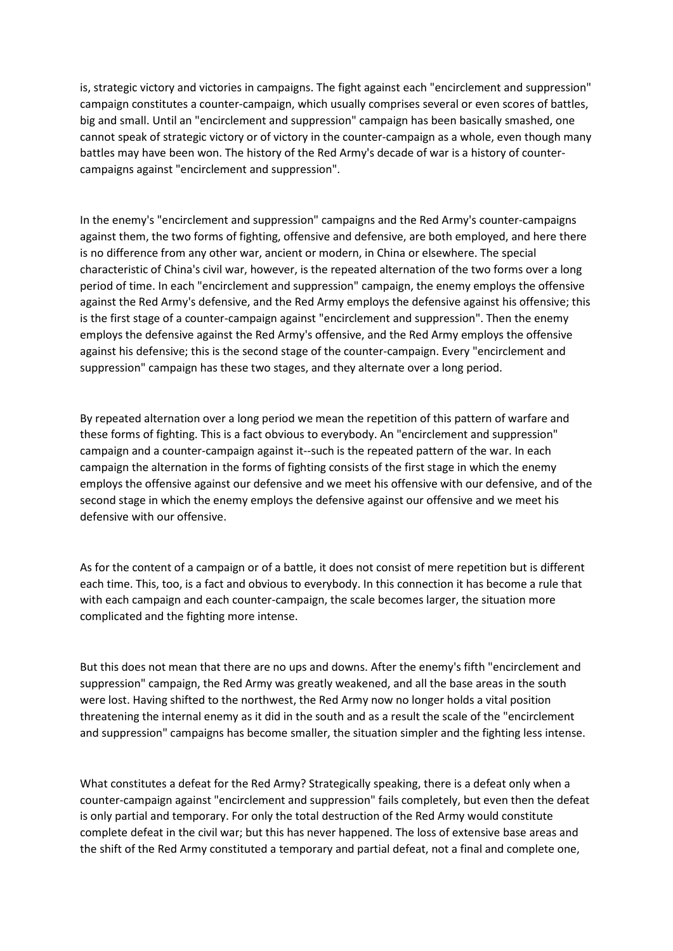is, strategic victory and victories in campaigns. The fight against each "encirclement and suppression" campaign constitutes a counter-campaign, which usually comprises several or even scores of battles, big and small. Until an "encirclement and suppression" campaign has been basically smashed, one cannot speak of strategic victory or of victory in the counter-campaign as a whole, even though many battles may have been won. The history of the Red Army's decade of war is a history of countercampaigns against "encirclement and suppression".

In the enemy's "encirclement and suppression" campaigns and the Red Army's counter-campaigns against them, the two forms of fighting, offensive and defensive, are both employed, and here there is no difference from any other war, ancient or modern, in China or elsewhere. The special characteristic of China's civil war, however, is the repeated alternation of the two forms over a long period of time. In each "encirclement and suppression" campaign, the enemy employs the offensive against the Red Army's defensive, and the Red Army employs the defensive against his offensive; this is the first stage of a counter-campaign against "encirclement and suppression". Then the enemy employs the defensive against the Red Army's offensive, and the Red Army employs the offensive against his defensive; this is the second stage of the counter-campaign. Every "encirclement and suppression" campaign has these two stages, and they alternate over a long period.

By repeated alternation over a long period we mean the repetition of this pattern of warfare and these forms of fighting. This is a fact obvious to everybody. An "encirclement and suppression" campaign and a counter-campaign against it--such is the repeated pattern of the war. In each campaign the alternation in the forms of fighting consists of the first stage in which the enemy employs the offensive against our defensive and we meet his offensive with our defensive, and of the second stage in which the enemy employs the defensive against our offensive and we meet his defensive with our offensive.

As for the content of a campaign or of a battle, it does not consist of mere repetition but is different each time. This, too, is a fact and obvious to everybody. In this connection it has become a rule that with each campaign and each counter-campaign, the scale becomes larger, the situation more complicated and the fighting more intense.

But this does not mean that there are no ups and downs. After the enemy's fifth "encirclement and suppression" campaign, the Red Army was greatly weakened, and all the base areas in the south were lost. Having shifted to the northwest, the Red Army now no longer holds a vital position threatening the internal enemy as it did in the south and as a result the scale of the "encirclement and suppression" campaigns has become smaller, the situation simpler and the fighting less intense.

What constitutes a defeat for the Red Army? Strategically speaking, there is a defeat only when a counter-campaign against "encirclement and suppression" fails completely, but even then the defeat is only partial and temporary. For only the total destruction of the Red Army would constitute complete defeat in the civil war; but this has never happened. The loss of extensive base areas and the shift of the Red Army constituted a temporary and partial defeat, not a final and complete one,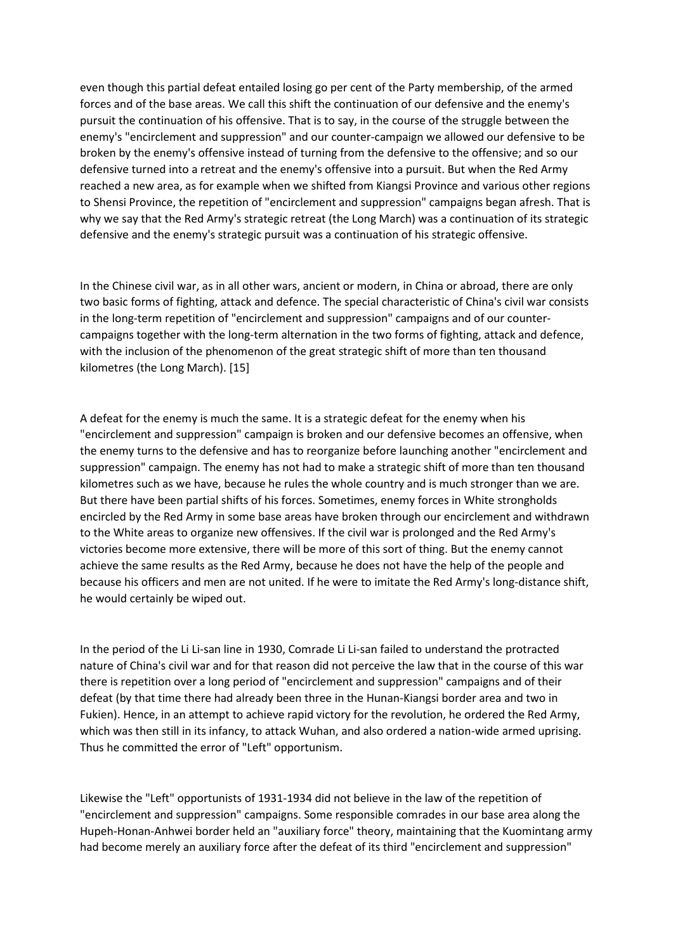even though this partial defeat entailed losing go per cent of the Party membership, of the armed forces and of the base areas. We call this shift the continuation of our defensive and the enemy's pursuit the continuation of his offensive. That is to say, in the course of the struggle between the enemy's "encirclement and suppression" and our counter-campaign we allowed our defensive to be broken by the enemy's offensive instead of turning from the defensive to the offensive; and so our defensive turned into a retreat and the enemy's offensive into a pursuit. But when the Red Army reached a new area, as for example when we shifted from Kiangsi Province and various other regions to Shensi Province, the repetition of "encirclement and suppression" campaigns began afresh. That is why we say that the Red Army's strategic retreat (the Long March) was a continuation of its strategic defensive and the enemy's strategic pursuit was a continuation of his strategic offensive.

In the Chinese civil war, as in all other wars, ancient or modern, in China or abroad, there are only two basic forms of fighting, attack and defence. The special characteristic of China's civil war consists in the long-term repetition of "encirclement and suppression" campaigns and of our countercampaigns together with the long-term alternation in the two forms of fighting, attack and defence, with the inclusion of the phenomenon of the great strategic shift of more than ten thousand kilometres (the Long March). [15]

A defeat for the enemy is much the same. It is a strategic defeat for the enemy when his "encirclement and suppression" campaign is broken and our defensive becomes an offensive, when the enemy turns to the defensive and has to reorganize before launching another "encirclement and suppression" campaign. The enemy has not had to make a strategic shift of more than ten thousand kilometres such as we have, because he rules the whole country and is much stronger than we are. But there have been partial shifts of his forces. Sometimes, enemy forces in White strongholds encircled by the Red Army in some base areas have broken through our encirclement and withdrawn to the White areas to organize new offensives. If the civil war is prolonged and the Red Army's victories become more extensive, there will be more of this sort of thing. But the enemy cannot achieve the same results as the Red Army, because he does not have the help of the people and because his officers and men are not united. If he were to imitate the Red Army's long-distance shift, he would certainly be wiped out.

In the period of the Li Li-san line in 1930, Comrade Li Li-san failed to understand the protracted nature of China's civil war and for that reason did not perceive the law that in the course of this war there is repetition over a long period of "encirclement and suppression" campaigns and of their defeat (by that time there had already been three in the Hunan-Kiangsi border area and two in Fukien). Hence, in an attempt to achieve rapid victory for the revolution, he ordered the Red Army, which was then still in its infancy, to attack Wuhan, and also ordered a nation-wide armed uprising. Thus he committed the error of "Left" opportunism.

Likewise the "Left" opportunists of 1931-1934 did not believe in the law of the repetition of "encirclement and suppression" campaigns. Some responsible comrades in our base area along the Hupeh-Honan-Anhwei border held an "auxiliary force" theory, maintaining that the Kuomintang army had become merely an auxiliary force after the defeat of its third "encirclement and suppression"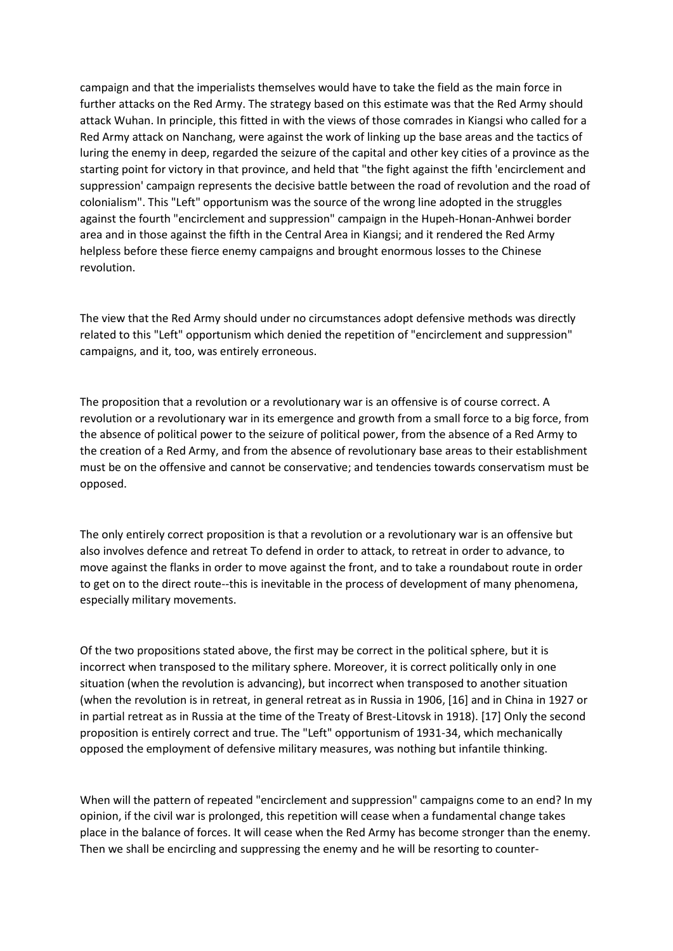campaign and that the imperialists themselves would have to take the field as the main force in further attacks on the Red Army. The strategy based on this estimate was that the Red Army should attack Wuhan. In principle, this fitted in with the views of those comrades in Kiangsi who called for a Red Army attack on Nanchang, were against the work of linking up the base areas and the tactics of luring the enemy in deep, regarded the seizure of the capital and other key cities of a province as the starting point for victory in that province, and held that "the fight against the fifth 'encirclement and suppression' campaign represents the decisive battle between the road of revolution and the road of colonialism". This "Left" opportunism was the source of the wrong line adopted in the struggles against the fourth "encirclement and suppression" campaign in the Hupeh-Honan-Anhwei border area and in those against the fifth in the Central Area in Kiangsi; and it rendered the Red Army helpless before these fierce enemy campaigns and brought enormous losses to the Chinese revolution.

The view that the Red Army should under no circumstances adopt defensive methods was directly related to this "Left" opportunism which denied the repetition of "encirclement and suppression" campaigns, and it, too, was entirely erroneous.

The proposition that a revolution or a revolutionary war is an offensive is of course correct. A revolution or a revolutionary war in its emergence and growth from a small force to a big force, from the absence of political power to the seizure of political power, from the absence of a Red Army to the creation of a Red Army, and from the absence of revolutionary base areas to their establishment must be on the offensive and cannot be conservative; and tendencies towards conservatism must be opposed.

The only entirely correct proposition is that a revolution or a revolutionary war is an offensive but also involves defence and retreat To defend in order to attack, to retreat in order to advance, to move against the flanks in order to move against the front, and to take a roundabout route in order to get on to the direct route--this is inevitable in the process of development of many phenomena, especially military movements.

Of the two propositions stated above, the first may be correct in the political sphere, but it is incorrect when transposed to the military sphere. Moreover, it is correct politically only in one situation (when the revolution is advancing), but incorrect when transposed to another situation (when the revolution is in retreat, in general retreat as in Russia in 1906, [16] and in China in 1927 or in partial retreat as in Russia at the time of the Treaty of Brest-Litovsk in 1918). [17] Only the second proposition is entirely correct and true. The "Left" opportunism of 1931-34, which mechanically opposed the employment of defensive military measures, was nothing but infantile thinking.

When will the pattern of repeated "encirclement and suppression" campaigns come to an end? In my opinion, if the civil war is prolonged, this repetition will cease when a fundamental change takes place in the balance of forces. It will cease when the Red Army has become stronger than the enemy. Then we shall be encircling and suppressing the enemy and he will be resorting to counter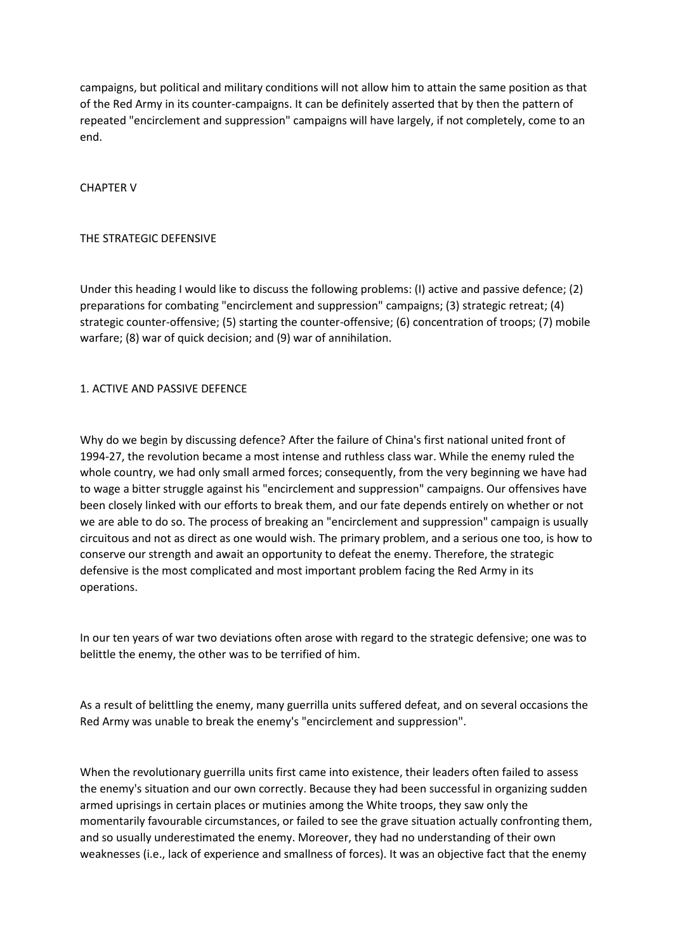campaigns, but political and military conditions will not allow him to attain the same position as that of the Red Army in its counter-campaigns. It can be definitely asserted that by then the pattern of repeated "encirclement and suppression" campaigns will have largely, if not completely, come to an end.

CHAPTER V

# THE STRATEGIC DEFENSIVE

Under this heading I would like to discuss the following problems: (I) active and passive defence; (2) preparations for combating "encirclement and suppression" campaigns; (3) strategic retreat; (4) strategic counter-offensive; (5) starting the counter-offensive; (6) concentration of troops; (7) mobile warfare; (8) war of quick decision; and (9) war of annihilation.

# 1. ACTIVE AND PASSIVE DEFENCE

Why do we begin by discussing defence? After the failure of China's first national united front of 1994-27, the revolution became a most intense and ruthless class war. While the enemy ruled the whole country, we had only small armed forces; consequently, from the very beginning we have had to wage a bitter struggle against his "encirclement and suppression" campaigns. Our offensives have been closely linked with our efforts to break them, and our fate depends entirely on whether or not we are able to do so. The process of breaking an "encirclement and suppression" campaign is usually circuitous and not as direct as one would wish. The primary problem, and a serious one too, is how to conserve our strength and await an opportunity to defeat the enemy. Therefore, the strategic defensive is the most complicated and most important problem facing the Red Army in its operations.

In our ten years of war two deviations often arose with regard to the strategic defensive; one was to belittle the enemy, the other was to be terrified of him.

As a result of belittling the enemy, many guerrilla units suffered defeat, and on several occasions the Red Army was unable to break the enemy's "encirclement and suppression".

When the revolutionary guerrilla units first came into existence, their leaders often failed to assess the enemy's situation and our own correctly. Because they had been successful in organizing sudden armed uprisings in certain places or mutinies among the White troops, they saw only the momentarily favourable circumstances, or failed to see the grave situation actually confronting them, and so usually underestimated the enemy. Moreover, they had no understanding of their own weaknesses (i.e., lack of experience and smallness of forces). It was an objective fact that the enemy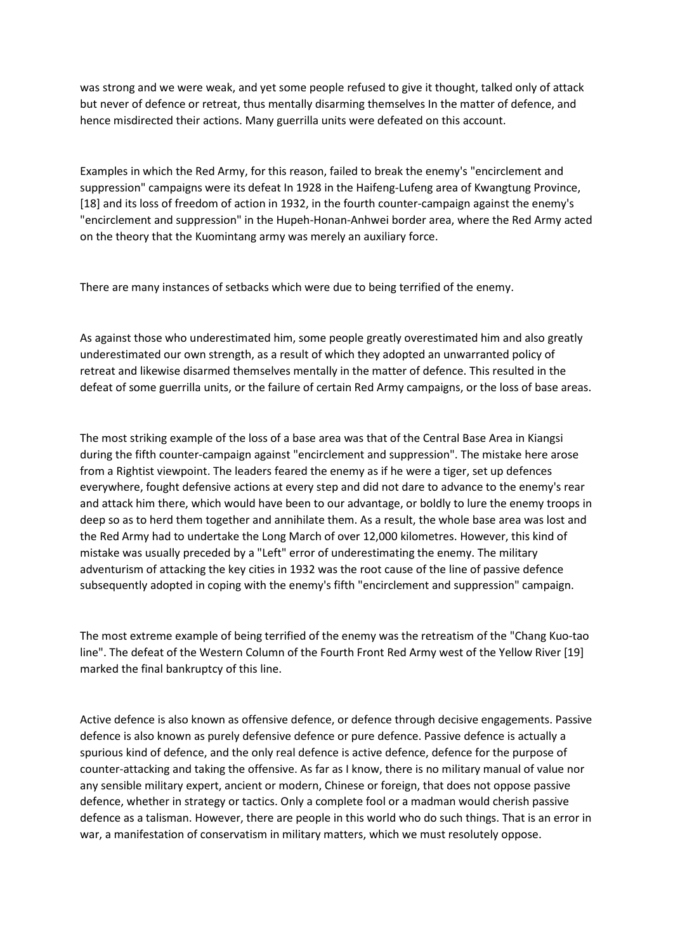was strong and we were weak, and yet some people refused to give it thought, talked only of attack but never of defence or retreat, thus mentally disarming themselves In the matter of defence, and hence misdirected their actions. Many guerrilla units were defeated on this account.

Examples in which the Red Army, for this reason, failed to break the enemy's "encirclement and suppression" campaigns were its defeat In 1928 in the Haifeng-Lufeng area of Kwangtung Province, [18] and its loss of freedom of action in 1932, in the fourth counter-campaign against the enemy's "encirclement and suppression" in the Hupeh-Honan-Anhwei border area, where the Red Army acted on the theory that the Kuomintang army was merely an auxiliary force.

There are many instances of setbacks which were due to being terrified of the enemy.

As against those who underestimated him, some people greatly overestimated him and also greatly underestimated our own strength, as a result of which they adopted an unwarranted policy of retreat and likewise disarmed themselves mentally in the matter of defence. This resulted in the defeat of some guerrilla units, or the failure of certain Red Army campaigns, or the loss of base areas.

The most striking example of the loss of a base area was that of the Central Base Area in Kiangsi during the fifth counter-campaign against "encirclement and suppression". The mistake here arose from a Rightist viewpoint. The leaders feared the enemy as if he were a tiger, set up defences everywhere, fought defensive actions at every step and did not dare to advance to the enemy's rear and attack him there, which would have been to our advantage, or boldly to lure the enemy troops in deep so as to herd them together and annihilate them. As a result, the whole base area was lost and the Red Army had to undertake the Long March of over 12,000 kilometres. However, this kind of mistake was usually preceded by a "Left" error of underestimating the enemy. The military adventurism of attacking the key cities in 1932 was the root cause of the line of passive defence subsequently adopted in coping with the enemy's fifth "encirclement and suppression" campaign.

The most extreme example of being terrified of the enemy was the retreatism of the "Chang Kuo-tao line". The defeat of the Western Column of the Fourth Front Red Army west of the Yellow River [19] marked the final bankruptcy of this line.

Active defence is also known as offensive defence, or defence through decisive engagements. Passive defence is also known as purely defensive defence or pure defence. Passive defence is actually a spurious kind of defence, and the only real defence is active defence, defence for the purpose of counter-attacking and taking the offensive. As far as I know, there is no military manual of value nor any sensible military expert, ancient or modern, Chinese or foreign, that does not oppose passive defence, whether in strategy or tactics. Only a complete fool or a madman would cherish passive defence as a talisman. However, there are people in this world who do such things. That is an error in war, a manifestation of conservatism in military matters, which we must resolutely oppose.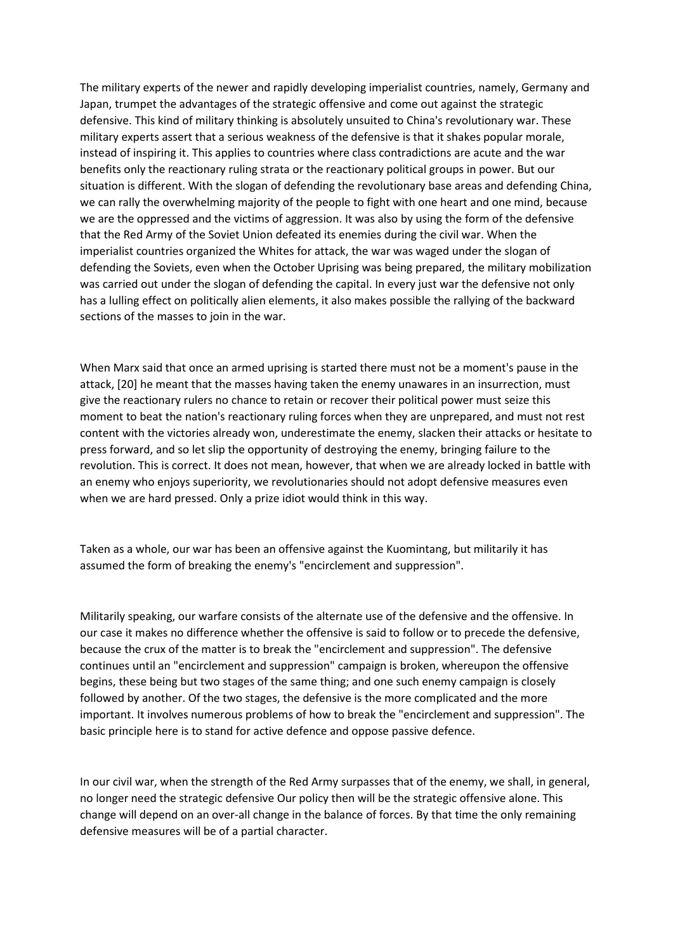The military experts of the newer and rapidly developing imperialist countries, namely, Germany and Japan, trumpet the advantages of the strategic offensive and come out against the strategic defensive. This kind of military thinking is absolutely unsuited to China's revolutionary war. These military experts assert that a serious weakness of the defensive is that it shakes popular morale, instead of inspiring it. This applies to countries where class contradictions are acute and the war benefits only the reactionary ruling strata or the reactionary political groups in power. But our situation is different. With the slogan of defending the revolutionary base areas and defending China, we can rally the overwhelming majority of the people to fight with one heart and one mind, because we are the oppressed and the victims of aggression. It was also by using the form of the defensive that the Red Army of the Soviet Union defeated its enemies during the civil war. When the imperialist countries organized the Whites for attack, the war was waged under the slogan of defending the Soviets, even when the October Uprising was being prepared, the military mobilization was carried out under the slogan of defending the capital. In every just war the defensive not only has a lulling effect on politically alien elements, it also makes possible the rallying of the backward sections of the masses to join in the war.

When Marx said that once an armed uprising is started there must not be a moment's pause in the attack, [20] he meant that the masses having taken the enemy unawares in an insurrection, must give the reactionary rulers no chance to retain or recover their political power must seize this moment to beat the nation's reactionary ruling forces when they are unprepared, and must not rest content with the victories already won, underestimate the enemy, slacken their attacks or hesitate to press forward, and so let slip the opportunity of destroying the enemy, bringing failure to the revolution. This is correct. It does not mean, however, that when we are already locked in battle with an enemy who enjoys superiority, we revolutionaries should not adopt defensive measures even when we are hard pressed. Only a prize idiot would think in this way.

Taken as a whole, our war has been an offensive against the Kuomintang, but militarily it has assumed the form of breaking the enemy's "encirclement and suppression".

Militarily speaking, our warfare consists of the alternate use of the defensive and the offensive. In our case it makes no difference whether the offensive is said to follow or to precede the defensive, because the crux of the matter is to break the "encirclement and suppression". The defensive continues until an "encirclement and suppression" campaign is broken, whereupon the offensive begins, these being but two stages of the same thing; and one such enemy campaign is closely followed by another. Of the two stages, the defensive is the more complicated and the more important. It involves numerous problems of how to break the "encirclement and suppression". The basic principle here is to stand for active defence and oppose passive defence.

In our civil war, when the strength of the Red Army surpasses that of the enemy, we shall, in general, no longer need the strategic defensive Our policy then will be the strategic offensive alone. This change will depend on an over-all change in the balance of forces. By that time the only remaining defensive measures will be of a partial character.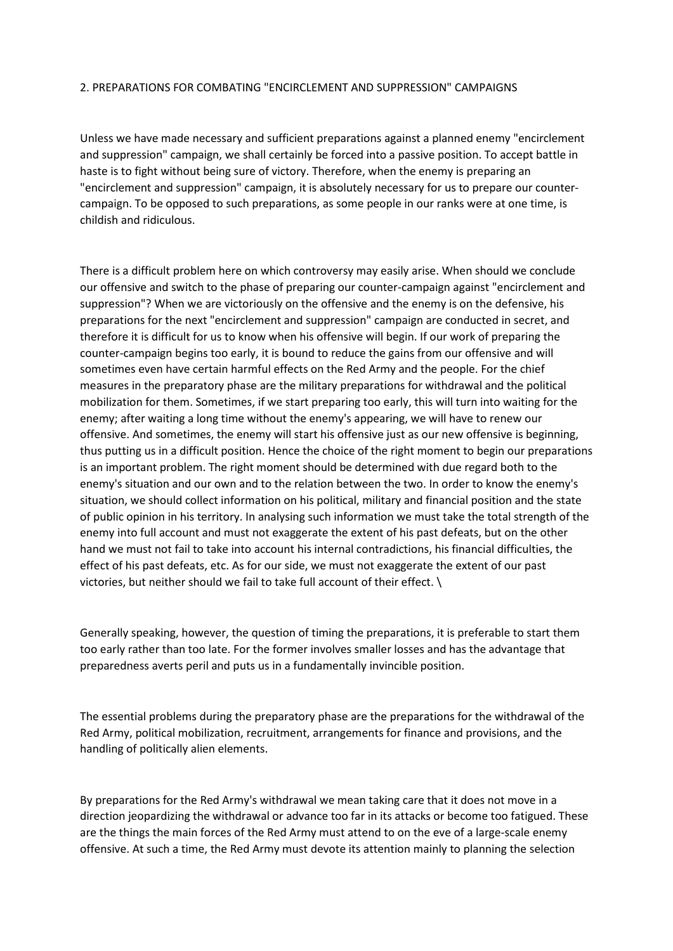#### 2. PREPARATIONS FOR COMBATING "ENCIRCLEMENT AND SUPPRESSION" CAMPAIGNS

Unless we have made necessary and sufficient preparations against a planned enemy "encirclement and suppression" campaign, we shall certainly be forced into a passive position. To accept battle in haste is to fight without being sure of victory. Therefore, when the enemy is preparing an "encirclement and suppression" campaign, it is absolutely necessary for us to prepare our countercampaign. To be opposed to such preparations, as some people in our ranks were at one time, is childish and ridiculous.

There is a difficult problem here on which controversy may easily arise. When should we conclude our offensive and switch to the phase of preparing our counter-campaign against "encirclement and suppression"? When we are victoriously on the offensive and the enemy is on the defensive, his preparations for the next "encirclement and suppression" campaign are conducted in secret, and therefore it is difficult for us to know when his offensive will begin. If our work of preparing the counter-campaign begins too early, it is bound to reduce the gains from our offensive and will sometimes even have certain harmful effects on the Red Army and the people. For the chief measures in the preparatory phase are the military preparations for withdrawal and the political mobilization for them. Sometimes, if we start preparing too early, this will turn into waiting for the enemy; after waiting a long time without the enemy's appearing, we will have to renew our offensive. And sometimes, the enemy will start his offensive just as our new offensive is beginning, thus putting us in a difficult position. Hence the choice of the right moment to begin our preparations is an important problem. The right moment should be determined with due regard both to the enemy's situation and our own and to the relation between the two. In order to know the enemy's situation, we should collect information on his political, military and financial position and the state of public opinion in his territory. In analysing such information we must take the total strength of the enemy into full account and must not exaggerate the extent of his past defeats, but on the other hand we must not fail to take into account his internal contradictions, his financial difficulties, the effect of his past defeats, etc. As for our side, we must not exaggerate the extent of our past victories, but neither should we fail to take full account of their effect. \

Generally speaking, however, the question of timing the preparations, it is preferable to start them too early rather than too late. For the former involves smaller losses and has the advantage that preparedness averts peril and puts us in a fundamentally invincible position.

The essential problems during the preparatory phase are the preparations for the withdrawal of the Red Army, political mobilization, recruitment, arrangements for finance and provisions, and the handling of politically alien elements.

By preparations for the Red Army's withdrawal we mean taking care that it does not move in a direction jeopardizing the withdrawal or advance too far in its attacks or become too fatigued. These are the things the main forces of the Red Army must attend to on the eve of a large-scale enemy offensive. At such a time, the Red Army must devote its attention mainly to planning the selection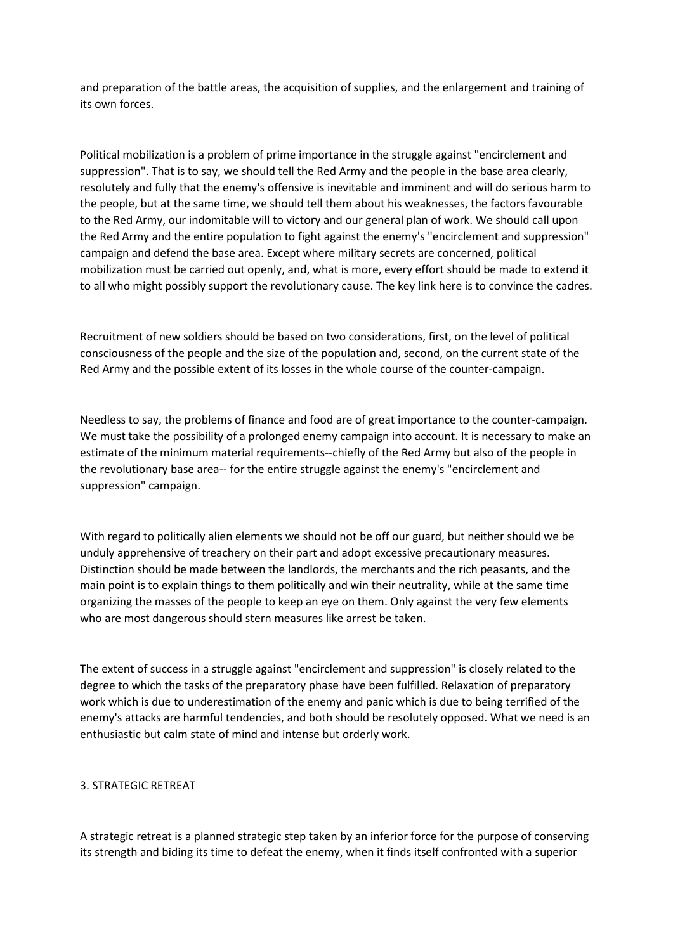and preparation of the battle areas, the acquisition of supplies, and the enlargement and training of its own forces.

Political mobilization is a problem of prime importance in the struggle against "encirclement and suppression". That is to say, we should tell the Red Army and the people in the base area clearly, resolutely and fully that the enemy's offensive is inevitable and imminent and will do serious harm to the people, but at the same time, we should tell them about his weaknesses, the factors favourable to the Red Army, our indomitable will to victory and our general plan of work. We should call upon the Red Army and the entire population to fight against the enemy's "encirclement and suppression" campaign and defend the base area. Except where military secrets are concerned, political mobilization must be carried out openly, and, what is more, every effort should be made to extend it to all who might possibly support the revolutionary cause. The key link here is to convince the cadres.

Recruitment of new soldiers should be based on two considerations, first, on the level of political consciousness of the people and the size of the population and, second, on the current state of the Red Army and the possible extent of its losses in the whole course of the counter-campaign.

Needless to say, the problems of finance and food are of great importance to the counter-campaign. We must take the possibility of a prolonged enemy campaign into account. It is necessary to make an estimate of the minimum material requirements--chiefly of the Red Army but also of the people in the revolutionary base area-- for the entire struggle against the enemy's "encirclement and suppression" campaign.

With regard to politically alien elements we should not be off our guard, but neither should we be unduly apprehensive of treachery on their part and adopt excessive precautionary measures. Distinction should be made between the landlords, the merchants and the rich peasants, and the main point is to explain things to them politically and win their neutrality, while at the same time organizing the masses of the people to keep an eye on them. Only against the very few elements who are most dangerous should stern measures like arrest be taken.

The extent of success in a struggle against "encirclement and suppression" is closely related to the degree to which the tasks of the preparatory phase have been fulfilled. Relaxation of preparatory work which is due to underestimation of the enemy and panic which is due to being terrified of the enemy's attacks are harmful tendencies, and both should be resolutely opposed. What we need is an enthusiastic but calm state of mind and intense but orderly work.

### 3. STRATEGIC RETREAT

A strategic retreat is a planned strategic step taken by an inferior force for the purpose of conserving its strength and biding its time to defeat the enemy, when it finds itself confronted with a superior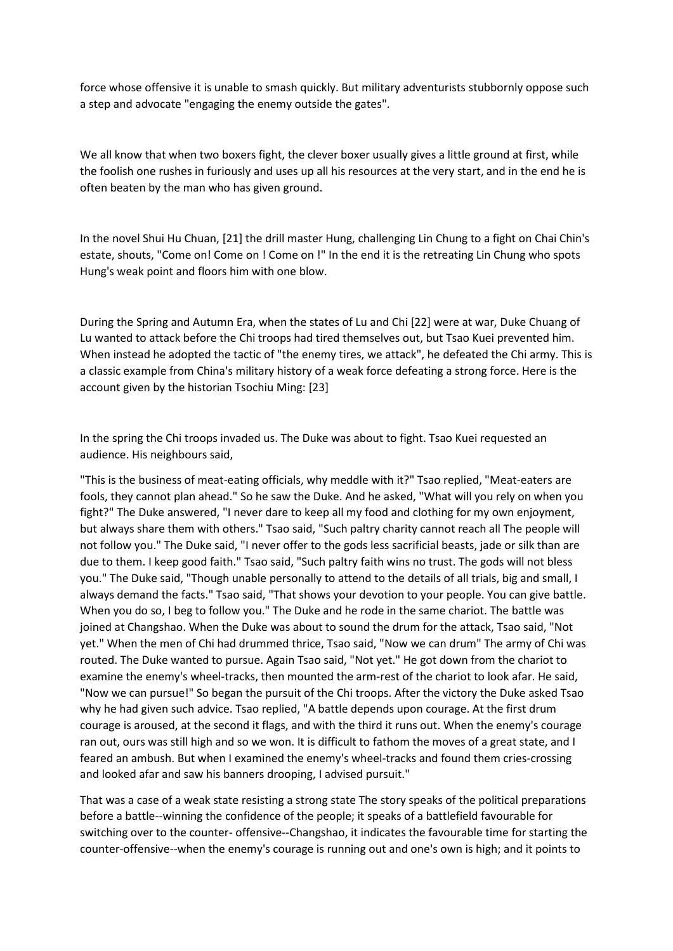force whose offensive it is unable to smash quickly. But military adventurists stubbornly oppose such a step and advocate "engaging the enemy outside the gates".

We all know that when two boxers fight, the clever boxer usually gives a little ground at first, while the foolish one rushes in furiously and uses up all his resources at the very start, and in the end he is often beaten by the man who has given ground.

In the novel Shui Hu Chuan, [21] the drill master Hung, challenging Lin Chung to a fight on Chai Chin's estate, shouts, "Come on! Come on ! Come on !" In the end it is the retreating Lin Chung who spots Hung's weak point and floors him with one blow.

During the Spring and Autumn Era, when the states of Lu and Chi [22] were at war, Duke Chuang of Lu wanted to attack before the Chi troops had tired themselves out, but Tsao Kuei prevented him. When instead he adopted the tactic of "the enemy tires, we attack", he defeated the Chi army. This is a classic example from China's military history of a weak force defeating a strong force. Here is the account given by the historian Tsochiu Ming: [23]

In the spring the Chi troops invaded us. The Duke was about to fight. Tsao Kuei requested an audience. His neighbours said,

"This is the business of meat-eating officials, why meddle with it?" Tsao replied, "Meat-eaters are fools, they cannot plan ahead." So he saw the Duke. And he asked, "What will you rely on when you fight?" The Duke answered, "I never dare to keep all my food and clothing for my own enjoyment, but always share them with others." Tsao said, "Such paltry charity cannot reach all The people will not follow you." The Duke said, "I never offer to the gods less sacrificial beasts, jade or silk than are due to them. I keep good faith." Tsao said, "Such paltry faith wins no trust. The gods will not bless you." The Duke said, "Though unable personally to attend to the details of all trials, big and small, I always demand the facts." Tsao said, "That shows your devotion to your people. You can give battle. When you do so, I beg to follow you." The Duke and he rode in the same chariot. The battle was joined at Changshao. When the Duke was about to sound the drum for the attack, Tsao said, "Not yet." When the men of Chi had drummed thrice, Tsao said, "Now we can drum" The army of Chi was routed. The Duke wanted to pursue. Again Tsao said, "Not yet." He got down from the chariot to examine the enemy's wheel-tracks, then mounted the arm-rest of the chariot to look afar. He said, "Now we can pursue!" So began the pursuit of the Chi troops. After the victory the Duke asked Tsao why he had given such advice. Tsao replied, "A battle depends upon courage. At the first drum courage is aroused, at the second it flags, and with the third it runs out. When the enemy's courage ran out, ours was still high and so we won. It is difficult to fathom the moves of a great state, and I feared an ambush. But when I examined the enemy's wheel-tracks and found them cries-crossing and looked afar and saw his banners drooping, I advised pursuit."

That was a case of a weak state resisting a strong state The story speaks of the political preparations before a battle--winning the confidence of the people; it speaks of a battlefield favourable for switching over to the counter- offensive--Changshao, it indicates the favourable time for starting the counter-offensive--when the enemy's courage is running out and one's own is high; and it points to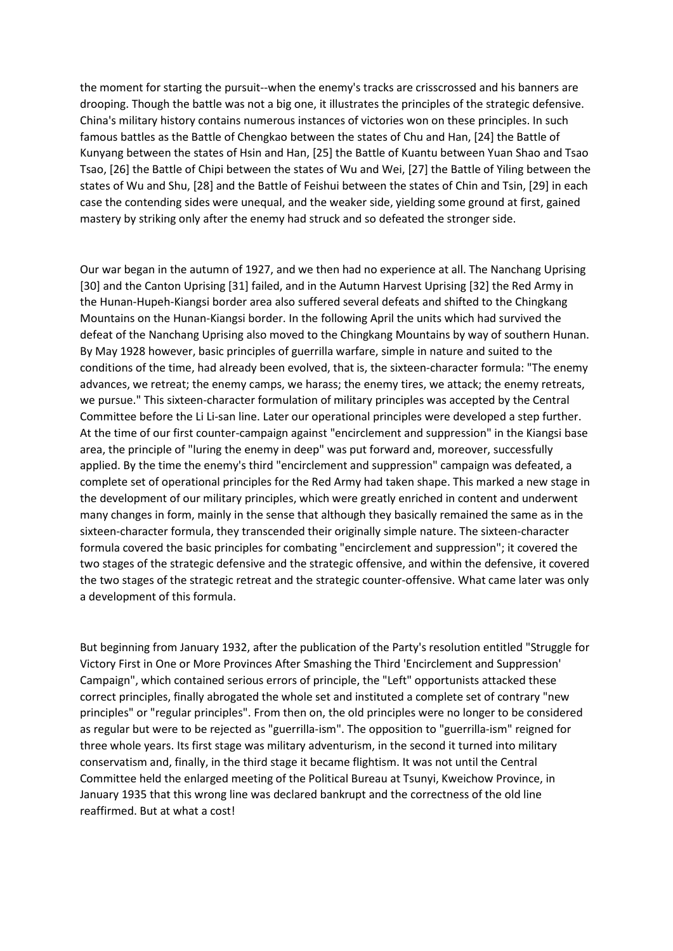the moment for starting the pursuit--when the enemy's tracks are crisscrossed and his banners are drooping. Though the battle was not a big one, it illustrates the principles of the strategic defensive. China's military history contains numerous instances of victories won on these principles. In such famous battles as the Battle of Chengkao between the states of Chu and Han, [24] the Battle of Kunyang between the states of Hsin and Han, [25] the Battle of Kuantu between Yuan Shao and Tsao Tsao, [26] the Battle of Chipi between the states of Wu and Wei, [27] the Battle of Yiling between the states of Wu and Shu, [28] and the Battle of Feishui between the states of Chin and Tsin, [29] in each case the contending sides were unequal, and the weaker side, yielding some ground at first, gained mastery by striking only after the enemy had struck and so defeated the stronger side.

Our war began in the autumn of 1927, and we then had no experience at all. The Nanchang Uprising [30] and the Canton Uprising [31] failed, and in the Autumn Harvest Uprising [32] the Red Army in the Hunan-Hupeh-Kiangsi border area also suffered several defeats and shifted to the Chingkang Mountains on the Hunan-Kiangsi border. In the following April the units which had survived the defeat of the Nanchang Uprising also moved to the Chingkang Mountains by way of southern Hunan. By May 1928 however, basic principles of guerrilla warfare, simple in nature and suited to the conditions of the time, had already been evolved, that is, the sixteen-character formula: "The enemy advances, we retreat; the enemy camps, we harass; the enemy tires, we attack; the enemy retreats, we pursue." This sixteen-character formulation of military principles was accepted by the Central Committee before the Li Li-san line. Later our operational principles were developed a step further. At the time of our first counter-campaign against "encirclement and suppression" in the Kiangsi base area, the principle of "luring the enemy in deep" was put forward and, moreover, successfully applied. By the time the enemy's third "encirclement and suppression" campaign was defeated, a complete set of operational principles for the Red Army had taken shape. This marked a new stage in the development of our military principles, which were greatly enriched in content and underwent many changes in form, mainly in the sense that although they basically remained the same as in the sixteen-character formula, they transcended their originally simple nature. The sixteen-character formula covered the basic principles for combating "encirclement and suppression"; it covered the two stages of the strategic defensive and the strategic offensive, and within the defensive, it covered the two stages of the strategic retreat and the strategic counter-offensive. What came later was only a development of this formula.

But beginning from January 1932, after the publication of the Party's resolution entitled "Struggle for Victory First in One or More Provinces After Smashing the Third 'Encirclement and Suppression' Campaign", which contained serious errors of principle, the "Left" opportunists attacked these correct principles, finally abrogated the whole set and instituted a complete set of contrary "new principles" or "regular principles". From then on, the old principles were no longer to be considered as regular but were to be rejected as "guerrilla-ism". The opposition to "guerrilla-ism" reigned for three whole years. Its first stage was military adventurism, in the second it turned into military conservatism and, finally, in the third stage it became flightism. It was not until the Central Committee held the enlarged meeting of the Political Bureau at Tsunyi, Kweichow Province, in January 1935 that this wrong line was declared bankrupt and the correctness of the old line reaffirmed. But at what a cost!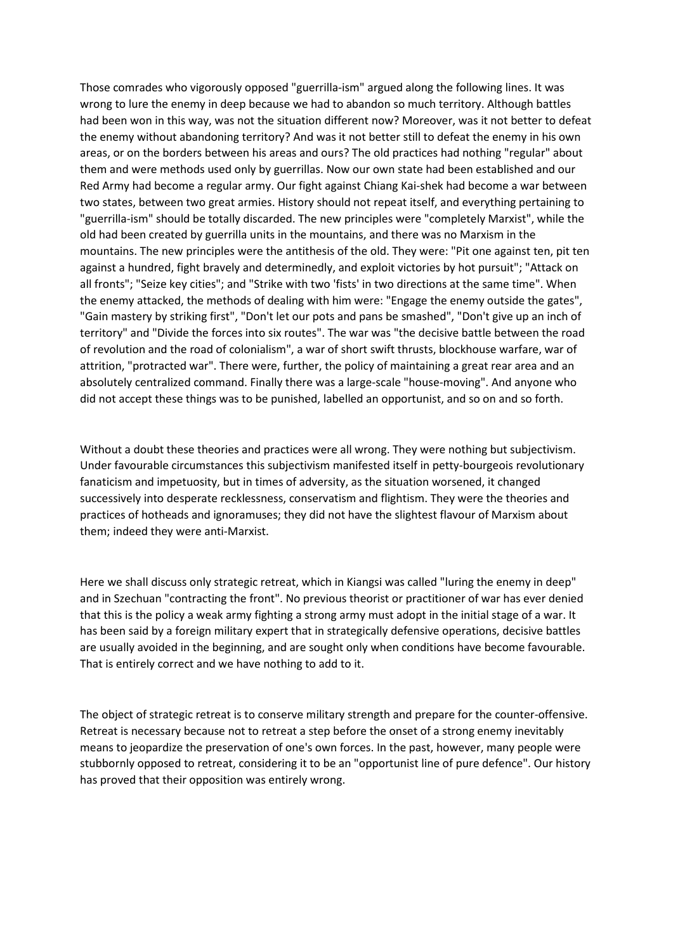Those comrades who vigorously opposed "guerrilla-ism" argued along the following lines. It was wrong to lure the enemy in deep because we had to abandon so much territory. Although battles had been won in this way, was not the situation different now? Moreover, was it not better to defeat the enemy without abandoning territory? And was it not better still to defeat the enemy in his own areas, or on the borders between his areas and ours? The old practices had nothing "regular" about them and were methods used only by guerrillas. Now our own state had been established and our Red Army had become a regular army. Our fight against Chiang Kai-shek had become a war between two states, between two great armies. History should not repeat itself, and everything pertaining to "guerrilla-ism" should be totally discarded. The new principles were "completely Marxist", while the old had been created by guerrilla units in the mountains, and there was no Marxism in the mountains. The new principles were the antithesis of the old. They were: "Pit one against ten, pit ten against a hundred, fight bravely and determinedly, and exploit victories by hot pursuit"; "Attack on all fronts"; "Seize key cities"; and "Strike with two 'fists' in two directions at the same time". When the enemy attacked, the methods of dealing with him were: "Engage the enemy outside the gates", "Gain mastery by striking first", "Don't let our pots and pans be smashed", "Don't give up an inch of territory" and "Divide the forces into six routes". The war was "the decisive battle between the road of revolution and the road of colonialism", a war of short swift thrusts, blockhouse warfare, war of attrition, "protracted war". There were, further, the policy of maintaining a great rear area and an absolutely centralized command. Finally there was a large-scale "house-moving". And anyone who did not accept these things was to be punished, labelled an opportunist, and so on and so forth.

Without a doubt these theories and practices were all wrong. They were nothing but subjectivism. Under favourable circumstances this subjectivism manifested itself in petty-bourgeois revolutionary fanaticism and impetuosity, but in times of adversity, as the situation worsened, it changed successively into desperate recklessness, conservatism and flightism. They were the theories and practices of hotheads and ignoramuses; they did not have the slightest flavour of Marxism about them; indeed they were anti-Marxist.

Here we shall discuss only strategic retreat, which in Kiangsi was called "luring the enemy in deep" and in Szechuan "contracting the front". No previous theorist or practitioner of war has ever denied that this is the policy a weak army fighting a strong army must adopt in the initial stage of a war. It has been said by a foreign military expert that in strategically defensive operations, decisive battles are usually avoided in the beginning, and are sought only when conditions have become favourable. That is entirely correct and we have nothing to add to it.

The object of strategic retreat is to conserve military strength and prepare for the counter-offensive. Retreat is necessary because not to retreat a step before the onset of a strong enemy inevitably means to jeopardize the preservation of one's own forces. In the past, however, many people were stubbornly opposed to retreat, considering it to be an "opportunist line of pure defence". Our history has proved that their opposition was entirely wrong.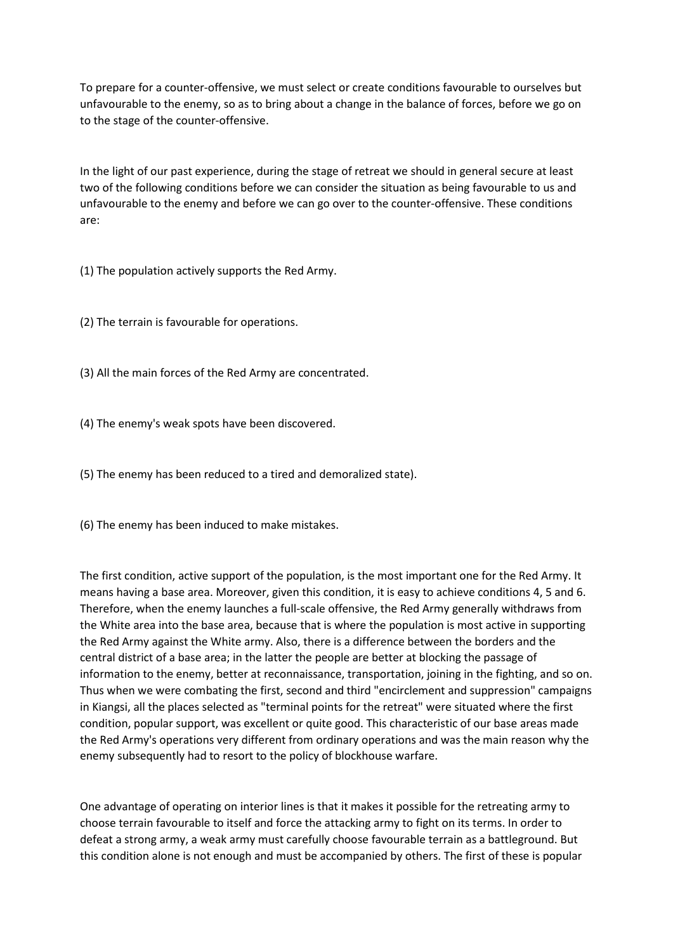To prepare for a counter-offensive, we must select or create conditions favourable to ourselves but unfavourable to the enemy, so as to bring about a change in the balance of forces, before we go on to the stage of the counter-offensive.

In the light of our past experience, during the stage of retreat we should in general secure at least two of the following conditions before we can consider the situation as being favourable to us and unfavourable to the enemy and before we can go over to the counter-offensive. These conditions are:

(1) The population actively supports the Red Army.

(2) The terrain is favourable for operations.

(3) All the main forces of the Red Army are concentrated.

(4) The enemy's weak spots have been discovered.

(5) The enemy has been reduced to a tired and demoralized state).

(6) The enemy has been induced to make mistakes.

The first condition, active support of the population, is the most important one for the Red Army. It means having a base area. Moreover, given this condition, it is easy to achieve conditions 4, 5 and 6. Therefore, when the enemy launches a full-scale offensive, the Red Army generally withdraws from the White area into the base area, because that is where the population is most active in supporting the Red Army against the White army. Also, there is a difference between the borders and the central district of a base area; in the latter the people are better at blocking the passage of information to the enemy, better at reconnaissance, transportation, joining in the fighting, and so on. Thus when we were combating the first, second and third "encirclement and suppression" campaigns in Kiangsi, all the places selected as "terminal points for the retreat" were situated where the first condition, popular support, was excellent or quite good. This characteristic of our base areas made the Red Army's operations very different from ordinary operations and was the main reason why the enemy subsequently had to resort to the policy of blockhouse warfare.

One advantage of operating on interior lines is that it makes it possible for the retreating army to choose terrain favourable to itself and force the attacking army to fight on its terms. In order to defeat a strong army, a weak army must carefully choose favourable terrain as a battleground. But this condition alone is not enough and must be accompanied by others. The first of these is popular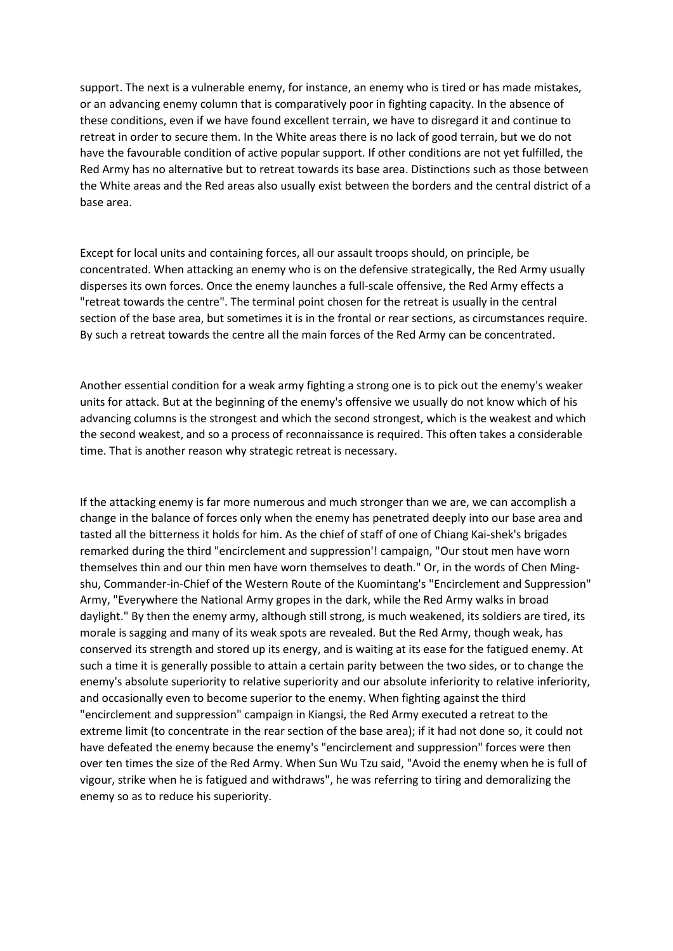support. The next is a vulnerable enemy, for instance, an enemy who is tired or has made mistakes, or an advancing enemy column that is comparatively poor in fighting capacity. In the absence of these conditions, even if we have found excellent terrain, we have to disregard it and continue to retreat in order to secure them. In the White areas there is no lack of good terrain, but we do not have the favourable condition of active popular support. If other conditions are not yet fulfilled, the Red Army has no alternative but to retreat towards its base area. Distinctions such as those between the White areas and the Red areas also usually exist between the borders and the central district of a base area.

Except for local units and containing forces, all our assault troops should, on principle, be concentrated. When attacking an enemy who is on the defensive strategically, the Red Army usually disperses its own forces. Once the enemy launches a full-scale offensive, the Red Army effects a "retreat towards the centre". The terminal point chosen for the retreat is usually in the central section of the base area, but sometimes it is in the frontal or rear sections, as circumstances require. By such a retreat towards the centre all the main forces of the Red Army can be concentrated.

Another essential condition for a weak army fighting a strong one is to pick out the enemy's weaker units for attack. But at the beginning of the enemy's offensive we usually do not know which of his advancing columns is the strongest and which the second strongest, which is the weakest and which the second weakest, and so a process of reconnaissance is required. This often takes a considerable time. That is another reason why strategic retreat is necessary.

If the attacking enemy is far more numerous and much stronger than we are, we can accomplish a change in the balance of forces only when the enemy has penetrated deeply into our base area and tasted all the bitterness it holds for him. As the chief of staff of one of Chiang Kai-shek's brigades remarked during the third "encirclement and suppression'! campaign, "Our stout men have worn themselves thin and our thin men have worn themselves to death." Or, in the words of Chen Mingshu, Commander-in-Chief of the Western Route of the Kuomintang's "Encirclement and Suppression" Army, "Everywhere the National Army gropes in the dark, while the Red Army walks in broad daylight." By then the enemy army, although still strong, is much weakened, its soldiers are tired, its morale is sagging and many of its weak spots are revealed. But the Red Army, though weak, has conserved its strength and stored up its energy, and is waiting at its ease for the fatigued enemy. At such a time it is generally possible to attain a certain parity between the two sides, or to change the enemy's absolute superiority to relative superiority and our absolute inferiority to relative inferiority, and occasionally even to become superior to the enemy. When fighting against the third "encirclement and suppression" campaign in Kiangsi, the Red Army executed a retreat to the extreme limit (to concentrate in the rear section of the base area); if it had not done so, it could not have defeated the enemy because the enemy's "encirclement and suppression" forces were then over ten times the size of the Red Army. When Sun Wu Tzu said, "Avoid the enemy when he is full of vigour, strike when he is fatigued and withdraws", he was referring to tiring and demoralizing the enemy so as to reduce his superiority.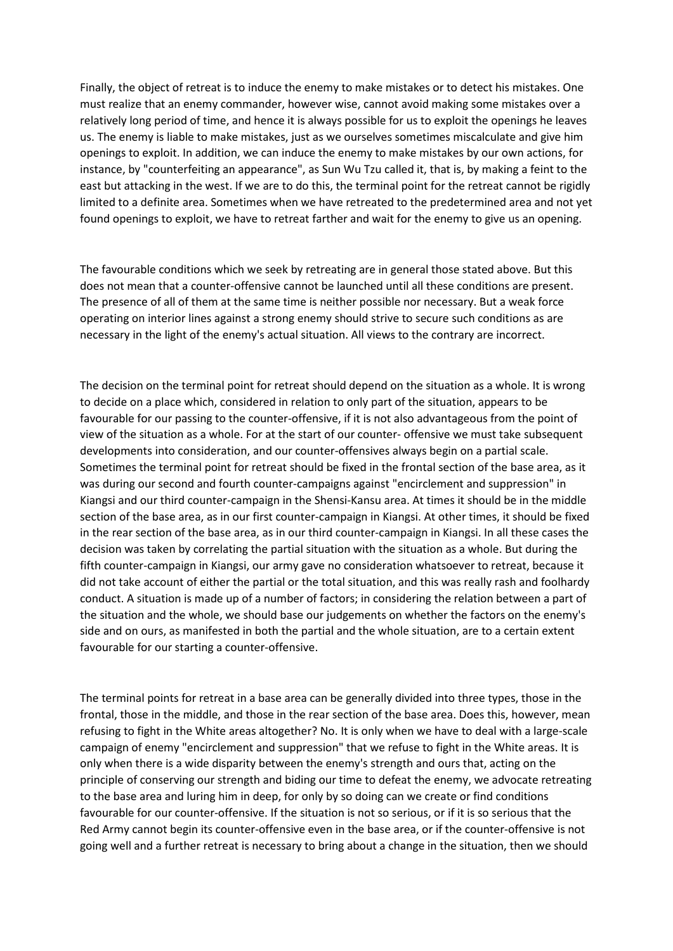Finally, the object of retreat is to induce the enemy to make mistakes or to detect his mistakes. One must realize that an enemy commander, however wise, cannot avoid making some mistakes over a relatively long period of time, and hence it is always possible for us to exploit the openings he leaves us. The enemy is liable to make mistakes, just as we ourselves sometimes miscalculate and give him openings to exploit. In addition, we can induce the enemy to make mistakes by our own actions, for instance, by "counterfeiting an appearance", as Sun Wu Tzu called it, that is, by making a feint to the east but attacking in the west. If we are to do this, the terminal point for the retreat cannot be rigidly limited to a definite area. Sometimes when we have retreated to the predetermined area and not yet found openings to exploit, we have to retreat farther and wait for the enemy to give us an opening.

The favourable conditions which we seek by retreating are in general those stated above. But this does not mean that a counter-offensive cannot be launched until all these conditions are present. The presence of all of them at the same time is neither possible nor necessary. But a weak force operating on interior lines against a strong enemy should strive to secure such conditions as are necessary in the light of the enemy's actual situation. All views to the contrary are incorrect.

The decision on the terminal point for retreat should depend on the situation as a whole. It is wrong to decide on a place which, considered in relation to only part of the situation, appears to be favourable for our passing to the counter-offensive, if it is not also advantageous from the point of view of the situation as a whole. For at the start of our counter- offensive we must take subsequent developments into consideration, and our counter-offensives always begin on a partial scale. Sometimes the terminal point for retreat should be fixed in the frontal section of the base area, as it was during our second and fourth counter-campaigns against "encirclement and suppression" in Kiangsi and our third counter-campaign in the Shensi-Kansu area. At times it should be in the middle section of the base area, as in our first counter-campaign in Kiangsi. At other times, it should be fixed in the rear section of the base area, as in our third counter-campaign in Kiangsi. In all these cases the decision was taken by correlating the partial situation with the situation as a whole. But during the fifth counter-campaign in Kiangsi, our army gave no consideration whatsoever to retreat, because it did not take account of either the partial or the total situation, and this was really rash and foolhardy conduct. A situation is made up of a number of factors; in considering the relation between a part of the situation and the whole, we should base our judgements on whether the factors on the enemy's side and on ours, as manifested in both the partial and the whole situation, are to a certain extent favourable for our starting a counter-offensive.

The terminal points for retreat in a base area can be generally divided into three types, those in the frontal, those in the middle, and those in the rear section of the base area. Does this, however, mean refusing to fight in the White areas altogether? No. It is only when we have to deal with a large-scale campaign of enemy "encirclement and suppression" that we refuse to fight in the White areas. It is only when there is a wide disparity between the enemy's strength and ours that, acting on the principle of conserving our strength and biding our time to defeat the enemy, we advocate retreating to the base area and luring him in deep, for only by so doing can we create or find conditions favourable for our counter-offensive. If the situation is not so serious, or if it is so serious that the Red Army cannot begin its counter-offensive even in the base area, or if the counter-offensive is not going well and a further retreat is necessary to bring about a change in the situation, then we should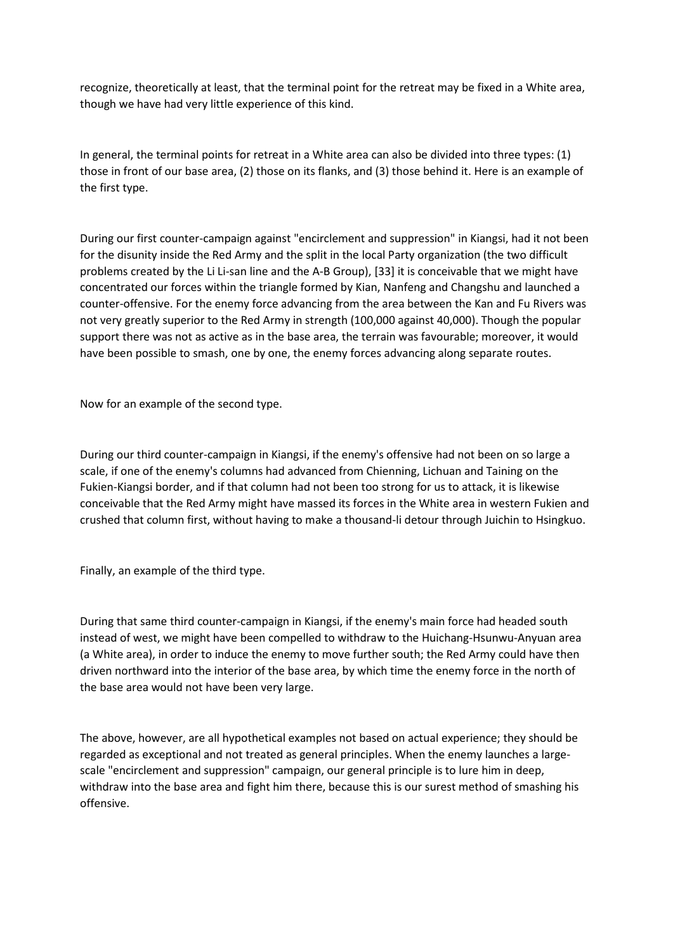recognize, theoretically at least, that the terminal point for the retreat may be fixed in a White area, though we have had very little experience of this kind.

In general, the terminal points for retreat in a White area can also be divided into three types: (1) those in front of our base area, (2) those on its flanks, and (3) those behind it. Here is an example of the first type.

During our first counter-campaign against "encirclement and suppression" in Kiangsi, had it not been for the disunity inside the Red Army and the split in the local Party organization (the two difficult problems created by the Li Li-san line and the A-B Group), [33] it is conceivable that we might have concentrated our forces within the triangle formed by Kian, Nanfeng and Changshu and launched a counter-offensive. For the enemy force advancing from the area between the Kan and Fu Rivers was not very greatly superior to the Red Army in strength (100,000 against 40,000). Though the popular support there was not as active as in the base area, the terrain was favourable; moreover, it would have been possible to smash, one by one, the enemy forces advancing along separate routes.

Now for an example of the second type.

During our third counter-campaign in Kiangsi, if the enemy's offensive had not been on so large a scale, if one of the enemy's columns had advanced from Chienning, Lichuan and Taining on the Fukien-Kiangsi border, and if that column had not been too strong for us to attack, it is likewise conceivable that the Red Army might have massed its forces in the White area in western Fukien and crushed that column first, without having to make a thousand-li detour through Juichin to Hsingkuo.

Finally, an example of the third type.

During that same third counter-campaign in Kiangsi, if the enemy's main force had headed south instead of west, we might have been compelled to withdraw to the Huichang-Hsunwu-Anyuan area (a White area), in order to induce the enemy to move further south; the Red Army could have then driven northward into the interior of the base area, by which time the enemy force in the north of the base area would not have been very large.

The above, however, are all hypothetical examples not based on actual experience; they should be regarded as exceptional and not treated as general principles. When the enemy launches a largescale "encirclement and suppression" campaign, our general principle is to lure him in deep, withdraw into the base area and fight him there, because this is our surest method of smashing his offensive.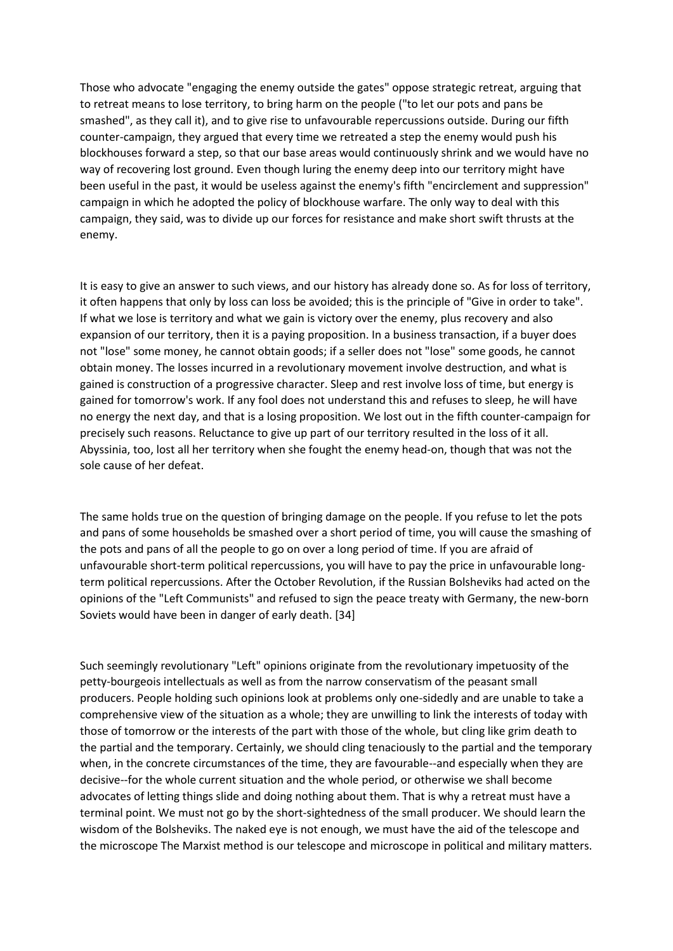Those who advocate "engaging the enemy outside the gates" oppose strategic retreat, arguing that to retreat means to lose territory, to bring harm on the people ("to let our pots and pans be smashed", as they call it), and to give rise to unfavourable repercussions outside. During our fifth counter-campaign, they argued that every time we retreated a step the enemy would push his blockhouses forward a step, so that our base areas would continuously shrink and we would have no way of recovering lost ground. Even though luring the enemy deep into our territory might have been useful in the past, it would be useless against the enemy's fifth "encirclement and suppression" campaign in which he adopted the policy of blockhouse warfare. The only way to deal with this campaign, they said, was to divide up our forces for resistance and make short swift thrusts at the enemy.

It is easy to give an answer to such views, and our history has already done so. As for loss of territory, it often happens that only by loss can loss be avoided; this is the principle of "Give in order to take". If what we lose is territory and what we gain is victory over the enemy, plus recovery and also expansion of our territory, then it is a paying proposition. In a business transaction, if a buyer does not "lose" some money, he cannot obtain goods; if a seller does not "lose" some goods, he cannot obtain money. The losses incurred in a revolutionary movement involve destruction, and what is gained is construction of a progressive character. Sleep and rest involve loss of time, but energy is gained for tomorrow's work. If any fool does not understand this and refuses to sleep, he will have no energy the next day, and that is a losing proposition. We lost out in the fifth counter-campaign for precisely such reasons. Reluctance to give up part of our territory resulted in the loss of it all. Abyssinia, too, lost all her territory when she fought the enemy head-on, though that was not the sole cause of her defeat.

The same holds true on the question of bringing damage on the people. If you refuse to let the pots and pans of some households be smashed over a short period of time, you will cause the smashing of the pots and pans of all the people to go on over a long period of time. If you are afraid of unfavourable short-term political repercussions, you will have to pay the price in unfavourable longterm political repercussions. After the October Revolution, if the Russian Bolsheviks had acted on the opinions of the "Left Communists" and refused to sign the peace treaty with Germany, the new-born Soviets would have been in danger of early death. [34]

Such seemingly revolutionary "Left" opinions originate from the revolutionary impetuosity of the petty-bourgeois intellectuals as well as from the narrow conservatism of the peasant small producers. People holding such opinions look at problems only one-sidedly and are unable to take a comprehensive view of the situation as a whole; they are unwilling to link the interests of today with those of tomorrow or the interests of the part with those of the whole, but cling like grim death to the partial and the temporary. Certainly, we should cling tenaciously to the partial and the temporary when, in the concrete circumstances of the time, they are favourable--and especially when they are decisive--for the whole current situation and the whole period, or otherwise we shall become advocates of letting things slide and doing nothing about them. That is why a retreat must have a terminal point. We must not go by the short-sightedness of the small producer. We should learn the wisdom of the Bolsheviks. The naked eye is not enough, we must have the aid of the telescope and the microscope The Marxist method is our telescope and microscope in political and military matters.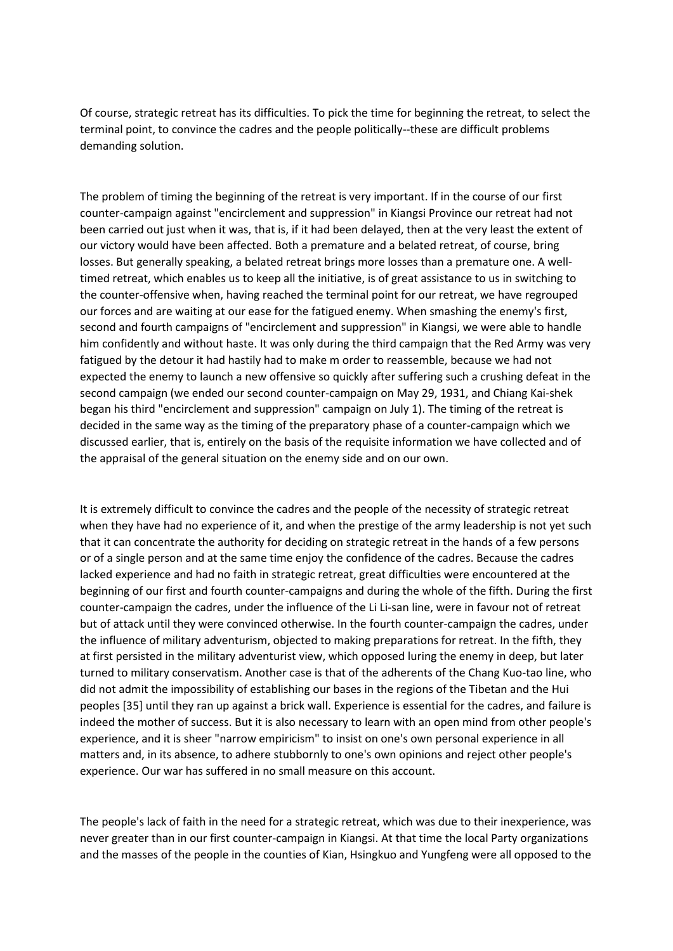Of course, strategic retreat has its difficulties. To pick the time for beginning the retreat, to select the terminal point, to convince the cadres and the people politically--these are difficult problems demanding solution.

The problem of timing the beginning of the retreat is very important. If in the course of our first counter-campaign against "encirclement and suppression" in Kiangsi Province our retreat had not been carried out just when it was, that is, if it had been delayed, then at the very least the extent of our victory would have been affected. Both a premature and a belated retreat, of course, bring losses. But generally speaking, a belated retreat brings more losses than a premature one. A welltimed retreat, which enables us to keep all the initiative, is of great assistance to us in switching to the counter-offensive when, having reached the terminal point for our retreat, we have regrouped our forces and are waiting at our ease for the fatigued enemy. When smashing the enemy's first, second and fourth campaigns of "encirclement and suppression" in Kiangsi, we were able to handle him confidently and without haste. It was only during the third campaign that the Red Army was very fatigued by the detour it had hastily had to make m order to reassemble, because we had not expected the enemy to launch a new offensive so quickly after suffering such a crushing defeat in the second campaign (we ended our second counter-campaign on May 29, 1931, and Chiang Kai-shek began his third "encirclement and suppression" campaign on July 1). The timing of the retreat is decided in the same way as the timing of the preparatory phase of a counter-campaign which we discussed earlier, that is, entirely on the basis of the requisite information we have collected and of the appraisal of the general situation on the enemy side and on our own.

It is extremely difficult to convince the cadres and the people of the necessity of strategic retreat when they have had no experience of it, and when the prestige of the army leadership is not yet such that it can concentrate the authority for deciding on strategic retreat in the hands of a few persons or of a single person and at the same time enjoy the confidence of the cadres. Because the cadres lacked experience and had no faith in strategic retreat, great difficulties were encountered at the beginning of our first and fourth counter-campaigns and during the whole of the fifth. During the first counter-campaign the cadres, under the influence of the Li Li-san line, were in favour not of retreat but of attack until they were convinced otherwise. In the fourth counter-campaign the cadres, under the influence of military adventurism, objected to making preparations for retreat. In the fifth, they at first persisted in the military adventurist view, which opposed luring the enemy in deep, but later turned to military conservatism. Another case is that of the adherents of the Chang Kuo-tao line, who did not admit the impossibility of establishing our bases in the regions of the Tibetan and the Hui peoples [35] until they ran up against a brick wall. Experience is essential for the cadres, and failure is indeed the mother of success. But it is also necessary to learn with an open mind from other people's experience, and it is sheer "narrow empiricism" to insist on one's own personal experience in all matters and, in its absence, to adhere stubbornly to one's own opinions and reject other people's experience. Our war has suffered in no small measure on this account.

The people's lack of faith in the need for a strategic retreat, which was due to their inexperience, was never greater than in our first counter-campaign in Kiangsi. At that time the local Party organizations and the masses of the people in the counties of Kian, Hsingkuo and Yungfeng were all opposed to the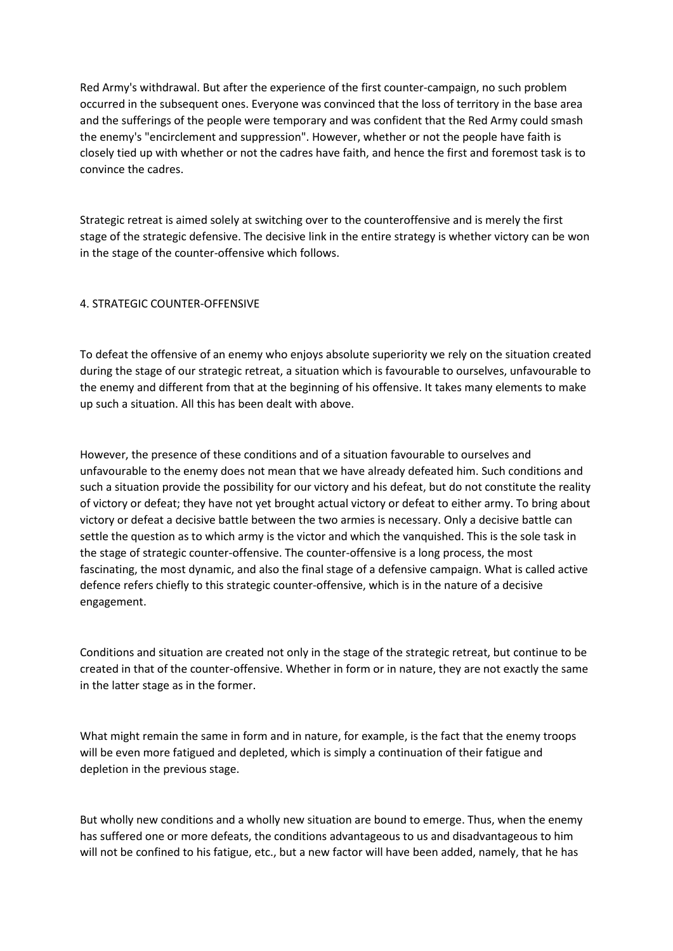Red Army's withdrawal. But after the experience of the first counter-campaign, no such problem occurred in the subsequent ones. Everyone was convinced that the loss of territory in the base area and the sufferings of the people were temporary and was confident that the Red Army could smash the enemy's "encirclement and suppression". However, whether or not the people have faith is closely tied up with whether or not the cadres have faith, and hence the first and foremost task is to convince the cadres.

Strategic retreat is aimed solely at switching over to the counteroffensive and is merely the first stage of the strategic defensive. The decisive link in the entire strategy is whether victory can be won in the stage of the counter-offensive which follows.

# 4. STRATEGIC COUNTER-OFFENSIVE

To defeat the offensive of an enemy who enjoys absolute superiority we rely on the situation created during the stage of our strategic retreat, a situation which is favourable to ourselves, unfavourable to the enemy and different from that at the beginning of his offensive. It takes many elements to make up such a situation. All this has been dealt with above.

However, the presence of these conditions and of a situation favourable to ourselves and unfavourable to the enemy does not mean that we have already defeated him. Such conditions and such a situation provide the possibility for our victory and his defeat, but do not constitute the reality of victory or defeat; they have not yet brought actual victory or defeat to either army. To bring about victory or defeat a decisive battle between the two armies is necessary. Only a decisive battle can settle the question as to which army is the victor and which the vanquished. This is the sole task in the stage of strategic counter-offensive. The counter-offensive is a long process, the most fascinating, the most dynamic, and also the final stage of a defensive campaign. What is called active defence refers chiefly to this strategic counter-offensive, which is in the nature of a decisive engagement.

Conditions and situation are created not only in the stage of the strategic retreat, but continue to be created in that of the counter-offensive. Whether in form or in nature, they are not exactly the same in the latter stage as in the former.

What might remain the same in form and in nature, for example, is the fact that the enemy troops will be even more fatigued and depleted, which is simply a continuation of their fatigue and depletion in the previous stage.

But wholly new conditions and a wholly new situation are bound to emerge. Thus, when the enemy has suffered one or more defeats, the conditions advantageous to us and disadvantageous to him will not be confined to his fatigue, etc., but a new factor will have been added, namely, that he has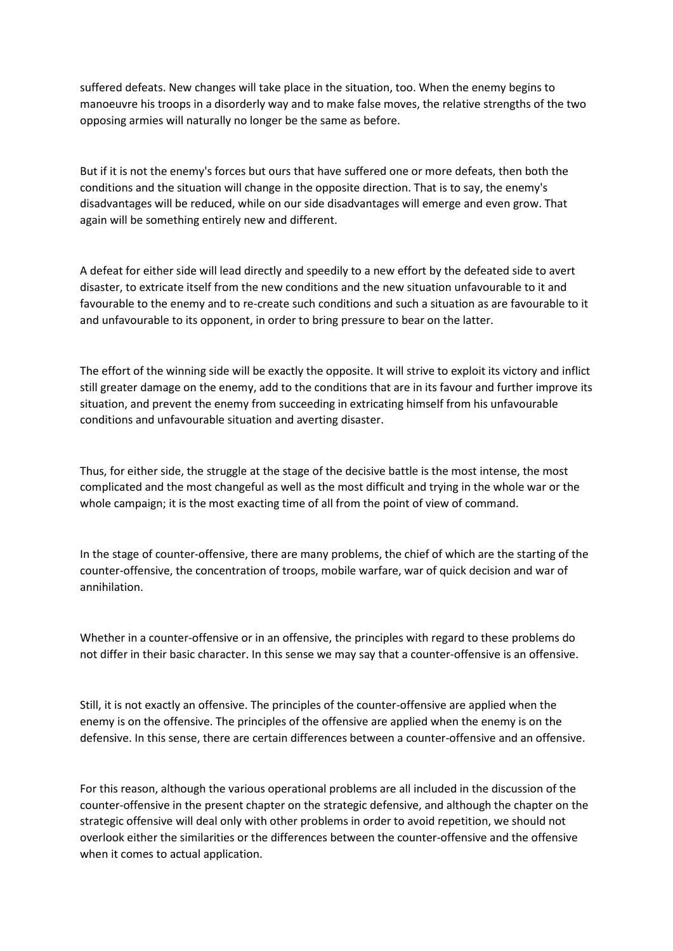suffered defeats. New changes will take place in the situation, too. When the enemy begins to manoeuvre his troops in a disorderly way and to make false moves, the relative strengths of the two opposing armies will naturally no longer be the same as before.

But if it is not the enemy's forces but ours that have suffered one or more defeats, then both the conditions and the situation will change in the opposite direction. That is to say, the enemy's disadvantages will be reduced, while on our side disadvantages will emerge and even grow. That again will be something entirely new and different.

A defeat for either side will lead directly and speedily to a new effort by the defeated side to avert disaster, to extricate itself from the new conditions and the new situation unfavourable to it and favourable to the enemy and to re-create such conditions and such a situation as are favourable to it and unfavourable to its opponent, in order to bring pressure to bear on the latter.

The effort of the winning side will be exactly the opposite. It will strive to exploit its victory and inflict still greater damage on the enemy, add to the conditions that are in its favour and further improve its situation, and prevent the enemy from succeeding in extricating himself from his unfavourable conditions and unfavourable situation and averting disaster.

Thus, for either side, the struggle at the stage of the decisive battle is the most intense, the most complicated and the most changeful as well as the most difficult and trying in the whole war or the whole campaign; it is the most exacting time of all from the point of view of command.

In the stage of counter-offensive, there are many problems, the chief of which are the starting of the counter-offensive, the concentration of troops, mobile warfare, war of quick decision and war of annihilation.

Whether in a counter-offensive or in an offensive, the principles with regard to these problems do not differ in their basic character. In this sense we may say that a counter-offensive is an offensive.

Still, it is not exactly an offensive. The principles of the counter-offensive are applied when the enemy is on the offensive. The principles of the offensive are applied when the enemy is on the defensive. In this sense, there are certain differences between a counter-offensive and an offensive.

For this reason, although the various operational problems are all included in the discussion of the counter-offensive in the present chapter on the strategic defensive, and although the chapter on the strategic offensive will deal only with other problems in order to avoid repetition, we should not overlook either the similarities or the differences between the counter-offensive and the offensive when it comes to actual application.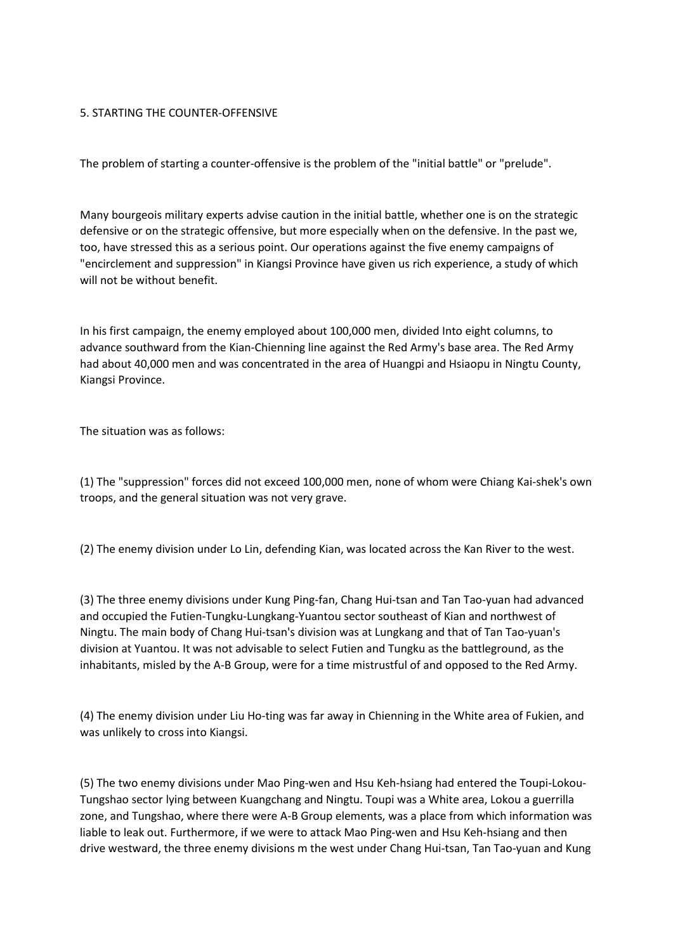# 5. STARTING THE COUNTER-OFFENSIVE

The problem of starting a counter-offensive is the problem of the "initial battle" or "prelude".

Many bourgeois military experts advise caution in the initial battle, whether one is on the strategic defensive or on the strategic offensive, but more especially when on the defensive. In the past we, too, have stressed this as a serious point. Our operations against the five enemy campaigns of "encirclement and suppression" in Kiangsi Province have given us rich experience, a study of which will not be without benefit.

In his first campaign, the enemy employed about 100,000 men, divided Into eight columns, to advance southward from the Kian-Chienning line against the Red Army's base area. The Red Army had about 40,000 men and was concentrated in the area of Huangpi and Hsiaopu in Ningtu County, Kiangsi Province.

The situation was as follows:

(1) The "suppression" forces did not exceed 100,000 men, none of whom were Chiang Kai-shek's own troops, and the general situation was not very grave.

(2) The enemy division under Lo Lin, defending Kian, was located across the Kan River to the west.

(3) The three enemy divisions under Kung Ping-fan, Chang Hui-tsan and Tan Tao-yuan had advanced and occupied the Futien-Tungku-Lungkang-Yuantou sector southeast of Kian and northwest of Ningtu. The main body of Chang Hui-tsan's division was at Lungkang and that of Tan Tao-yuan's division at Yuantou. It was not advisable to select Futien and Tungku as the battleground, as the inhabitants, misled by the A-B Group, were for a time mistrustful of and opposed to the Red Army.

(4) The enemy division under Liu Ho-ting was far away in Chienning in the White area of Fukien, and was unlikely to cross into Kiangsi.

(5) The two enemy divisions under Mao Ping-wen and Hsu Keh-hsiang had entered the Toupi-Lokou-Tungshao sector lying between Kuangchang and Ningtu. Toupi was a White area, Lokou a guerrilla zone, and Tungshao, where there were A-B Group elements, was a place from which information was liable to leak out. Furthermore, if we were to attack Mao Ping-wen and Hsu Keh-hsiang and then drive westward, the three enemy divisions m the west under Chang Hui-tsan, Tan Tao-yuan and Kung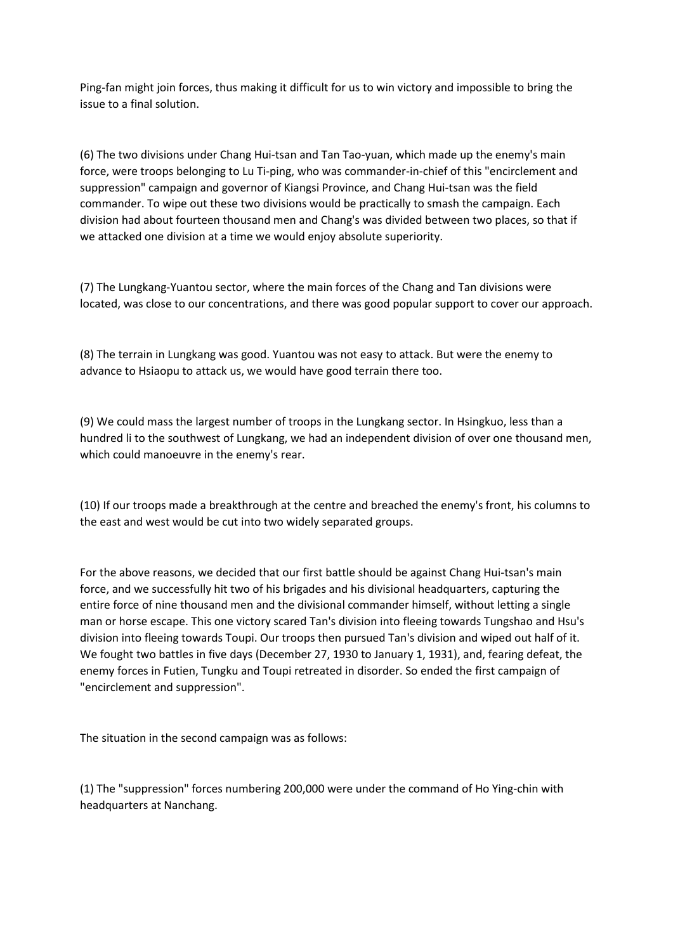Ping-fan might join forces, thus making it difficult for us to win victory and impossible to bring the issue to a final solution.

(6) The two divisions under Chang Hui-tsan and Tan Tao-yuan, which made up the enemy's main force, were troops belonging to Lu Ti-ping, who was commander-in-chief of this "encirclement and suppression" campaign and governor of Kiangsi Province, and Chang Hui-tsan was the field commander. To wipe out these two divisions would be practically to smash the campaign. Each division had about fourteen thousand men and Chang's was divided between two places, so that if we attacked one division at a time we would enjoy absolute superiority.

(7) The Lungkang-Yuantou sector, where the main forces of the Chang and Tan divisions were located, was close to our concentrations, and there was good popular support to cover our approach.

(8) The terrain in Lungkang was good. Yuantou was not easy to attack. But were the enemy to advance to Hsiaopu to attack us, we would have good terrain there too.

(9) We could mass the largest number of troops in the Lungkang sector. In Hsingkuo, less than a hundred li to the southwest of Lungkang, we had an independent division of over one thousand men, which could manoeuvre in the enemy's rear.

(10) If our troops made a breakthrough at the centre and breached the enemy's front, his columns to the east and west would be cut into two widely separated groups.

For the above reasons, we decided that our first battle should be against Chang Hui-tsan's main force, and we successfully hit two of his brigades and his divisional headquarters, capturing the entire force of nine thousand men and the divisional commander himself, without letting a single man or horse escape. This one victory scared Tan's division into fleeing towards Tungshao and Hsu's division into fleeing towards Toupi. Our troops then pursued Tan's division and wiped out half of it. We fought two battles in five days (December 27, 1930 to January 1, 1931), and, fearing defeat, the enemy forces in Futien, Tungku and Toupi retreated in disorder. So ended the first campaign of "encirclement and suppression".

The situation in the second campaign was as follows:

(1) The "suppression" forces numbering 200,000 were under the command of Ho Ying-chin with headquarters at Nanchang.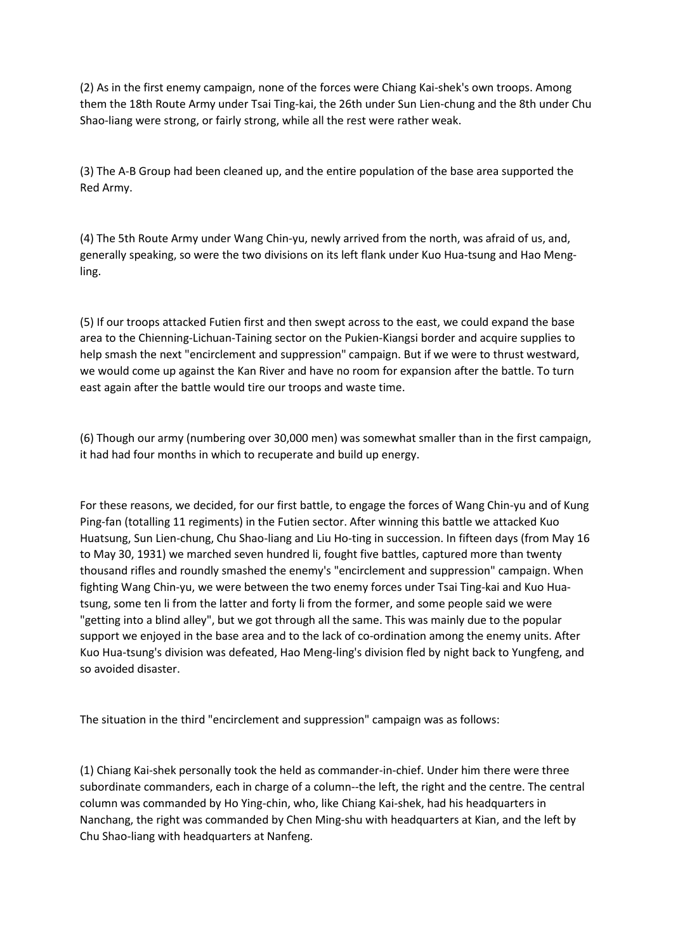(2) As in the first enemy campaign, none of the forces were Chiang Kai-shek's own troops. Among them the 18th Route Army under Tsai Ting-kai, the 26th under Sun Lien-chung and the 8th under Chu Shao-liang were strong, or fairly strong, while all the rest were rather weak.

(3) The A-B Group had been cleaned up, and the entire population of the base area supported the Red Army.

(4) The 5th Route Army under Wang Chin-yu, newly arrived from the north, was afraid of us, and, generally speaking, so were the two divisions on its left flank under Kuo Hua-tsung and Hao Mengling.

(5) If our troops attacked Futien first and then swept across to the east, we could expand the base area to the Chienning-Lichuan-Taining sector on the Pukien-Kiangsi border and acquire supplies to help smash the next "encirclement and suppression" campaign. But if we were to thrust westward, we would come up against the Kan River and have no room for expansion after the battle. To turn east again after the battle would tire our troops and waste time.

(6) Though our army (numbering over 30,000 men) was somewhat smaller than in the first campaign, it had had four months in which to recuperate and build up energy.

For these reasons, we decided, for our first battle, to engage the forces of Wang Chin-yu and of Kung Ping-fan (totalling 11 regiments) in the Futien sector. After winning this battle we attacked Kuo Huatsung, Sun Lien-chung, Chu Shao-liang and Liu Ho-ting in succession. In fifteen days (from May 16 to May 30, 1931) we marched seven hundred li, fought five battles, captured more than twenty thousand rifles and roundly smashed the enemy's "encirclement and suppression" campaign. When fighting Wang Chin-yu, we were between the two enemy forces under Tsai Ting-kai and Kuo Huatsung, some ten li from the latter and forty li from the former, and some people said we were "getting into a blind alley", but we got through all the same. This was mainly due to the popular support we enjoyed in the base area and to the lack of co-ordination among the enemy units. After Kuo Hua-tsung's division was defeated, Hao Meng-ling's division fled by night back to Yungfeng, and so avoided disaster.

The situation in the third "encirclement and suppression" campaign was as follows:

(1) Chiang Kai-shek personally took the held as commander-in-chief. Under him there were three subordinate commanders, each in charge of a column--the left, the right and the centre. The central column was commanded by Ho Ying-chin, who, like Chiang Kai-shek, had his headquarters in Nanchang, the right was commanded by Chen Ming-shu with headquarters at Kian, and the left by Chu Shao-liang with headquarters at Nanfeng.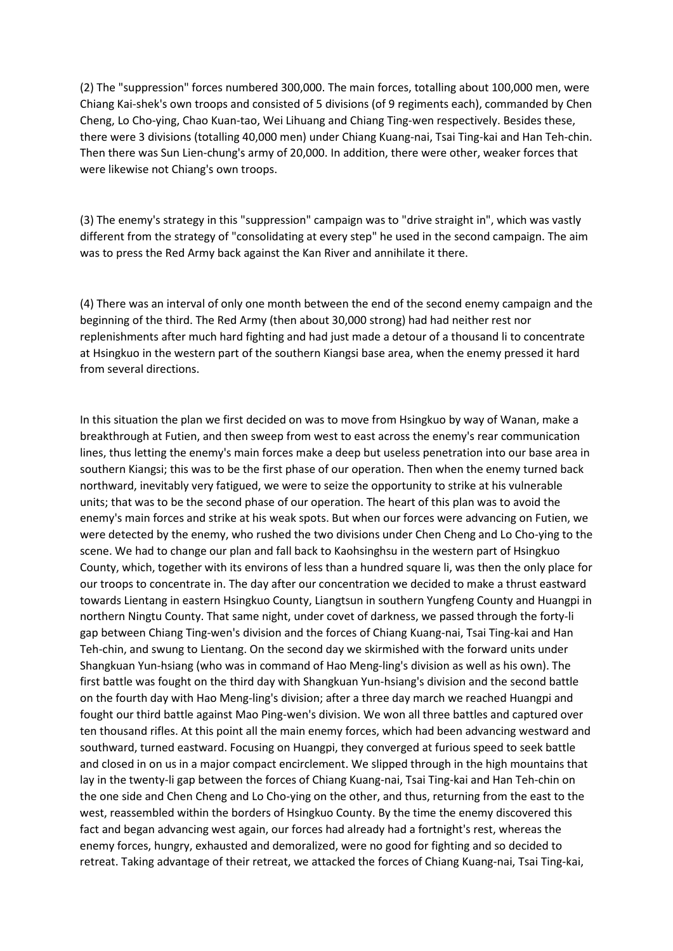(2) The "suppression" forces numbered 300,000. The main forces, totalling about 100,000 men, were Chiang Kai-shek's own troops and consisted of 5 divisions (of 9 regiments each), commanded by Chen Cheng, Lo Cho-ying, Chao Kuan-tao, Wei Lihuang and Chiang Ting-wen respectively. Besides these, there were 3 divisions (totalling 40,000 men) under Chiang Kuang-nai, Tsai Ting-kai and Han Teh-chin. Then there was Sun Lien-chung's army of 20,000. In addition, there were other, weaker forces that were likewise not Chiang's own troops.

(3) The enemy's strategy in this "suppression" campaign was to "drive straight in", which was vastly different from the strategy of "consolidating at every step" he used in the second campaign. The aim was to press the Red Army back against the Kan River and annihilate it there.

(4) There was an interval of only one month between the end of the second enemy campaign and the beginning of the third. The Red Army (then about 30,000 strong) had had neither rest nor replenishments after much hard fighting and had just made a detour of a thousand li to concentrate at Hsingkuo in the western part of the southern Kiangsi base area, when the enemy pressed it hard from several directions.

In this situation the plan we first decided on was to move from Hsingkuo by way of Wanan, make a breakthrough at Futien, and then sweep from west to east across the enemy's rear communication lines, thus letting the enemy's main forces make a deep but useless penetration into our base area in southern Kiangsi; this was to be the first phase of our operation. Then when the enemy turned back northward, inevitably very fatigued, we were to seize the opportunity to strike at his vulnerable units; that was to be the second phase of our operation. The heart of this plan was to avoid the enemy's main forces and strike at his weak spots. But when our forces were advancing on Futien, we were detected by the enemy, who rushed the two divisions under Chen Cheng and Lo Cho-ying to the scene. We had to change our plan and fall back to Kaohsinghsu in the western part of Hsingkuo County, which, together with its environs of less than a hundred square li, was then the only place for our troops to concentrate in. The day after our concentration we decided to make a thrust eastward towards Lientang in eastern Hsingkuo County, Liangtsun in southern Yungfeng County and Huangpi in northern Ningtu County. That same night, under covet of darkness, we passed through the forty-li gap between Chiang Ting-wen's division and the forces of Chiang Kuang-nai, Tsai Ting-kai and Han Teh-chin, and swung to Lientang. On the second day we skirmished with the forward units under Shangkuan Yun-hsiang (who was in command of Hao Meng-ling's division as well as his own). The first battle was fought on the third day with Shangkuan Yun-hsiang's division and the second battle on the fourth day with Hao Meng-ling's division; after a three day march we reached Huangpi and fought our third battle against Mao Ping-wen's division. We won all three battles and captured over ten thousand rifles. At this point all the main enemy forces, which had been advancing westward and southward, turned eastward. Focusing on Huangpi, they converged at furious speed to seek battle and closed in on us in a major compact encirclement. We slipped through in the high mountains that lay in the twenty-li gap between the forces of Chiang Kuang-nai, Tsai Ting-kai and Han Teh-chin on the one side and Chen Cheng and Lo Cho-ying on the other, and thus, returning from the east to the west, reassembled within the borders of Hsingkuo County. By the time the enemy discovered this fact and began advancing west again, our forces had already had a fortnight's rest, whereas the enemy forces, hungry, exhausted and demoralized, were no good for fighting and so decided to retreat. Taking advantage of their retreat, we attacked the forces of Chiang Kuang-nai, Tsai Ting-kai,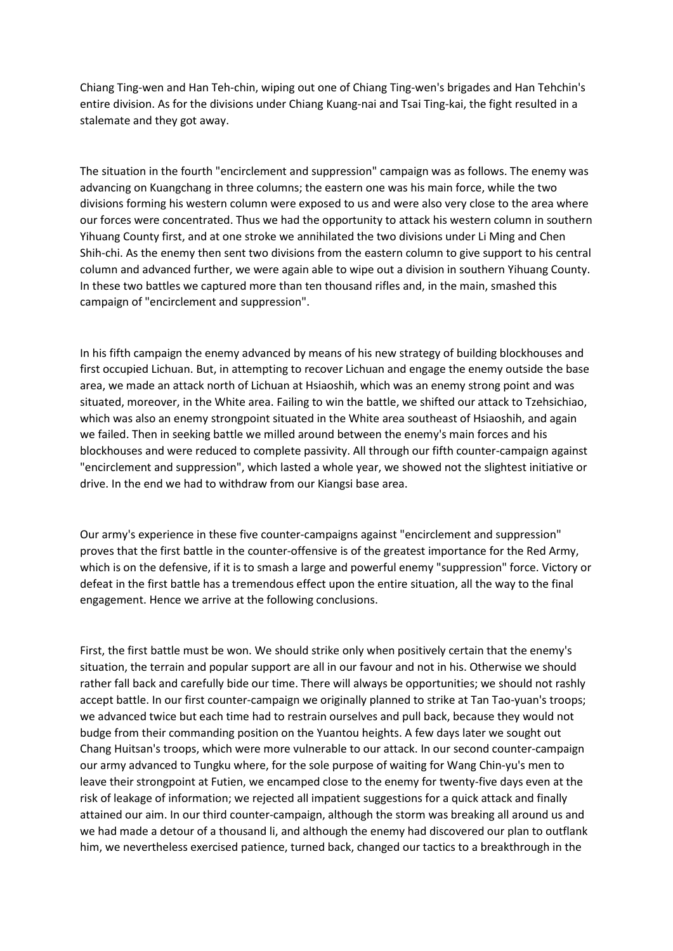Chiang Ting-wen and Han Teh-chin, wiping out one of Chiang Ting-wen's brigades and Han Tehchin's entire division. As for the divisions under Chiang Kuang-nai and Tsai Ting-kai, the fight resulted in a stalemate and they got away.

The situation in the fourth "encirclement and suppression" campaign was as follows. The enemy was advancing on Kuangchang in three columns; the eastern one was his main force, while the two divisions forming his western column were exposed to us and were also very close to the area where our forces were concentrated. Thus we had the opportunity to attack his western column in southern Yihuang County first, and at one stroke we annihilated the two divisions under Li Ming and Chen Shih-chi. As the enemy then sent two divisions from the eastern column to give support to his central column and advanced further, we were again able to wipe out a division in southern Yihuang County. In these two battles we captured more than ten thousand rifles and, in the main, smashed this campaign of "encirclement and suppression".

In his fifth campaign the enemy advanced by means of his new strategy of building blockhouses and first occupied Lichuan. But, in attempting to recover Lichuan and engage the enemy outside the base area, we made an attack north of Lichuan at Hsiaoshih, which was an enemy strong point and was situated, moreover, in the White area. Failing to win the battle, we shifted our attack to Tzehsichiao, which was also an enemy strongpoint situated in the White area southeast of Hsiaoshih, and again we failed. Then in seeking battle we milled around between the enemy's main forces and his blockhouses and were reduced to complete passivity. All through our fifth counter-campaign against "encirclement and suppression", which lasted a whole year, we showed not the slightest initiative or drive. In the end we had to withdraw from our Kiangsi base area.

Our army's experience in these five counter-campaigns against "encirclement and suppression" proves that the first battle in the counter-offensive is of the greatest importance for the Red Army, which is on the defensive, if it is to smash a large and powerful enemy "suppression" force. Victory or defeat in the first battle has a tremendous effect upon the entire situation, all the way to the final engagement. Hence we arrive at the following conclusions.

First, the first battle must be won. We should strike only when positively certain that the enemy's situation, the terrain and popular support are all in our favour and not in his. Otherwise we should rather fall back and carefully bide our time. There will always be opportunities; we should not rashly accept battle. In our first counter-campaign we originally planned to strike at Tan Tao-yuan's troops; we advanced twice but each time had to restrain ourselves and pull back, because they would not budge from their commanding position on the Yuantou heights. A few days later we sought out Chang Huitsan's troops, which were more vulnerable to our attack. In our second counter-campaign our army advanced to Tungku where, for the sole purpose of waiting for Wang Chin-yu's men to leave their strongpoint at Futien, we encamped close to the enemy for twenty-five days even at the risk of leakage of information; we rejected all impatient suggestions for a quick attack and finally attained our aim. In our third counter-campaign, although the storm was breaking all around us and we had made a detour of a thousand li, and although the enemy had discovered our plan to outflank him, we nevertheless exercised patience, turned back, changed our tactics to a breakthrough in the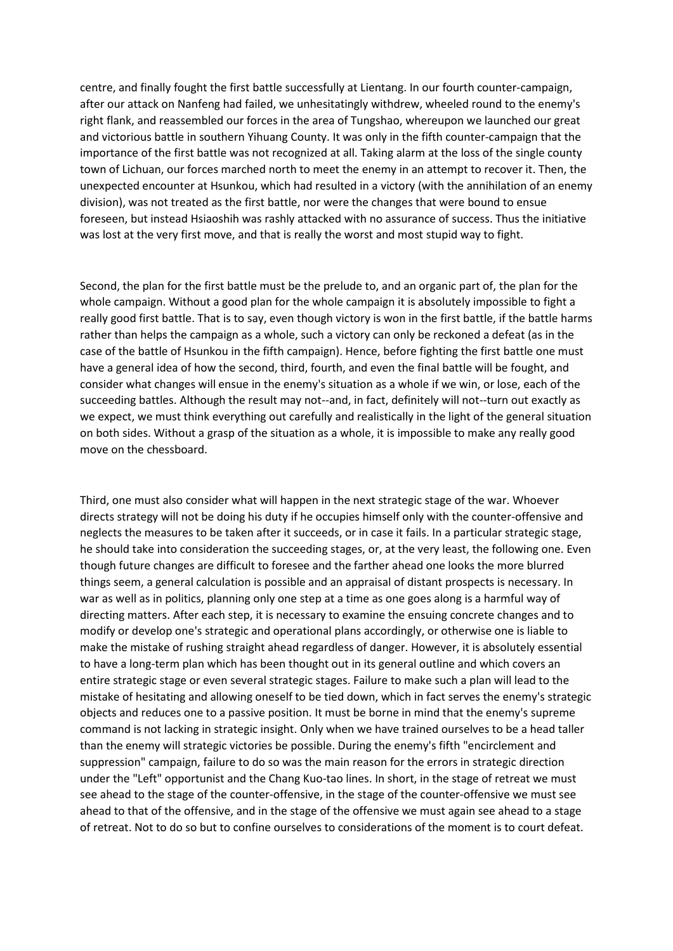centre, and finally fought the first battle successfully at Lientang. In our fourth counter-campaign, after our attack on Nanfeng had failed, we unhesitatingly withdrew, wheeled round to the enemy's right flank, and reassembled our forces in the area of Tungshao, whereupon we launched our great and victorious battle in southern Yihuang County. It was only in the fifth counter-campaign that the importance of the first battle was not recognized at all. Taking alarm at the loss of the single county town of Lichuan, our forces marched north to meet the enemy in an attempt to recover it. Then, the unexpected encounter at Hsunkou, which had resulted in a victory (with the annihilation of an enemy division), was not treated as the first battle, nor were the changes that were bound to ensue foreseen, but instead Hsiaoshih was rashly attacked with no assurance of success. Thus the initiative was lost at the very first move, and that is really the worst and most stupid way to fight.

Second, the plan for the first battle must be the prelude to, and an organic part of, the plan for the whole campaign. Without a good plan for the whole campaign it is absolutely impossible to fight a really good first battle. That is to say, even though victory is won in the first battle, if the battle harms rather than helps the campaign as a whole, such a victory can only be reckoned a defeat (as in the case of the battle of Hsunkou in the fifth campaign). Hence, before fighting the first battle one must have a general idea of how the second, third, fourth, and even the final battle will be fought, and consider what changes will ensue in the enemy's situation as a whole if we win, or lose, each of the succeeding battles. Although the result may not--and, in fact, definitely will not--turn out exactly as we expect, we must think everything out carefully and realistically in the light of the general situation on both sides. Without a grasp of the situation as a whole, it is impossible to make any really good move on the chessboard.

Third, one must also consider what will happen in the next strategic stage of the war. Whoever directs strategy will not be doing his duty if he occupies himself only with the counter-offensive and neglects the measures to be taken after it succeeds, or in case it fails. In a particular strategic stage, he should take into consideration the succeeding stages, or, at the very least, the following one. Even though future changes are difficult to foresee and the farther ahead one looks the more blurred things seem, a general calculation is possible and an appraisal of distant prospects is necessary. In war as well as in politics, planning only one step at a time as one goes along is a harmful way of directing matters. After each step, it is necessary to examine the ensuing concrete changes and to modify or develop one's strategic and operational plans accordingly, or otherwise one is liable to make the mistake of rushing straight ahead regardless of danger. However, it is absolutely essential to have a long-term plan which has been thought out in its general outline and which covers an entire strategic stage or even several strategic stages. Failure to make such a plan will lead to the mistake of hesitating and allowing oneself to be tied down, which in fact serves the enemy's strategic objects and reduces one to a passive position. It must be borne in mind that the enemy's supreme command is not lacking in strategic insight. Only when we have trained ourselves to be a head taller than the enemy will strategic victories be possible. During the enemy's fifth "encirclement and suppression" campaign, failure to do so was the main reason for the errors in strategic direction under the "Left" opportunist and the Chang Kuo-tao lines. In short, in the stage of retreat we must see ahead to the stage of the counter-offensive, in the stage of the counter-offensive we must see ahead to that of the offensive, and in the stage of the offensive we must again see ahead to a stage of retreat. Not to do so but to confine ourselves to considerations of the moment is to court defeat.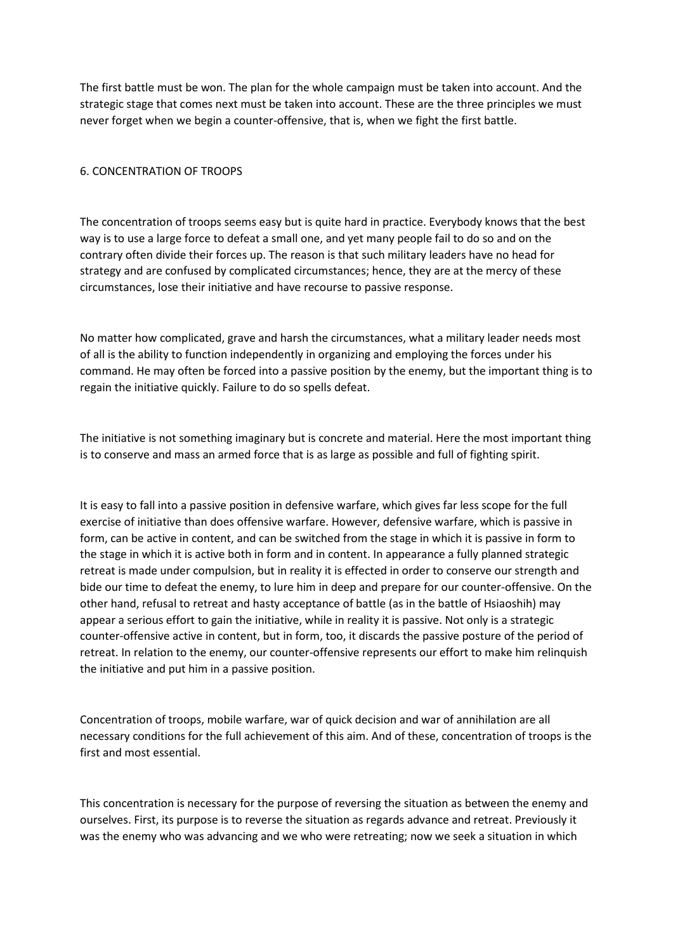The first battle must be won. The plan for the whole campaign must be taken into account. And the strategic stage that comes next must be taken into account. These are the three principles we must never forget when we begin a counter-offensive, that is, when we fight the first battle.

### 6. CONCENTRATION OF TROOPS

The concentration of troops seems easy but is quite hard in practice. Everybody knows that the best way is to use a large force to defeat a small one, and yet many people fail to do so and on the contrary often divide their forces up. The reason is that such military leaders have no head for strategy and are confused by complicated circumstances; hence, they are at the mercy of these circumstances, lose their initiative and have recourse to passive response.

No matter how complicated, grave and harsh the circumstances, what a military leader needs most of all is the ability to function independently in organizing and employing the forces under his command. He may often be forced into a passive position by the enemy, but the important thing is to regain the initiative quickly. Failure to do so spells defeat.

The initiative is not something imaginary but is concrete and material. Here the most important thing is to conserve and mass an armed force that is as large as possible and full of fighting spirit.

It is easy to fall into a passive position in defensive warfare, which gives far less scope for the full exercise of initiative than does offensive warfare. However, defensive warfare, which is passive in form, can be active in content, and can be switched from the stage in which it is passive in form to the stage in which it is active both in form and in content. In appearance a fully planned strategic retreat is made under compulsion, but in reality it is effected in order to conserve our strength and bide our time to defeat the enemy, to lure him in deep and prepare for our counter-offensive. On the other hand, refusal to retreat and hasty acceptance of battle (as in the battle of Hsiaoshih) may appear a serious effort to gain the initiative, while in reality it is passive. Not only is a strategic counter-offensive active in content, but in form, too, it discards the passive posture of the period of retreat. In relation to the enemy, our counter-offensive represents our effort to make him relinquish the initiative and put him in a passive position.

Concentration of troops, mobile warfare, war of quick decision and war of annihilation are all necessary conditions for the full achievement of this aim. And of these, concentration of troops is the first and most essential.

This concentration is necessary for the purpose of reversing the situation as between the enemy and ourselves. First, its purpose is to reverse the situation as regards advance and retreat. Previously it was the enemy who was advancing and we who were retreating; now we seek a situation in which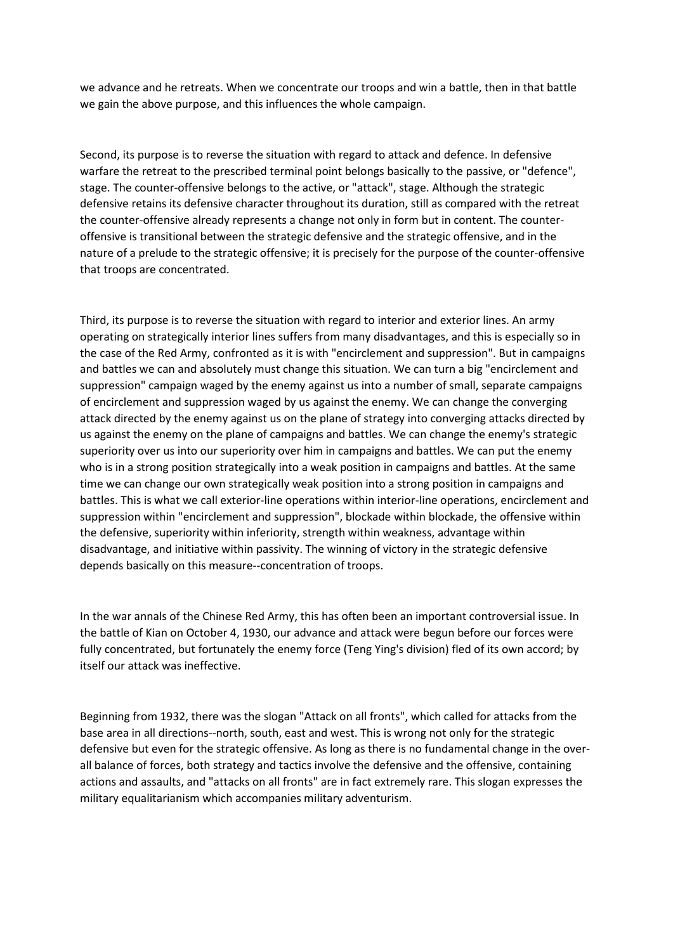we advance and he retreats. When we concentrate our troops and win a battle, then in that battle we gain the above purpose, and this influences the whole campaign.

Second, its purpose is to reverse the situation with regard to attack and defence. In defensive warfare the retreat to the prescribed terminal point belongs basically to the passive, or "defence", stage. The counter-offensive belongs to the active, or "attack", stage. Although the strategic defensive retains its defensive character throughout its duration, still as compared with the retreat the counter-offensive already represents a change not only in form but in content. The counteroffensive is transitional between the strategic defensive and the strategic offensive, and in the nature of a prelude to the strategic offensive; it is precisely for the purpose of the counter-offensive that troops are concentrated.

Third, its purpose is to reverse the situation with regard to interior and exterior lines. An army operating on strategically interior lines suffers from many disadvantages, and this is especially so in the case of the Red Army, confronted as it is with "encirclement and suppression". But in campaigns and battles we can and absolutely must change this situation. We can turn a big "encirclement and suppression" campaign waged by the enemy against us into a number of small, separate campaigns of encirclement and suppression waged by us against the enemy. We can change the converging attack directed by the enemy against us on the plane of strategy into converging attacks directed by us against the enemy on the plane of campaigns and battles. We can change the enemy's strategic superiority over us into our superiority over him in campaigns and battles. We can put the enemy who is in a strong position strategically into a weak position in campaigns and battles. At the same time we can change our own strategically weak position into a strong position in campaigns and battles. This is what we call exterior-line operations within interior-line operations, encirclement and suppression within "encirclement and suppression", blockade within blockade, the offensive within the defensive, superiority within inferiority, strength within weakness, advantage within disadvantage, and initiative within passivity. The winning of victory in the strategic defensive depends basically on this measure--concentration of troops.

In the war annals of the Chinese Red Army, this has often been an important controversial issue. In the battle of Kian on October 4, 1930, our advance and attack were begun before our forces were fully concentrated, but fortunately the enemy force (Teng Ying's division) fled of its own accord; by itself our attack was ineffective.

Beginning from 1932, there was the slogan "Attack on all fronts", which called for attacks from the base area in all directions--north, south, east and west. This is wrong not only for the strategic defensive but even for the strategic offensive. As long as there is no fundamental change in the overall balance of forces, both strategy and tactics involve the defensive and the offensive, containing actions and assaults, and "attacks on all fronts" are in fact extremely rare. This slogan expresses the military equalitarianism which accompanies military adventurism.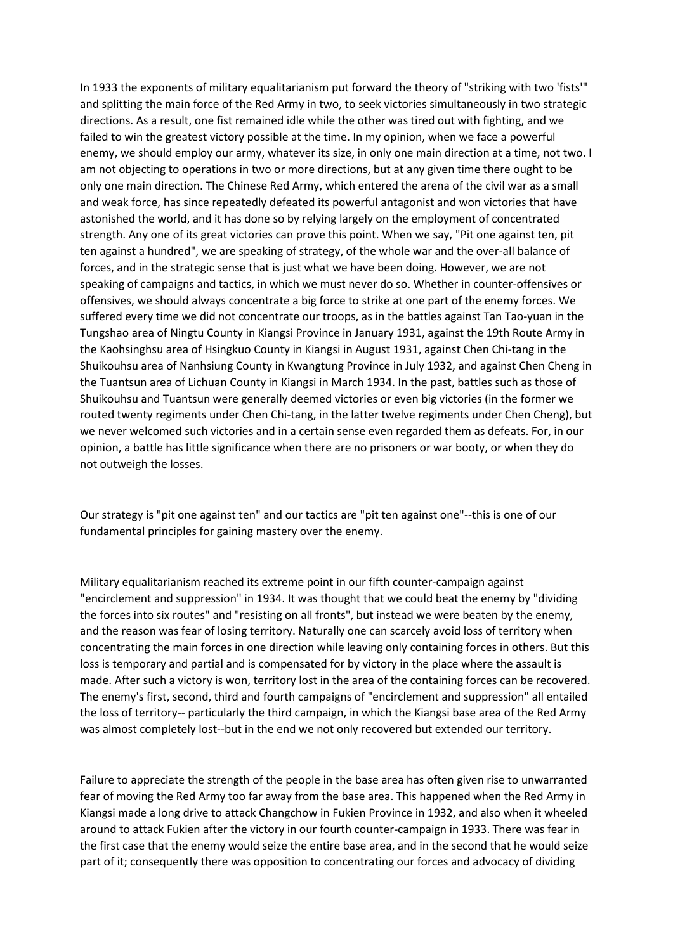In 1933 the exponents of military equalitarianism put forward the theory of "striking with two 'fists'" and splitting the main force of the Red Army in two, to seek victories simultaneously in two strategic directions. As a result, one fist remained idle while the other was tired out with fighting, and we failed to win the greatest victory possible at the time. In my opinion, when we face a powerful enemy, we should employ our army, whatever its size, in only one main direction at a time, not two. I am not objecting to operations in two or more directions, but at any given time there ought to be only one main direction. The Chinese Red Army, which entered the arena of the civil war as a small and weak force, has since repeatedly defeated its powerful antagonist and won victories that have astonished the world, and it has done so by relying largely on the employment of concentrated strength. Any one of its great victories can prove this point. When we say, "Pit one against ten, pit ten against a hundred", we are speaking of strategy, of the whole war and the over-all balance of forces, and in the strategic sense that is just what we have been doing. However, we are not speaking of campaigns and tactics, in which we must never do so. Whether in counter-offensives or offensives, we should always concentrate a big force to strike at one part of the enemy forces. We suffered every time we did not concentrate our troops, as in the battles against Tan Tao-yuan in the Tungshao area of Ningtu County in Kiangsi Province in January 1931, against the 19th Route Army in the Kaohsinghsu area of Hsingkuo County in Kiangsi in August 1931, against Chen Chi-tang in the Shuikouhsu area of Nanhsiung County in Kwangtung Province in July 1932, and against Chen Cheng in the Tuantsun area of Lichuan County in Kiangsi in March 1934. In the past, battles such as those of Shuikouhsu and Tuantsun were generally deemed victories or even big victories (in the former we routed twenty regiments under Chen Chi-tang, in the latter twelve regiments under Chen Cheng), but we never welcomed such victories and in a certain sense even regarded them as defeats. For, in our opinion, a battle has little significance when there are no prisoners or war booty, or when they do not outweigh the losses.

Our strategy is "pit one against ten" and our tactics are "pit ten against one"--this is one of our fundamental principles for gaining mastery over the enemy.

Military equalitarianism reached its extreme point in our fifth counter-campaign against "encirclement and suppression" in 1934. It was thought that we could beat the enemy by "dividing the forces into six routes" and "resisting on all fronts", but instead we were beaten by the enemy, and the reason was fear of losing territory. Naturally one can scarcely avoid loss of territory when concentrating the main forces in one direction while leaving only containing forces in others. But this loss is temporary and partial and is compensated for by victory in the place where the assault is made. After such a victory is won, territory lost in the area of the containing forces can be recovered. The enemy's first, second, third and fourth campaigns of "encirclement and suppression" all entailed the loss of territory-- particularly the third campaign, in which the Kiangsi base area of the Red Army was almost completely lost--but in the end we not only recovered but extended our territory.

Failure to appreciate the strength of the people in the base area has often given rise to unwarranted fear of moving the Red Army too far away from the base area. This happened when the Red Army in Kiangsi made a long drive to attack Changchow in Fukien Province in 1932, and also when it wheeled around to attack Fukien after the victory in our fourth counter-campaign in 1933. There was fear in the first case that the enemy would seize the entire base area, and in the second that he would seize part of it; consequently there was opposition to concentrating our forces and advocacy of dividing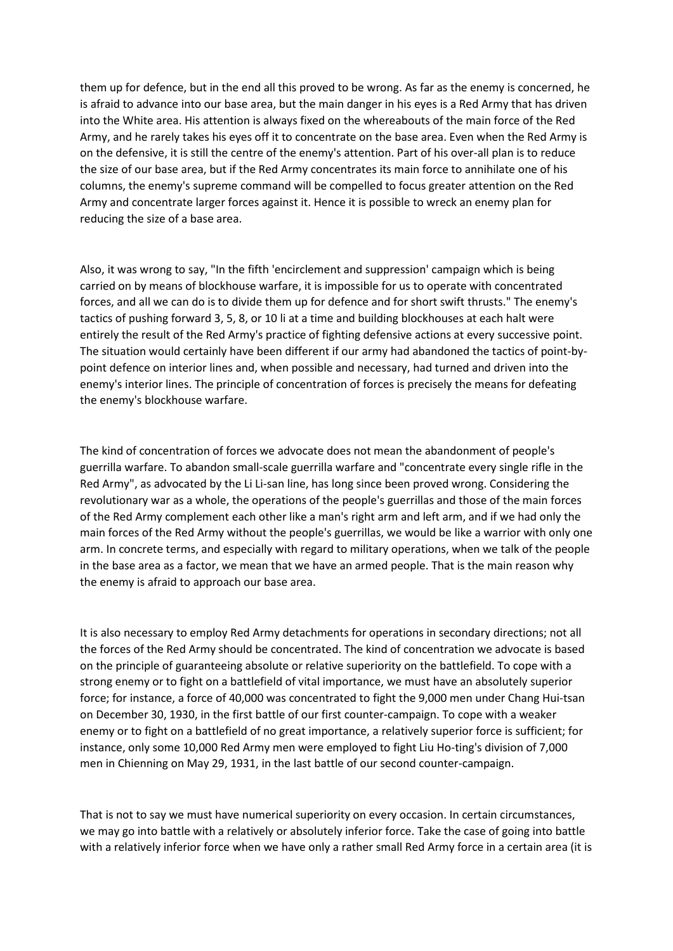them up for defence, but in the end all this proved to be wrong. As far as the enemy is concerned, he is afraid to advance into our base area, but the main danger in his eyes is a Red Army that has driven into the White area. His attention is always fixed on the whereabouts of the main force of the Red Army, and he rarely takes his eyes off it to concentrate on the base area. Even when the Red Army is on the defensive, it is still the centre of the enemy's attention. Part of his over-all plan is to reduce the size of our base area, but if the Red Army concentrates its main force to annihilate one of his columns, the enemy's supreme command will be compelled to focus greater attention on the Red Army and concentrate larger forces against it. Hence it is possible to wreck an enemy plan for reducing the size of a base area.

Also, it was wrong to say, "In the fifth 'encirclement and suppression' campaign which is being carried on by means of blockhouse warfare, it is impossible for us to operate with concentrated forces, and all we can do is to divide them up for defence and for short swift thrusts." The enemy's tactics of pushing forward 3, 5, 8, or 10 li at a time and building blockhouses at each halt were entirely the result of the Red Army's practice of fighting defensive actions at every successive point. The situation would certainly have been different if our army had abandoned the tactics of point-bypoint defence on interior lines and, when possible and necessary, had turned and driven into the enemy's interior lines. The principle of concentration of forces is precisely the means for defeating the enemy's blockhouse warfare.

The kind of concentration of forces we advocate does not mean the abandonment of people's guerrilla warfare. To abandon small-scale guerrilla warfare and "concentrate every single rifle in the Red Army", as advocated by the Li Li-san line, has long since been proved wrong. Considering the revolutionary war as a whole, the operations of the people's guerrillas and those of the main forces of the Red Army complement each other like a man's right arm and left arm, and if we had only the main forces of the Red Army without the people's guerrillas, we would be like a warrior with only one arm. In concrete terms, and especially with regard to military operations, when we talk of the people in the base area as a factor, we mean that we have an armed people. That is the main reason why the enemy is afraid to approach our base area.

It is also necessary to employ Red Army detachments for operations in secondary directions; not all the forces of the Red Army should be concentrated. The kind of concentration we advocate is based on the principle of guaranteeing absolute or relative superiority on the battlefield. To cope with a strong enemy or to fight on a battlefield of vital importance, we must have an absolutely superior force; for instance, a force of 40,000 was concentrated to fight the 9,000 men under Chang Hui-tsan on December 30, 1930, in the first battle of our first counter-campaign. To cope with a weaker enemy or to fight on a battlefield of no great importance, a relatively superior force is sufficient; for instance, only some 10,000 Red Army men were employed to fight Liu Ho-ting's division of 7,000 men in Chienning on May 29, 1931, in the last battle of our second counter-campaign.

That is not to say we must have numerical superiority on every occasion. In certain circumstances, we may go into battle with a relatively or absolutely inferior force. Take the case of going into battle with a relatively inferior force when we have only a rather small Red Army force in a certain area (it is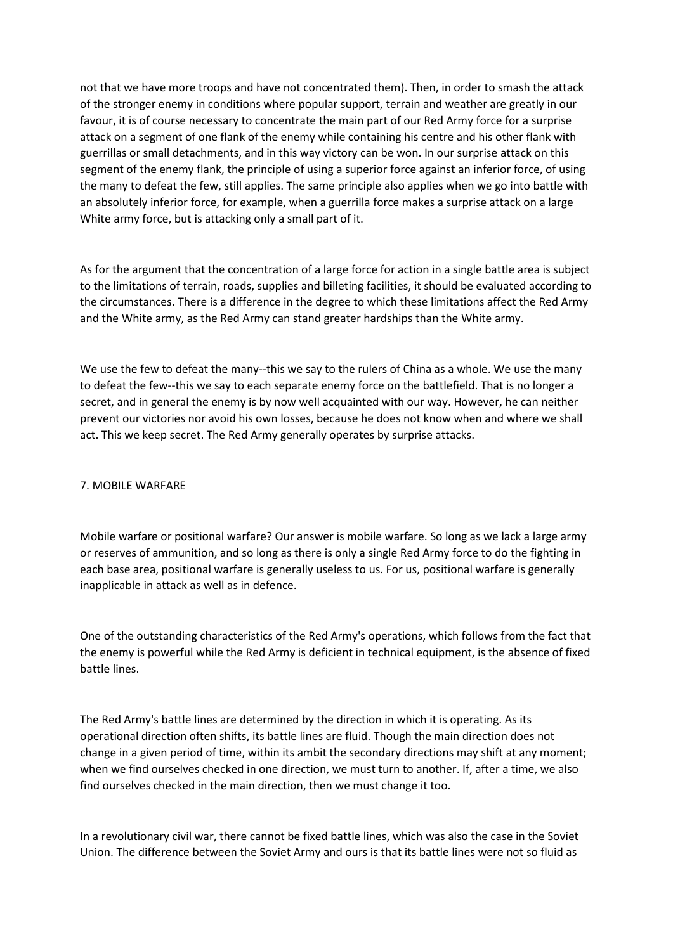not that we have more troops and have not concentrated them). Then, in order to smash the attack of the stronger enemy in conditions where popular support, terrain and weather are greatly in our favour, it is of course necessary to concentrate the main part of our Red Army force for a surprise attack on a segment of one flank of the enemy while containing his centre and his other flank with guerrillas or small detachments, and in this way victory can be won. In our surprise attack on this segment of the enemy flank, the principle of using a superior force against an inferior force, of using the many to defeat the few, still applies. The same principle also applies when we go into battle with an absolutely inferior force, for example, when a guerrilla force makes a surprise attack on a large White army force, but is attacking only a small part of it.

As for the argument that the concentration of a large force for action in a single battle area is subject to the limitations of terrain, roads, supplies and billeting facilities, it should be evaluated according to the circumstances. There is a difference in the degree to which these limitations affect the Red Army and the White army, as the Red Army can stand greater hardships than the White army.

We use the few to defeat the many--this we say to the rulers of China as a whole. We use the many to defeat the few--this we say to each separate enemy force on the battlefield. That is no longer a secret, and in general the enemy is by now well acquainted with our way. However, he can neither prevent our victories nor avoid his own losses, because he does not know when and where we shall act. This we keep secret. The Red Army generally operates by surprise attacks.

### 7. MOBILE WARFARE

Mobile warfare or positional warfare? Our answer is mobile warfare. So long as we lack a large army or reserves of ammunition, and so long as there is only a single Red Army force to do the fighting in each base area, positional warfare is generally useless to us. For us, positional warfare is generally inapplicable in attack as well as in defence.

One of the outstanding characteristics of the Red Army's operations, which follows from the fact that the enemy is powerful while the Red Army is deficient in technical equipment, is the absence of fixed battle lines.

The Red Army's battle lines are determined by the direction in which it is operating. As its operational direction often shifts, its battle lines are fluid. Though the main direction does not change in a given period of time, within its ambit the secondary directions may shift at any moment; when we find ourselves checked in one direction, we must turn to another. If, after a time, we also find ourselves checked in the main direction, then we must change it too.

In a revolutionary civil war, there cannot be fixed battle lines, which was also the case in the Soviet Union. The difference between the Soviet Army and ours is that its battle lines were not so fluid as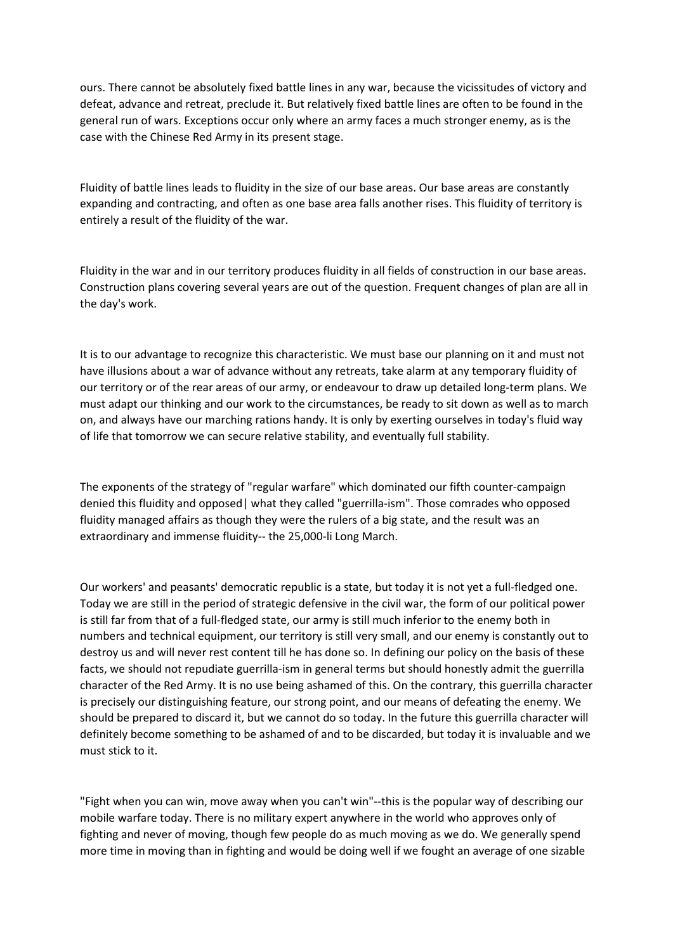ours. There cannot be absolutely fixed battle lines in any war, because the vicissitudes of victory and defeat, advance and retreat, preclude it. But relatively fixed battle lines are often to be found in the general run of wars. Exceptions occur only where an army faces a much stronger enemy, as is the case with the Chinese Red Army in its present stage.

Fluidity of battle lines leads to fluidity in the size of our base areas. Our base areas are constantly expanding and contracting, and often as one base area falls another rises. This fluidity of territory is entirely a result of the fluidity of the war.

Fluidity in the war and in our territory produces fluidity in all fields of construction in our base areas. Construction plans covering several years are out of the question. Frequent changes of plan are all in the day's work.

It is to our advantage to recognize this characteristic. We must base our planning on it and must not have illusions about a war of advance without any retreats, take alarm at any temporary fluidity of our territory or of the rear areas of our army, or endeavour to draw up detailed long-term plans. We must adapt our thinking and our work to the circumstances, be ready to sit down as well as to march on, and always have our marching rations handy. It is only by exerting ourselves in today's fluid way of life that tomorrow we can secure relative stability, and eventually full stability.

The exponents of the strategy of "regular warfare" which dominated our fifth counter-campaign denied this fluidity and opposed| what they called "guerrilla-ism". Those comrades who opposed fluidity managed affairs as though they were the rulers of a big state, and the result was an extraordinary and immense fluidity-- the 25,000-li Long March.

Our workers' and peasants' democratic republic is a state, but today it is not yet a full-fledged one. Today we are still in the period of strategic defensive in the civil war, the form of our political power is still far from that of a full-fledged state, our army is still much inferior to the enemy both in numbers and technical equipment, our territory is still very small, and our enemy is constantly out to destroy us and will never rest content till he has done so. In defining our policy on the basis of these facts, we should not repudiate guerrilla-ism in general terms but should honestly admit the guerrilla character of the Red Army. It is no use being ashamed of this. On the contrary, this guerrilla character is precisely our distinguishing feature, our strong point, and our means of defeating the enemy. We should be prepared to discard it, but we cannot do so today. In the future this guerrilla character will definitely become something to be ashamed of and to be discarded, but today it is invaluable and we must stick to it.

"Fight when you can win, move away when you can't win"--this is the popular way of describing our mobile warfare today. There is no military expert anywhere in the world who approves only of fighting and never of moving, though few people do as much moving as we do. We generally spend more time in moving than in fighting and would be doing well if we fought an average of one sizable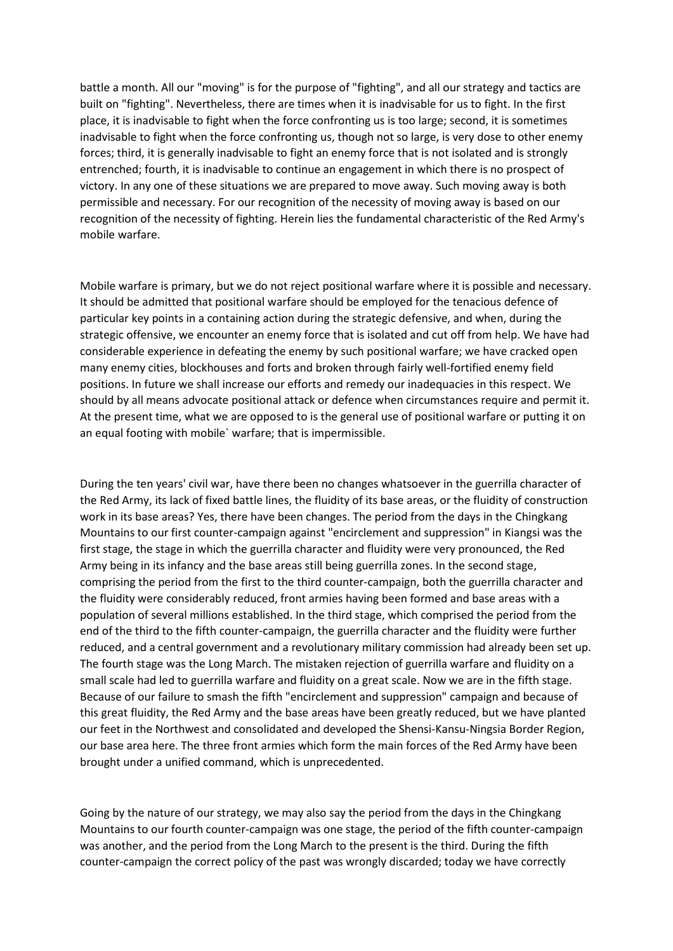battle a month. All our "moving" is for the purpose of "fighting", and all our strategy and tactics are built on "fighting". Nevertheless, there are times when it is inadvisable for us to fight. In the first place, it is inadvisable to fight when the force confronting us is too large; second, it is sometimes inadvisable to fight when the force confronting us, though not so large, is very dose to other enemy forces; third, it is generally inadvisable to fight an enemy force that is not isolated and is strongly entrenched; fourth, it is inadvisable to continue an engagement in which there is no prospect of victory. In any one of these situations we are prepared to move away. Such moving away is both permissible and necessary. For our recognition of the necessity of moving away is based on our recognition of the necessity of fighting. Herein lies the fundamental characteristic of the Red Army's mobile warfare.

Mobile warfare is primary, but we do not reject positional warfare where it is possible and necessary. It should be admitted that positional warfare should be employed for the tenacious defence of particular key points in a containing action during the strategic defensive, and when, during the strategic offensive, we encounter an enemy force that is isolated and cut off from help. We have had considerable experience in defeating the enemy by such positional warfare; we have cracked open many enemy cities, blockhouses and forts and broken through fairly well-fortified enemy field positions. In future we shall increase our efforts and remedy our inadequacies in this respect. We should by all means advocate positional attack or defence when circumstances require and permit it. At the present time, what we are opposed to is the general use of positional warfare or putting it on an equal footing with mobile` warfare; that is impermissible.

During the ten years' civil war, have there been no changes whatsoever in the guerrilla character of the Red Army, its lack of fixed battle lines, the fluidity of its base areas, or the fluidity of construction work in its base areas? Yes, there have been changes. The period from the days in the Chingkang Mountains to our first counter-campaign against "encirclement and suppression" in Kiangsi was the first stage, the stage in which the guerrilla character and fluidity were very pronounced, the Red Army being in its infancy and the base areas still being guerrilla zones. In the second stage, comprising the period from the first to the third counter-campaign, both the guerrilla character and the fluidity were considerably reduced, front armies having been formed and base areas with a population of several millions established. In the third stage, which comprised the period from the end of the third to the fifth counter-campaign, the guerrilla character and the fluidity were further reduced, and a central government and a revolutionary military commission had already been set up. The fourth stage was the Long March. The mistaken rejection of guerrilla warfare and fluidity on a small scale had led to guerrilla warfare and fluidity on a great scale. Now we are in the fifth stage. Because of our failure to smash the fifth "encirclement and suppression" campaign and because of this great fluidity, the Red Army and the base areas have been greatly reduced, but we have planted our feet in the Northwest and consolidated and developed the Shensi-Kansu-Ningsia Border Region, our base area here. The three front armies which form the main forces of the Red Army have been brought under a unified command, which is unprecedented.

Going by the nature of our strategy, we may also say the period from the days in the Chingkang Mountains to our fourth counter-campaign was one stage, the period of the fifth counter-campaign was another, and the period from the Long March to the present is the third. During the fifth counter-campaign the correct policy of the past was wrongly discarded; today we have correctly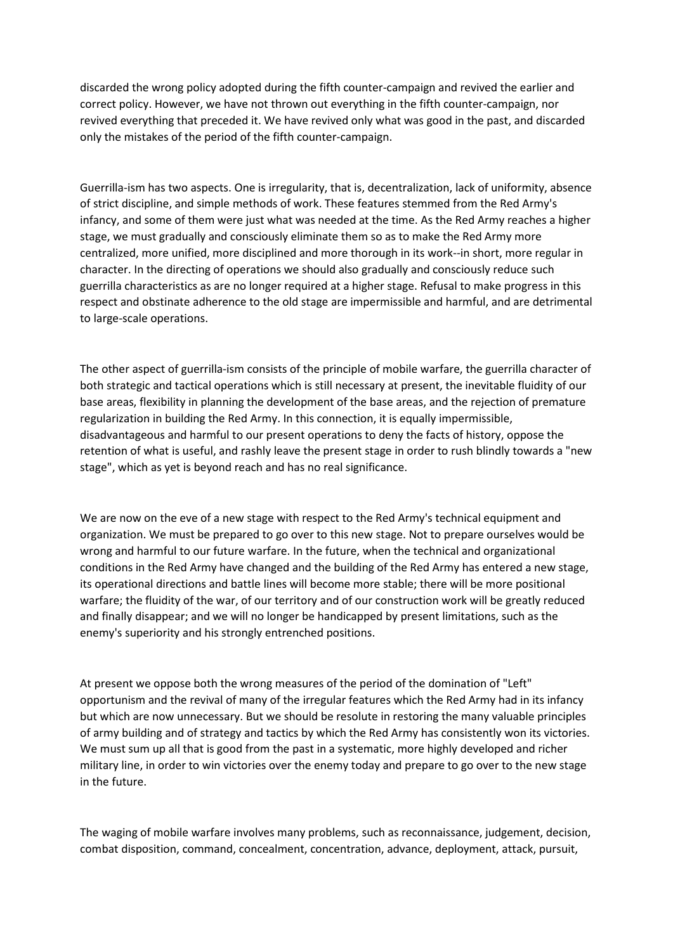discarded the wrong policy adopted during the fifth counter-campaign and revived the earlier and correct policy. However, we have not thrown out everything in the fifth counter-campaign, nor revived everything that preceded it. We have revived only what was good in the past, and discarded only the mistakes of the period of the fifth counter-campaign.

Guerrilla-ism has two aspects. One is irregularity, that is, decentralization, lack of uniformity, absence of strict discipline, and simple methods of work. These features stemmed from the Red Army's infancy, and some of them were just what was needed at the time. As the Red Army reaches a higher stage, we must gradually and consciously eliminate them so as to make the Red Army more centralized, more unified, more disciplined and more thorough in its work--in short, more regular in character. In the directing of operations we should also gradually and consciously reduce such guerrilla characteristics as are no longer required at a higher stage. Refusal to make progress in this respect and obstinate adherence to the old stage are impermissible and harmful, and are detrimental to large-scale operations.

The other aspect of guerrilla-ism consists of the principle of mobile warfare, the guerrilla character of both strategic and tactical operations which is still necessary at present, the inevitable fluidity of our base areas, flexibility in planning the development of the base areas, and the rejection of premature regularization in building the Red Army. In this connection, it is equally impermissible, disadvantageous and harmful to our present operations to deny the facts of history, oppose the retention of what is useful, and rashly leave the present stage in order to rush blindly towards a "new stage", which as yet is beyond reach and has no real significance.

We are now on the eve of a new stage with respect to the Red Army's technical equipment and organization. We must be prepared to go over to this new stage. Not to prepare ourselves would be wrong and harmful to our future warfare. In the future, when the technical and organizational conditions in the Red Army have changed and the building of the Red Army has entered a new stage, its operational directions and battle lines will become more stable; there will be more positional warfare; the fluidity of the war, of our territory and of our construction work will be greatly reduced and finally disappear; and we will no longer be handicapped by present limitations, such as the enemy's superiority and his strongly entrenched positions.

At present we oppose both the wrong measures of the period of the domination of "Left" opportunism and the revival of many of the irregular features which the Red Army had in its infancy but which are now unnecessary. But we should be resolute in restoring the many valuable principles of army building and of strategy and tactics by which the Red Army has consistently won its victories. We must sum up all that is good from the past in a systematic, more highly developed and richer military line, in order to win victories over the enemy today and prepare to go over to the new stage in the future.

The waging of mobile warfare involves many problems, such as reconnaissance, judgement, decision, combat disposition, command, concealment, concentration, advance, deployment, attack, pursuit,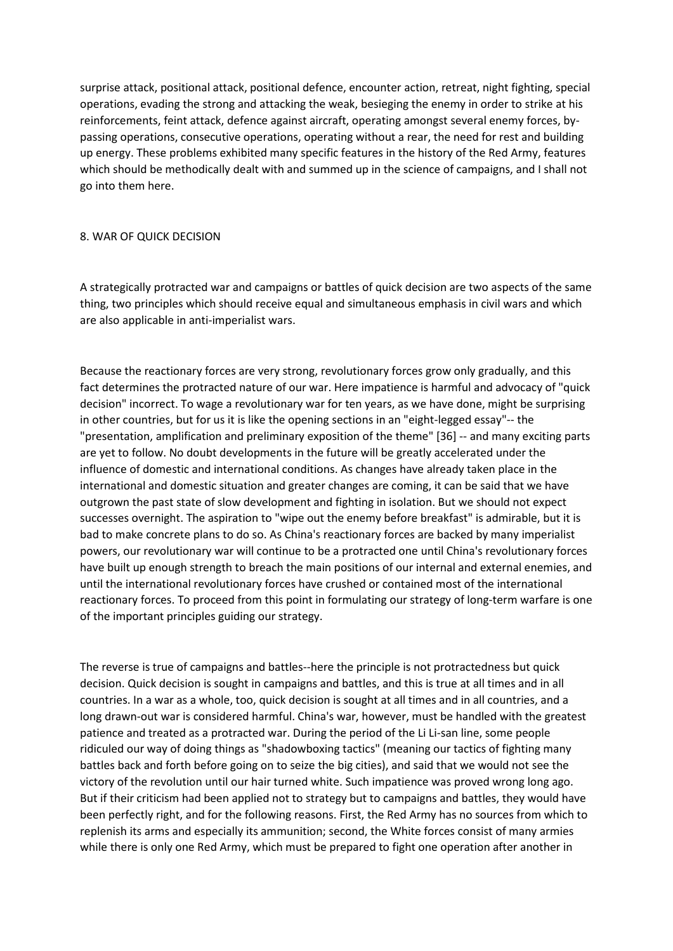surprise attack, positional attack, positional defence, encounter action, retreat, night fighting, special operations, evading the strong and attacking the weak, besieging the enemy in order to strike at his reinforcements, feint attack, defence against aircraft, operating amongst several enemy forces, bypassing operations, consecutive operations, operating without a rear, the need for rest and building up energy. These problems exhibited many specific features in the history of the Red Army, features which should be methodically dealt with and summed up in the science of campaigns, and I shall not go into them here.

#### 8. WAR OF QUICK DECISION

A strategically protracted war and campaigns or battles of quick decision are two aspects of the same thing, two principles which should receive equal and simultaneous emphasis in civil wars and which are also applicable in anti-imperialist wars.

Because the reactionary forces are very strong, revolutionary forces grow only gradually, and this fact determines the protracted nature of our war. Here impatience is harmful and advocacy of "quick decision" incorrect. To wage a revolutionary war for ten years, as we have done, might be surprising in other countries, but for us it is like the opening sections in an "eight-legged essay"-- the "presentation, amplification and preliminary exposition of the theme" [36] -- and many exciting parts are yet to follow. No doubt developments in the future will be greatly accelerated under the influence of domestic and international conditions. As changes have already taken place in the international and domestic situation and greater changes are coming, it can be said that we have outgrown the past state of slow development and fighting in isolation. But we should not expect successes overnight. The aspiration to "wipe out the enemy before breakfast" is admirable, but it is bad to make concrete plans to do so. As China's reactionary forces are backed by many imperialist powers, our revolutionary war will continue to be a protracted one until China's revolutionary forces have built up enough strength to breach the main positions of our internal and external enemies, and until the international revolutionary forces have crushed or contained most of the international reactionary forces. To proceed from this point in formulating our strategy of long-term warfare is one of the important principles guiding our strategy.

The reverse is true of campaigns and battles--here the principle is not protractedness but quick decision. Quick decision is sought in campaigns and battles, and this is true at all times and in all countries. In a war as a whole, too, quick decision is sought at all times and in all countries, and a long drawn-out war is considered harmful. China's war, however, must be handled with the greatest patience and treated as a protracted war. During the period of the Li Li-san line, some people ridiculed our way of doing things as "shadowboxing tactics" (meaning our tactics of fighting many battles back and forth before going on to seize the big cities), and said that we would not see the victory of the revolution until our hair turned white. Such impatience was proved wrong long ago. But if their criticism had been applied not to strategy but to campaigns and battles, they would have been perfectly right, and for the following reasons. First, the Red Army has no sources from which to replenish its arms and especially its ammunition; second, the White forces consist of many armies while there is only one Red Army, which must be prepared to fight one operation after another in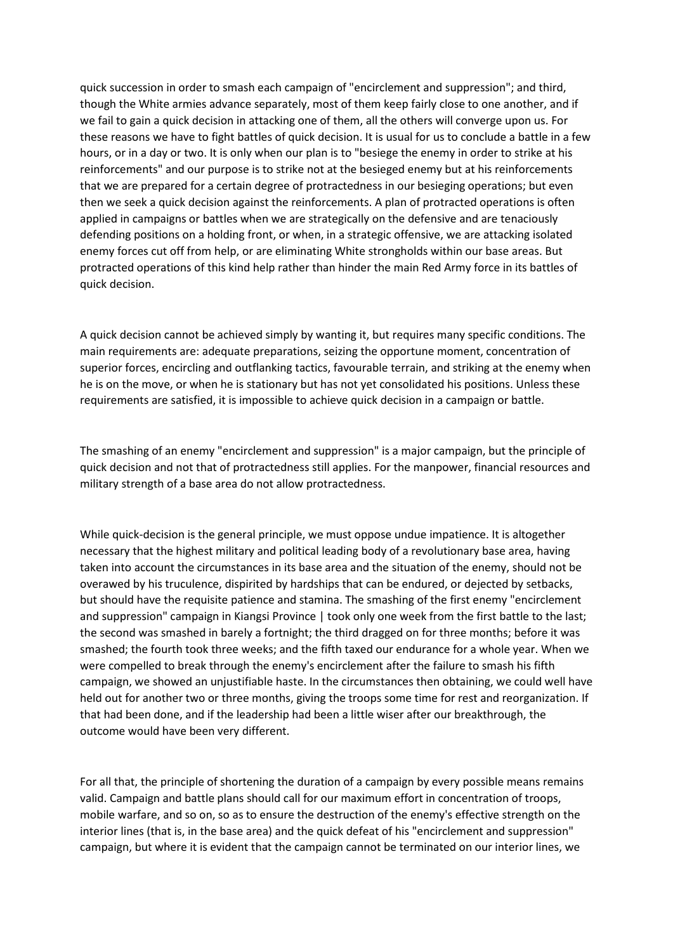quick succession in order to smash each campaign of "encirclement and suppression"; and third, though the White armies advance separately, most of them keep fairly close to one another, and if we fail to gain a quick decision in attacking one of them, all the others will converge upon us. For these reasons we have to fight battles of quick decision. It is usual for us to conclude a battle in a few hours, or in a day or two. It is only when our plan is to "besiege the enemy in order to strike at his reinforcements" and our purpose is to strike not at the besieged enemy but at his reinforcements that we are prepared for a certain degree of protractedness in our besieging operations; but even then we seek a quick decision against the reinforcements. A plan of protracted operations is often applied in campaigns or battles when we are strategically on the defensive and are tenaciously defending positions on a holding front, or when, in a strategic offensive, we are attacking isolated enemy forces cut off from help, or are eliminating White strongholds within our base areas. But protracted operations of this kind help rather than hinder the main Red Army force in its battles of quick decision.

A quick decision cannot be achieved simply by wanting it, but requires many specific conditions. The main requirements are: adequate preparations, seizing the opportune moment, concentration of superior forces, encircling and outflanking tactics, favourable terrain, and striking at the enemy when he is on the move, or when he is stationary but has not yet consolidated his positions. Unless these requirements are satisfied, it is impossible to achieve quick decision in a campaign or battle.

The smashing of an enemy "encirclement and suppression" is a major campaign, but the principle of quick decision and not that of protractedness still applies. For the manpower, financial resources and military strength of a base area do not allow protractedness.

While quick-decision is the general principle, we must oppose undue impatience. It is altogether necessary that the highest military and political leading body of a revolutionary base area, having taken into account the circumstances in its base area and the situation of the enemy, should not be overawed by his truculence, dispirited by hardships that can be endured, or dejected by setbacks, but should have the requisite patience and stamina. The smashing of the first enemy "encirclement and suppression" campaign in Kiangsi Province | took only one week from the first battle to the last; the second was smashed in barely a fortnight; the third dragged on for three months; before it was smashed; the fourth took three weeks; and the fifth taxed our endurance for a whole year. When we were compelled to break through the enemy's encirclement after the failure to smash his fifth campaign, we showed an unjustifiable haste. In the circumstances then obtaining, we could well have held out for another two or three months, giving the troops some time for rest and reorganization. If that had been done, and if the leadership had been a little wiser after our breakthrough, the outcome would have been very different.

For all that, the principle of shortening the duration of a campaign by every possible means remains valid. Campaign and battle plans should call for our maximum effort in concentration of troops, mobile warfare, and so on, so as to ensure the destruction of the enemy's effective strength on the interior lines (that is, in the base area) and the quick defeat of his "encirclement and suppression" campaign, but where it is evident that the campaign cannot be terminated on our interior lines, we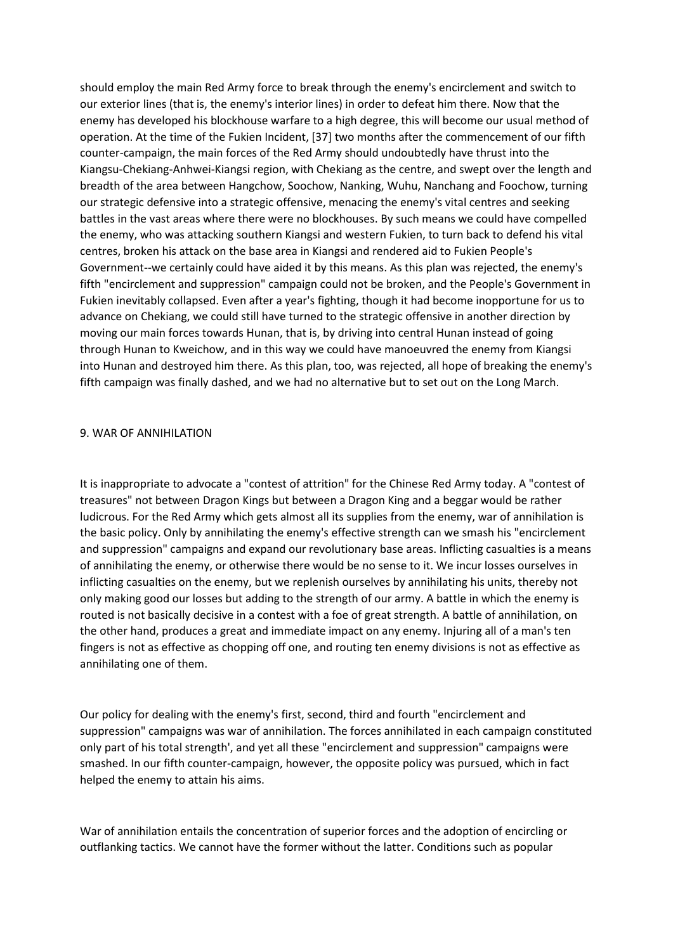should employ the main Red Army force to break through the enemy's encirclement and switch to our exterior lines (that is, the enemy's interior lines) in order to defeat him there. Now that the enemy has developed his blockhouse warfare to a high degree, this will become our usual method of operation. At the time of the Fukien Incident, [37] two months after the commencement of our fifth counter-campaign, the main forces of the Red Army should undoubtedly have thrust into the Kiangsu-Chekiang-Anhwei-Kiangsi region, with Chekiang as the centre, and swept over the length and breadth of the area between Hangchow, Soochow, Nanking, Wuhu, Nanchang and Foochow, turning our strategic defensive into a strategic offensive, menacing the enemy's vital centres and seeking battles in the vast areas where there were no blockhouses. By such means we could have compelled the enemy, who was attacking southern Kiangsi and western Fukien, to turn back to defend his vital centres, broken his attack on the base area in Kiangsi and rendered aid to Fukien People's Government--we certainly could have aided it by this means. As this plan was rejected, the enemy's fifth "encirclement and suppression" campaign could not be broken, and the People's Government in Fukien inevitably collapsed. Even after a year's fighting, though it had become inopportune for us to advance on Chekiang, we could still have turned to the strategic offensive in another direction by moving our main forces towards Hunan, that is, by driving into central Hunan instead of going through Hunan to Kweichow, and in this way we could have manoeuvred the enemy from Kiangsi into Hunan and destroyed him there. As this plan, too, was rejected, all hope of breaking the enemy's fifth campaign was finally dashed, and we had no alternative but to set out on the Long March.

#### 9. WAR OF ANNIHILATION

It is inappropriate to advocate a "contest of attrition" for the Chinese Red Army today. A "contest of treasures" not between Dragon Kings but between a Dragon King and a beggar would be rather ludicrous. For the Red Army which gets almost all its supplies from the enemy, war of annihilation is the basic policy. Only by annihilating the enemy's effective strength can we smash his "encirclement and suppression" campaigns and expand our revolutionary base areas. Inflicting casualties is a means of annihilating the enemy, or otherwise there would be no sense to it. We incur losses ourselves in inflicting casualties on the enemy, but we replenish ourselves by annihilating his units, thereby not only making good our losses but adding to the strength of our army. A battle in which the enemy is routed is not basically decisive in a contest with a foe of great strength. A battle of annihilation, on the other hand, produces a great and immediate impact on any enemy. Injuring all of a man's ten fingers is not as effective as chopping off one, and routing ten enemy divisions is not as effective as annihilating one of them.

Our policy for dealing with the enemy's first, second, third and fourth "encirclement and suppression" campaigns was war of annihilation. The forces annihilated in each campaign constituted only part of his total strength', and yet all these "encirclement and suppression" campaigns were smashed. In our fifth counter-campaign, however, the opposite policy was pursued, which in fact helped the enemy to attain his aims.

War of annihilation entails the concentration of superior forces and the adoption of encircling or outflanking tactics. We cannot have the former without the latter. Conditions such as popular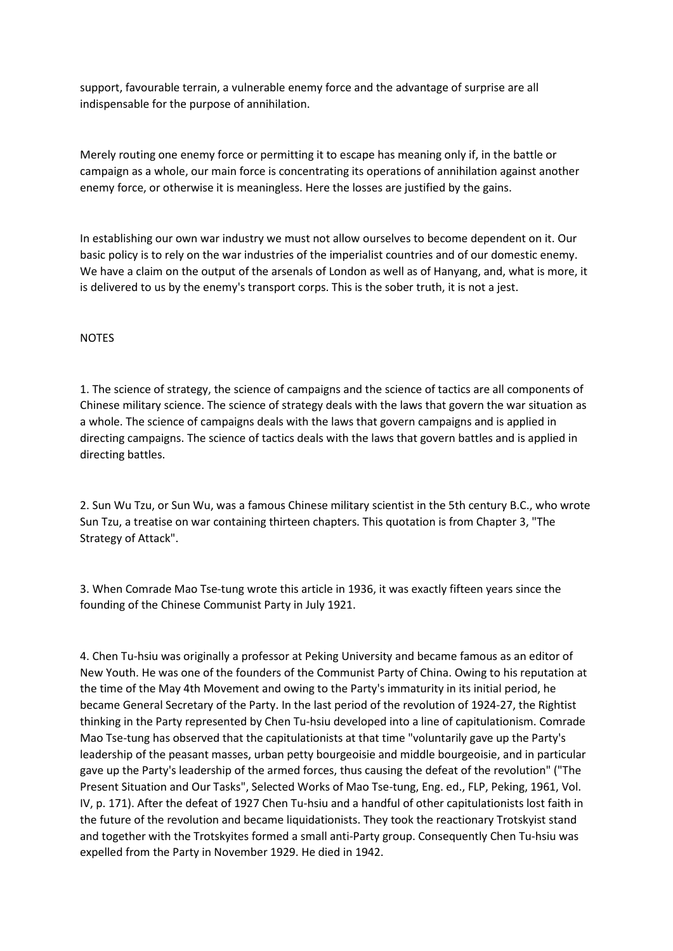support, favourable terrain, a vulnerable enemy force and the advantage of surprise are all indispensable for the purpose of annihilation.

Merely routing one enemy force or permitting it to escape has meaning only if, in the battle or campaign as a whole, our main force is concentrating its operations of annihilation against another enemy force, or otherwise it is meaningless. Here the losses are justified by the gains.

In establishing our own war industry we must not allow ourselves to become dependent on it. Our basic policy is to rely on the war industries of the imperialist countries and of our domestic enemy. We have a claim on the output of the arsenals of London as well as of Hanyang, and, what is more, it is delivered to us by the enemy's transport corps. This is the sober truth, it is not a jest.

# NOTES

1. The science of strategy, the science of campaigns and the science of tactics are all components of Chinese military science. The science of strategy deals with the laws that govern the war situation as a whole. The science of campaigns deals with the laws that govern campaigns and is applied in directing campaigns. The science of tactics deals with the laws that govern battles and is applied in directing battles.

2. Sun Wu Tzu, or Sun Wu, was a famous Chinese military scientist in the 5th century B.C., who wrote Sun Tzu, a treatise on war containing thirteen chapters. This quotation is from Chapter 3, "The Strategy of Attack".

3. When Comrade Mao Tse-tung wrote this article in 1936, it was exactly fifteen years since the founding of the Chinese Communist Party in July 1921.

4. Chen Tu-hsiu was originally a professor at Peking University and became famous as an editor of New Youth. He was one of the founders of the Communist Party of China. Owing to his reputation at the time of the May 4th Movement and owing to the Party's immaturity in its initial period, he became General Secretary of the Party. In the last period of the revolution of 1924-27, the Rightist thinking in the Party represented by Chen Tu-hsiu developed into a line of capitulationism. Comrade Mao Tse-tung has observed that the capitulationists at that time "voluntarily gave up the Party's leadership of the peasant masses, urban petty bourgeoisie and middle bourgeoisie, and in particular gave up the Party's leadership of the armed forces, thus causing the defeat of the revolution" ("The Present Situation and Our Tasks", Selected Works of Mao Tse-tung, Eng. ed., FLP, Peking, 1961, Vol. IV, p. 171). After the defeat of 1927 Chen Tu-hsiu and a handful of other capitulationists lost faith in the future of the revolution and became liquidationists. They took the reactionary Trotskyist stand and together with the Trotskyites formed a small anti-Party group. Consequently Chen Tu-hsiu was expelled from the Party in November 1929. He died in 1942.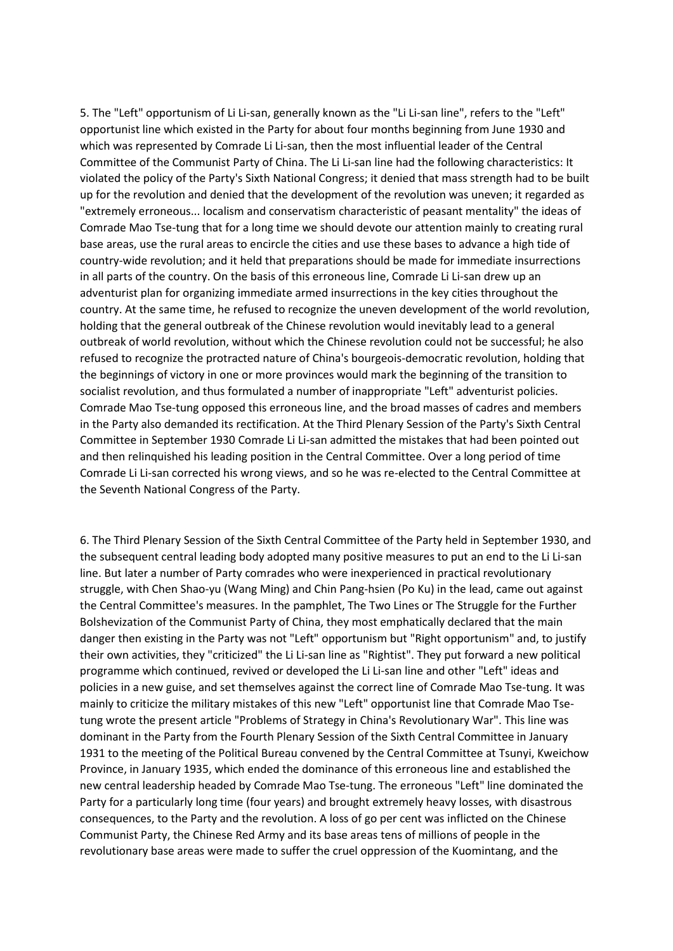5. The "Left" opportunism of Li Li-san, generally known as the "Li Li-san line", refers to the "Left" opportunist line which existed in the Party for about four months beginning from June 1930 and which was represented by Comrade Li Li-san, then the most influential leader of the Central Committee of the Communist Party of China. The Li Li-san line had the following characteristics: It violated the policy of the Party's Sixth National Congress; it denied that mass strength had to be built up for the revolution and denied that the development of the revolution was uneven; it regarded as "extremely erroneous... localism and conservatism characteristic of peasant mentality" the ideas of Comrade Mao Tse-tung that for a long time we should devote our attention mainly to creating rural base areas, use the rural areas to encircle the cities and use these bases to advance a high tide of country-wide revolution; and it held that preparations should be made for immediate insurrections in all parts of the country. On the basis of this erroneous line, Comrade Li Li-san drew up an adventurist plan for organizing immediate armed insurrections in the key cities throughout the country. At the same time, he refused to recognize the uneven development of the world revolution, holding that the general outbreak of the Chinese revolution would inevitably lead to a general outbreak of world revolution, without which the Chinese revolution could not be successful; he also refused to recognize the protracted nature of China's bourgeois-democratic revolution, holding that the beginnings of victory in one or more provinces would mark the beginning of the transition to socialist revolution, and thus formulated a number of inappropriate "Left" adventurist policies. Comrade Mao Tse-tung opposed this erroneous line, and the broad masses of cadres and members in the Party also demanded its rectification. At the Third Plenary Session of the Party's Sixth Central Committee in September 1930 Comrade Li Li-san admitted the mistakes that had been pointed out and then relinquished his leading position in the Central Committee. Over a long period of time Comrade Li Li-san corrected his wrong views, and so he was re-elected to the Central Committee at the Seventh National Congress of the Party.

6. The Third Plenary Session of the Sixth Central Committee of the Party held in September 1930, and the subsequent central leading body adopted many positive measures to put an end to the Li Li-san line. But later a number of Party comrades who were inexperienced in practical revolutionary struggle, with Chen Shao-yu (Wang Ming) and Chin Pang-hsien (Po Ku) in the lead, came out against the Central Committee's measures. In the pamphlet, The Two Lines or The Struggle for the Further Bolshevization of the Communist Party of China, they most emphatically declared that the main danger then existing in the Party was not "Left" opportunism but "Right opportunism" and, to justify their own activities, they "criticized" the Li Li-san line as "Rightist". They put forward a new political programme which continued, revived or developed the Li Li-san line and other "Left" ideas and policies in a new guise, and set themselves against the correct line of Comrade Mao Tse-tung. It was mainly to criticize the military mistakes of this new "Left" opportunist line that Comrade Mao Tsetung wrote the present article "Problems of Strategy in China's Revolutionary War". This line was dominant in the Party from the Fourth Plenary Session of the Sixth Central Committee in January 1931 to the meeting of the Political Bureau convened by the Central Committee at Tsunyi, Kweichow Province, in January 1935, which ended the dominance of this erroneous line and established the new central leadership headed by Comrade Mao Tse-tung. The erroneous "Left" line dominated the Party for a particularly long time (four years) and brought extremely heavy losses, with disastrous consequences, to the Party and the revolution. A loss of go per cent was inflicted on the Chinese Communist Party, the Chinese Red Army and its base areas tens of millions of people in the revolutionary base areas were made to suffer the cruel oppression of the Kuomintang, and the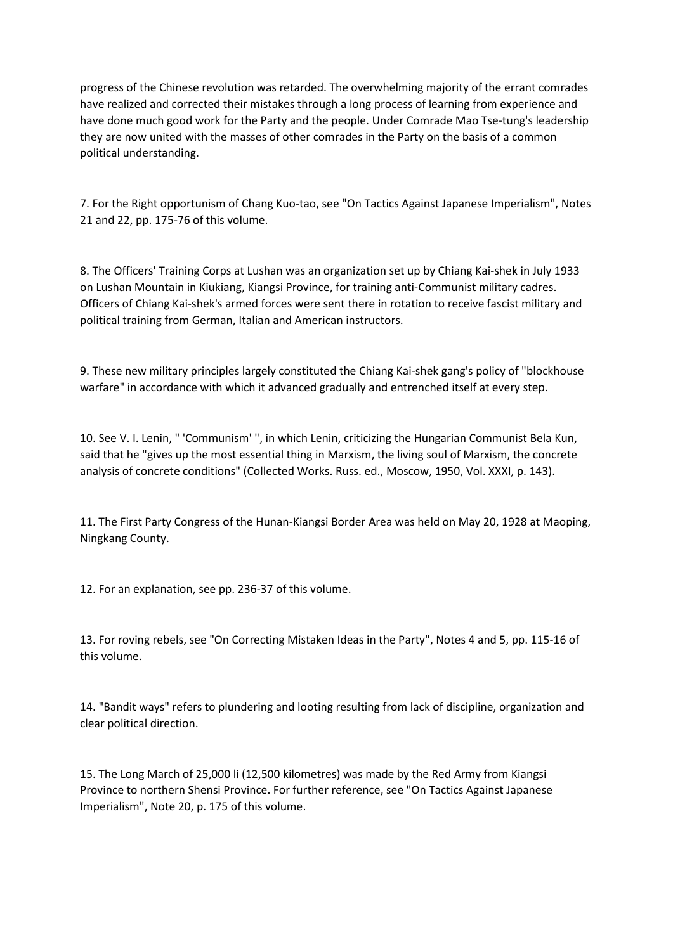progress of the Chinese revolution was retarded. The overwhelming majority of the errant comrades have realized and corrected their mistakes through a long process of learning from experience and have done much good work for the Party and the people. Under Comrade Mao Tse-tung's leadership they are now united with the masses of other comrades in the Party on the basis of a common political understanding.

7. For the Right opportunism of Chang Kuo-tao, see "On Tactics Against Japanese Imperialism", Notes 21 and 22, pp. 175-76 of this volume.

8. The Officers' Training Corps at Lushan was an organization set up by Chiang Kai-shek in July 1933 on Lushan Mountain in Kiukiang, Kiangsi Province, for training anti-Communist military cadres. Officers of Chiang Kai-shek's armed forces were sent there in rotation to receive fascist military and political training from German, Italian and American instructors.

9. These new military principles largely constituted the Chiang Kai-shek gang's policy of "blockhouse warfare" in accordance with which it advanced gradually and entrenched itself at every step.

10. See V. I. Lenin, " 'Communism' ", in which Lenin, criticizing the Hungarian Communist Bela Kun, said that he "gives up the most essential thing in Marxism, the living soul of Marxism, the concrete analysis of concrete conditions" (Collected Works. Russ. ed., Moscow, 1950, Vol. XXXI, p. 143).

11. The First Party Congress of the Hunan-Kiangsi Border Area was held on May 20, 1928 at Maoping, Ningkang County.

12. For an explanation, see pp. 236-37 of this volume.

13. For roving rebels, see "On Correcting Mistaken Ideas in the Party", Notes 4 and 5, pp. 115-16 of this volume.

14. "Bandit ways" refers to plundering and looting resulting from lack of discipline, organization and clear political direction.

15. The Long March of 25,000 li (12,500 kilometres) was made by the Red Army from Kiangsi Province to northern Shensi Province. For further reference, see "On Tactics Against Japanese Imperialism", Note 20, p. 175 of this volume.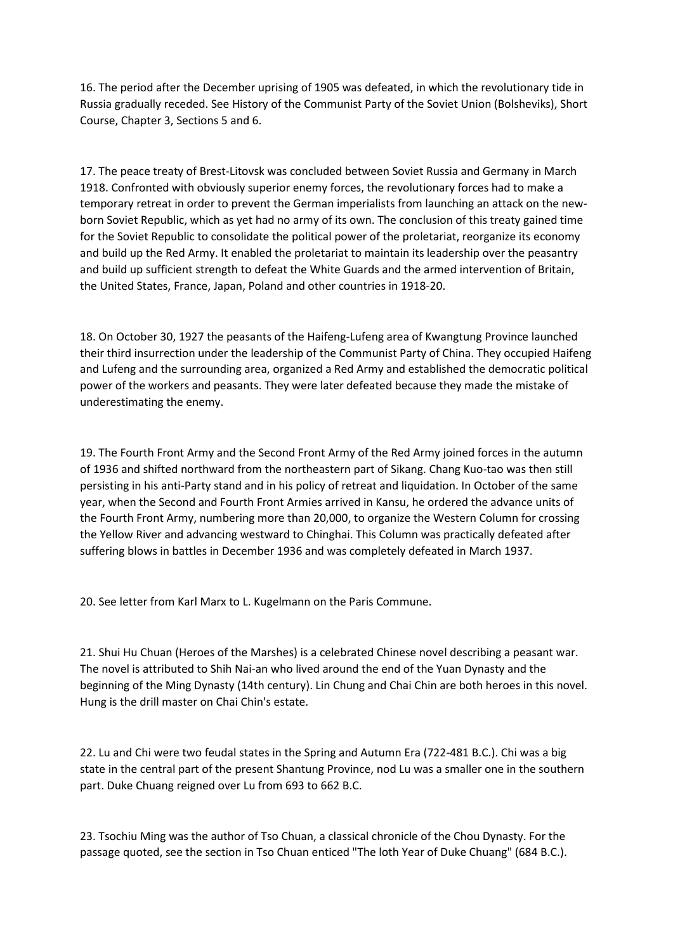16. The period after the December uprising of 1905 was defeated, in which the revolutionary tide in Russia gradually receded. See History of the Communist Party of the Soviet Union (Bolsheviks), Short Course, Chapter 3, Sections 5 and 6.

17. The peace treaty of Brest-Litovsk was concluded between Soviet Russia and Germany in March 1918. Confronted with obviously superior enemy forces, the revolutionary forces had to make a temporary retreat in order to prevent the German imperialists from launching an attack on the newborn Soviet Republic, which as yet had no army of its own. The conclusion of this treaty gained time for the Soviet Republic to consolidate the political power of the proletariat, reorganize its economy and build up the Red Army. It enabled the proletariat to maintain its leadership over the peasantry and build up sufficient strength to defeat the White Guards and the armed intervention of Britain, the United States, France, Japan, Poland and other countries in 1918-20.

18. On October 30, 1927 the peasants of the Haifeng-Lufeng area of Kwangtung Province launched their third insurrection under the leadership of the Communist Party of China. They occupied Haifeng and Lufeng and the surrounding area, organized a Red Army and established the democratic political power of the workers and peasants. They were later defeated because they made the mistake of underestimating the enemy.

19. The Fourth Front Army and the Second Front Army of the Red Army joined forces in the autumn of 1936 and shifted northward from the northeastern part of Sikang. Chang Kuo-tao was then still persisting in his anti-Party stand and in his policy of retreat and liquidation. In October of the same year, when the Second and Fourth Front Armies arrived in Kansu, he ordered the advance units of the Fourth Front Army, numbering more than 20,000, to organize the Western Column for crossing the Yellow River and advancing westward to Chinghai. This Column was practically defeated after suffering blows in battles in December 1936 and was completely defeated in March 1937.

20. See letter from Karl Marx to L. Kugelmann on the Paris Commune.

21. Shui Hu Chuan (Heroes of the Marshes) is a celebrated Chinese novel describing a peasant war. The novel is attributed to Shih Nai-an who lived around the end of the Yuan Dynasty and the beginning of the Ming Dynasty (14th century). Lin Chung and Chai Chin are both heroes in this novel. Hung is the drill master on Chai Chin's estate.

22. Lu and Chi were two feudal states in the Spring and Autumn Era (722-481 B.C.). Chi was a big state in the central part of the present Shantung Province, nod Lu was a smaller one in the southern part. Duke Chuang reigned over Lu from 693 to 662 B.C.

23. Tsochiu Ming was the author of Tso Chuan, a classical chronicle of the Chou Dynasty. For the passage quoted, see the section in Tso Chuan enticed "The loth Year of Duke Chuang" (684 B.C.).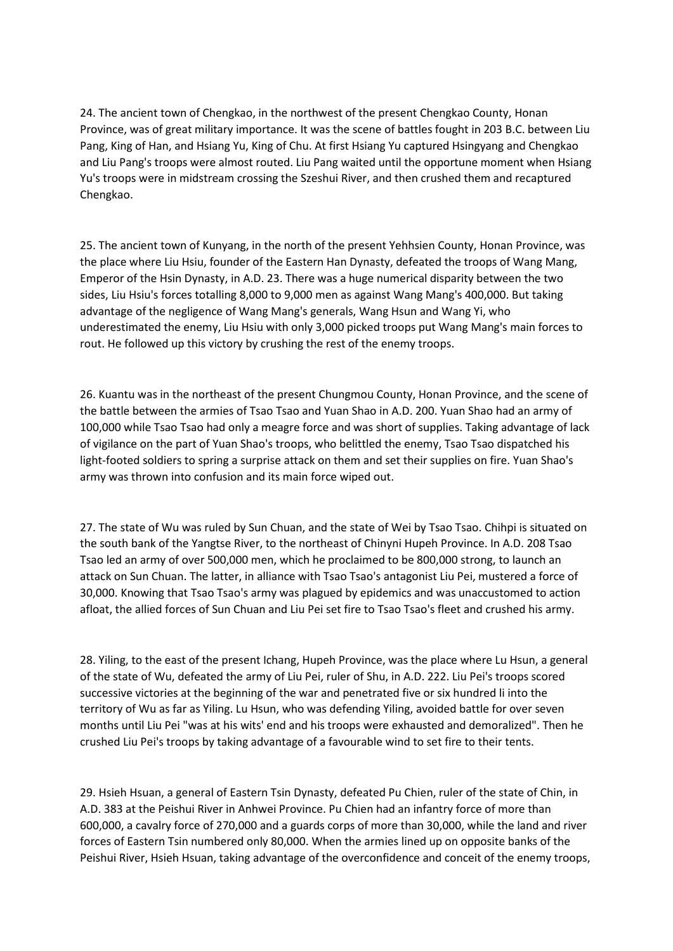24. The ancient town of Chengkao, in the northwest of the present Chengkao County, Honan Province, was of great military importance. It was the scene of battles fought in 203 B.C. between Liu Pang, King of Han, and Hsiang Yu, King of Chu. At first Hsiang Yu captured Hsingyang and Chengkao and Liu Pang's troops were almost routed. Liu Pang waited until the opportune moment when Hsiang Yu's troops were in midstream crossing the Szeshui River, and then crushed them and recaptured Chengkao.

25. The ancient town of Kunyang, in the north of the present Yehhsien County, Honan Province, was the place where Liu Hsiu, founder of the Eastern Han Dynasty, defeated the troops of Wang Mang, Emperor of the Hsin Dynasty, in A.D. 23. There was a huge numerical disparity between the two sides, Liu Hsiu's forces totalling 8,000 to 9,000 men as against Wang Mang's 400,000. But taking advantage of the negligence of Wang Mang's generals, Wang Hsun and Wang Yi, who underestimated the enemy, Liu Hsiu with only 3,000 picked troops put Wang Mang's main forces to rout. He followed up this victory by crushing the rest of the enemy troops.

26. Kuantu was in the northeast of the present Chungmou County, Honan Province, and the scene of the battle between the armies of Tsao Tsao and Yuan Shao in A.D. 200. Yuan Shao had an army of 100,000 while Tsao Tsao had only a meagre force and was short of supplies. Taking advantage of lack of vigilance on the part of Yuan Shao's troops, who belittled the enemy, Tsao Tsao dispatched his light-footed soldiers to spring a surprise attack on them and set their supplies on fire. Yuan Shao's army was thrown into confusion and its main force wiped out.

27. The state of Wu was ruled by Sun Chuan, and the state of Wei by Tsao Tsao. Chihpi is situated on the south bank of the Yangtse River, to the northeast of Chinyni Hupeh Province. In A.D. 208 Tsao Tsao led an army of over 500,000 men, which he proclaimed to be 800,000 strong, to launch an attack on Sun Chuan. The latter, in alliance with Tsao Tsao's antagonist Liu Pei, mustered a force of 30,000. Knowing that Tsao Tsao's army was plagued by epidemics and was unaccustomed to action afloat, the allied forces of Sun Chuan and Liu Pei set fire to Tsao Tsao's fleet and crushed his army.

28. Yiling, to the east of the present Ichang, Hupeh Province, was the place where Lu Hsun, a general of the state of Wu, defeated the army of Liu Pei, ruler of Shu, in A.D. 222. Liu Pei's troops scored successive victories at the beginning of the war and penetrated five or six hundred li into the territory of Wu as far as Yiling. Lu Hsun, who was defending Yiling, avoided battle for over seven months until Liu Pei "was at his wits' end and his troops were exhausted and demoralized". Then he crushed Liu Pei's troops by taking advantage of a favourable wind to set fire to their tents.

29. Hsieh Hsuan, a general of Eastern Tsin Dynasty, defeated Pu Chien, ruler of the state of Chin, in A.D. 383 at the Peishui River in Anhwei Province. Pu Chien had an infantry force of more than 600,000, a cavalry force of 270,000 and a guards corps of more than 30,000, while the land and river forces of Eastern Tsin numbered only 80,000. When the armies lined up on opposite banks of the Peishui River, Hsieh Hsuan, taking advantage of the overconfidence and conceit of the enemy troops,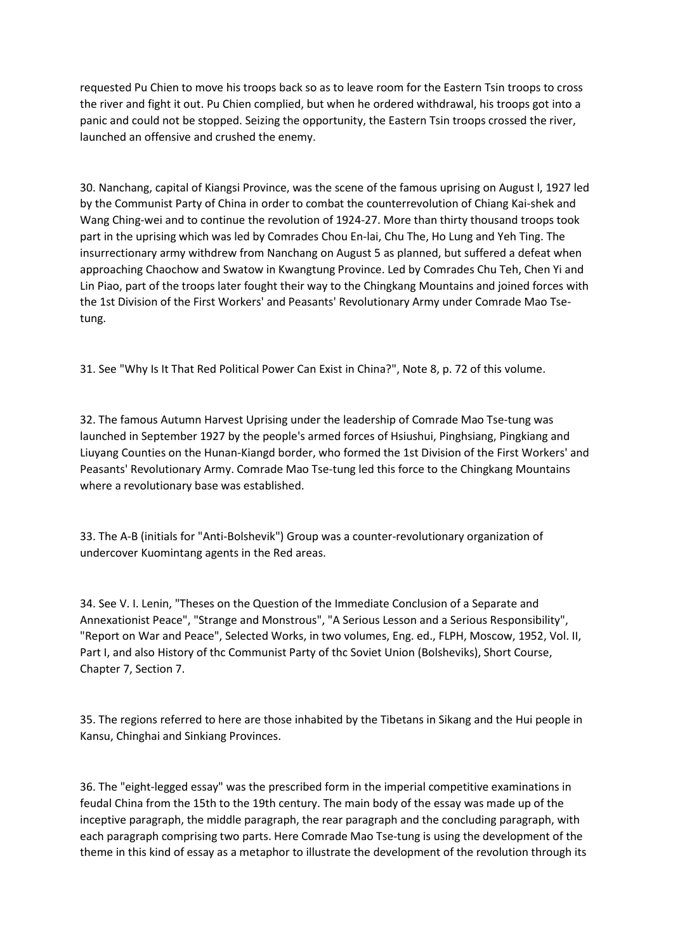requested Pu Chien to move his troops back so as to leave room for the Eastern Tsin troops to cross the river and fight it out. Pu Chien complied, but when he ordered withdrawal, his troops got into a panic and could not be stopped. Seizing the opportunity, the Eastern Tsin troops crossed the river, launched an offensive and crushed the enemy.

30. Nanchang, capital of Kiangsi Province, was the scene of the famous uprising on August l, 1927 led by the Communist Party of China in order to combat the counterrevolution of Chiang Kai-shek and Wang Ching-wei and to continue the revolution of 1924-27. More than thirty thousand troops took part in the uprising which was led by Comrades Chou En-lai, Chu The, Ho Lung and Yeh Ting. The insurrectionary army withdrew from Nanchang on August 5 as planned, but suffered a defeat when approaching Chaochow and Swatow in Kwangtung Province. Led by Comrades Chu Teh, Chen Yi and Lin Piao, part of the troops later fought their way to the Chingkang Mountains and joined forces with the 1st Division of the First Workers' and Peasants' Revolutionary Army under Comrade Mao Tsetung.

31. See "Why Is It That Red Political Power Can Exist in China?", Note 8, p. 72 of this volume.

32. The famous Autumn Harvest Uprising under the leadership of Comrade Mao Tse-tung was launched in September 1927 by the people's armed forces of Hsiushui, Pinghsiang, Pingkiang and Liuyang Counties on the Hunan-Kiangd border, who formed the 1st Division of the First Workers' and Peasants' Revolutionary Army. Comrade Mao Tse-tung led this force to the Chingkang Mountains where a revolutionary base was established.

33. The A-B (initials for "Anti-Bolshevik") Group was a counter-revolutionary organization of undercover Kuomintang agents in the Red areas.

34. See V. I. Lenin, "Theses on the Question of the Immediate Conclusion of a Separate and Annexationist Peace", "Strange and Monstrous", "A Serious Lesson and a Serious Responsibility", "Report on War and Peace", Selected Works, in two volumes, Eng. ed., FLPH, Moscow, 1952, Vol. II, Part I, and also History of thc Communist Party of thc Soviet Union (Bolsheviks), Short Course, Chapter 7, Section 7.

35. The regions referred to here are those inhabited by the Tibetans in Sikang and the Hui people in Kansu, Chinghai and Sinkiang Provinces.

36. The "eight-legged essay" was the prescribed form in the imperial competitive examinations in feudal China from the 15th to the 19th century. The main body of the essay was made up of the inceptive paragraph, the middle paragraph, the rear paragraph and the concluding paragraph, with each paragraph comprising two parts. Here Comrade Mao Tse-tung is using the development of the theme in this kind of essay as a metaphor to illustrate the development of the revolution through its